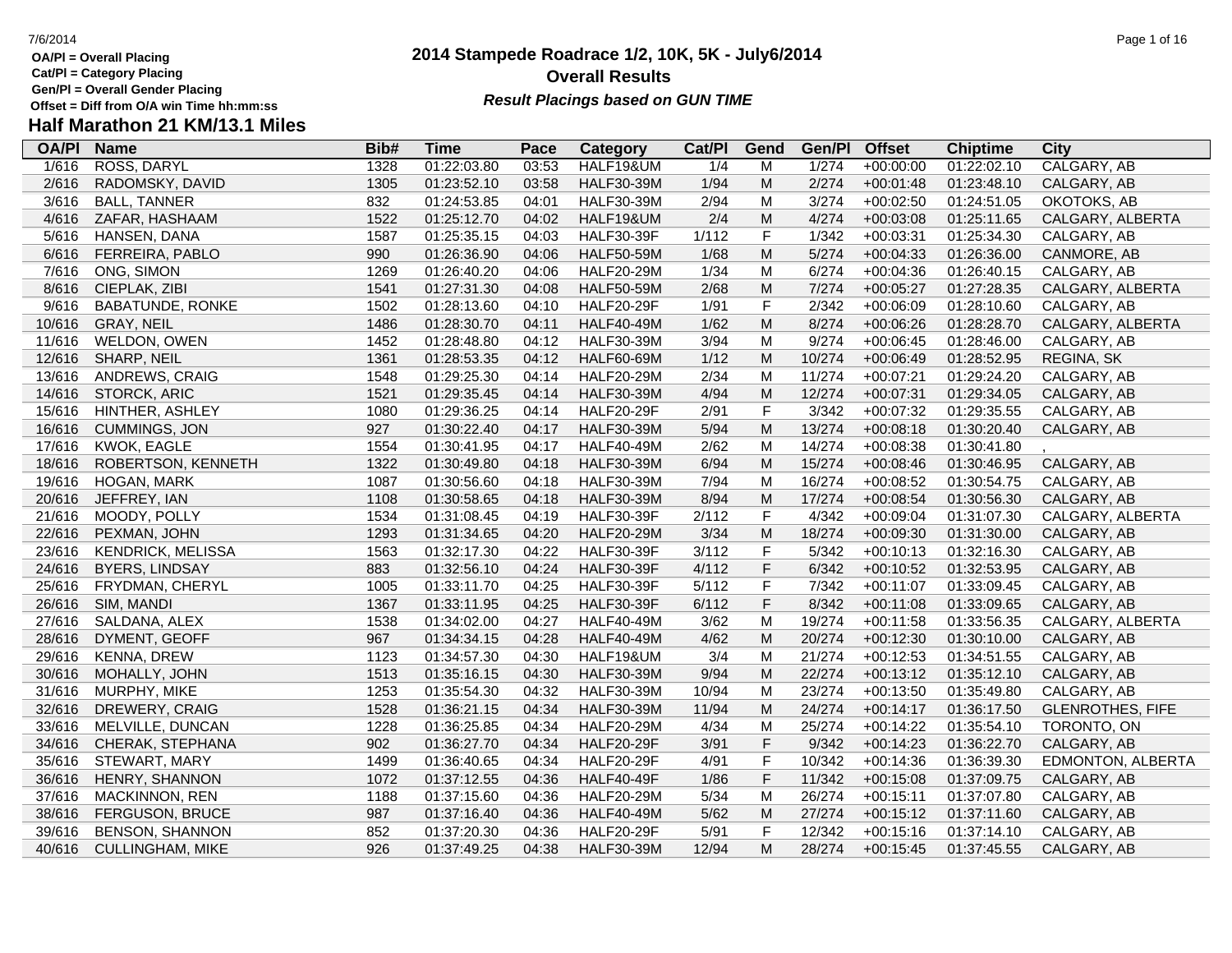**Cat/Pl = Category Placing**

**Gen/Pl = Overall Gender Placing**

## **Half Marathon 21 KM/13.1 Miles**

| <b>OA/PI</b> | <b>Name</b>              | Bib# | Time        | Pace  | Category          | Cat/PI | Gend        | Gen/Pl | <b>Offset</b> | <b>Chiptime</b> | City                     |
|--------------|--------------------------|------|-------------|-------|-------------------|--------|-------------|--------|---------------|-----------------|--------------------------|
| 1/616        | ROSS, DARYL              | 1328 | 01:22:03.80 | 03:53 | HALF19&UM         | 1/4    | M           | 1/274  | $+00:00:00$   | 01:22:02.10     | CALGARY, AB              |
| 2/616        | RADOMSKY, DAVID          | 1305 | 01:23:52.10 | 03:58 | <b>HALF30-39M</b> | 1/94   | M           | 2/274  | $+00:01:48$   | 01:23:48.10     | CALGARY, AB              |
| 3/616        | <b>BALL, TANNER</b>      | 832  | 01:24:53.85 | 04:01 | <b>HALF30-39M</b> | 2/94   | M           | 3/274  | $+00:02:50$   | 01:24:51.05     | OKOTOKS, AB              |
| 4/616        | ZAFAR, HASHAAM           | 1522 | 01:25:12.70 | 04:02 | HALF19&UM         | 2/4    | M           | 4/274  | $+00:03:08$   | 01:25:11.65     | CALGARY, ALBERTA         |
| 5/616        | HANSEN, DANA             | 1587 | 01:25:35.15 | 04:03 | <b>HALF30-39F</b> | 1/112  | $\mathsf F$ | 1/342  | $+00:03:31$   | 01:25:34.30     | CALGARY, AB              |
| 6/616        | FERREIRA, PABLO          | 990  | 01:26:36.90 | 04:06 | <b>HALF50-59M</b> | 1/68   | M           | 5/274  | $+00:04:33$   | 01:26:36.00     | CANMORE, AB              |
| 7/616        | ONG, SIMON               | 1269 | 01:26:40.20 | 04:06 | <b>HALF20-29M</b> | 1/34   | M           | 6/274  | $+00:04:36$   | 01:26:40.15     | CALGARY, AB              |
| 8/616        | CIEPLAK, ZIBI            | 1541 | 01:27:31.30 | 04:08 | <b>HALF50-59M</b> | 2/68   | M           | 7/274  | $+00:05:27$   | 01:27:28.35     | CALGARY, ALBERTA         |
| 9/616        | <b>BABATUNDE, RONKE</b>  | 1502 | 01:28:13.60 | 04:10 | <b>HALF20-29F</b> | 1/91   | $\mathsf F$ | 2/342  | $+00:06:09$   | 01:28:10.60     | CALGARY, AB              |
| 10/616       | <b>GRAY, NEIL</b>        | 1486 | 01:28:30.70 | 04:11 | <b>HALF40-49M</b> | 1/62   | ${\sf M}$   | 8/274  | $+00:06:26$   | 01:28:28.70     | CALGARY, ALBERTA         |
| 11/616       | WELDON, OWEN             | 1452 | 01:28:48.80 | 04:12 | <b>HALF30-39M</b> | 3/94   | M           | 9/274  | $+00:06:45$   | 01:28:46.00     | CALGARY, AB              |
| 12/616       | SHARP, NEIL              | 1361 | 01:28:53.35 | 04:12 | <b>HALF60-69M</b> | 1/12   | M           | 10/274 | $+00:06:49$   | 01:28:52.95     | REGINA, SK               |
| 13/616       | ANDREWS, CRAIG           | 1548 | 01:29:25.30 | 04:14 | <b>HALF20-29M</b> | 2/34   | M           | 11/274 | $+00:07:21$   | 01:29:24.20     | CALGARY, AB              |
| 14/616       | <b>STORCK, ARIC</b>      | 1521 | 01:29:35.45 | 04:14 | <b>HALF30-39M</b> | 4/94   | ${\sf M}$   | 12/274 | $+00:07:31$   | 01:29:34.05     | CALGARY, AB              |
| 15/616       | HINTHER, ASHLEY          | 1080 | 01:29:36.25 | 04:14 | <b>HALF20-29F</b> | 2/91   | $\mathsf F$ | 3/342  | $+00:07:32$   | 01:29:35.55     | CALGARY, AB              |
| 16/616       | <b>CUMMINGS, JON</b>     | 927  | 01:30:22.40 | 04:17 | <b>HALF30-39M</b> | 5/94   | M           | 13/274 | $+00:08:18$   | 01:30:20.40     | CALGARY, AB              |
| 17/616       | KWOK, EAGLE              | 1554 | 01:30:41.95 | 04:17 | <b>HALF40-49M</b> | 2/62   | M           | 14/274 | $+00:08:38$   | 01:30:41.80     |                          |
| 18/616       | ROBERTSON, KENNETH       | 1322 | 01:30:49.80 | 04:18 | <b>HALF30-39M</b> | 6/94   | M           | 15/274 | $+00:08:46$   | 01:30:46.95     | CALGARY, AB              |
| 19/616       | <b>HOGAN, MARK</b>       | 1087 | 01:30:56.60 | 04:18 | <b>HALF30-39M</b> | 7/94   | M           | 16/274 | $+00:08:52$   | 01:30:54.75     | CALGARY, AB              |
| 20/616       | JEFFREY, IAN             | 1108 | 01:30:58.65 | 04:18 | <b>HALF30-39M</b> | 8/94   | M           | 17/274 | $+00:08:54$   | 01:30:56.30     | CALGARY, AB              |
| 21/616       | MOODY, POLLY             | 1534 | 01:31:08.45 | 04:19 | <b>HALF30-39F</b> | 2/112  | $\mathsf F$ | 4/342  | $+00:09:04$   | 01:31:07.30     | CALGARY, ALBERTA         |
| 22/616       | PEXMAN, JOHN             | 1293 | 01:31:34.65 | 04:20 | <b>HALF20-29M</b> | 3/34   | M           | 18/274 | $+00:09:30$   | 01:31:30.00     | CALGARY, AB              |
| 23/616       | <b>KENDRICK, MELISSA</b> | 1563 | 01:32:17.30 | 04:22 | <b>HALF30-39F</b> | 3/112  | $\mathsf F$ | 5/342  | $+00:10:13$   | 01:32:16.30     | CALGARY, AB              |
| 24/616       | <b>BYERS, LINDSAY</b>    | 883  | 01:32:56.10 | 04:24 | <b>HALF30-39F</b> | 4/112  | $\mathsf F$ | 6/342  | $+00:10:52$   | 01:32:53.95     | CALGARY, AB              |
| 25/616       | FRYDMAN, CHERYL          | 1005 | 01:33:11.70 | 04:25 | <b>HALF30-39F</b> | 5/112  | $\mathsf F$ | 7/342  | $+00:11:07$   | 01:33:09.45     | CALGARY, AB              |
| 26/616       | SIM, MANDI               | 1367 | 01:33:11.95 | 04:25 | <b>HALF30-39F</b> | 6/112  | $\mathsf F$ | 8/342  | $+00:11:08$   | 01:33:09.65     | CALGARY, AB              |
| 27/616       | SALDANA, ALEX            | 1538 | 01:34:02.00 | 04:27 | <b>HALF40-49M</b> | 3/62   | M           | 19/274 | $+00:11:58$   | 01:33:56.35     | CALGARY, ALBERTA         |
| 28/616       | DYMENT, GEOFF            | 967  | 01:34:34.15 | 04:28 | <b>HALF40-49M</b> | 4/62   | M           | 20/274 | $+00:12:30$   | 01:30:10.00     | CALGARY, AB              |
| 29/616       | <b>KENNA, DREW</b>       | 1123 | 01:34:57.30 | 04:30 | HALF19&UM         | 3/4    | M           | 21/274 | $+00:12:53$   | 01:34:51.55     | CALGARY, AB              |
| 30/616       | MOHALLY, JOHN            | 1513 | 01:35:16.15 | 04:30 | <b>HALF30-39M</b> | 9/94   | M           | 22/274 | $+00:13:12$   | 01:35:12.10     | CALGARY, AB              |
| 31/616       | MURPHY, MIKE             | 1253 | 01:35:54.30 | 04:32 | <b>HALF30-39M</b> | 10/94  | M           | 23/274 | $+00:13:50$   | 01:35:49.80     | CALGARY, AB              |
| 32/616       | DREWERY, CRAIG           | 1528 | 01:36:21.15 | 04:34 | <b>HALF30-39M</b> | 11/94  | M           | 24/274 | $+00:14:17$   | 01:36:17.50     | <b>GLENROTHES, FIFE</b>  |
| 33/616       | MELVILLE, DUNCAN         | 1228 | 01:36:25.85 | 04:34 | <b>HALF20-29M</b> | 4/34   | M           | 25/274 | $+00:14:22$   | 01:35:54.10     | TORONTO, ON              |
| 34/616       | CHERAK, STEPHANA         | 902  | 01:36:27.70 | 04:34 | <b>HALF20-29F</b> | 3/91   | $\mathsf F$ | 9/342  | $+00:14:23$   | 01:36:22.70     | CALGARY, AB              |
| 35/616       | STEWART, MARY            | 1499 | 01:36:40.65 | 04:34 | <b>HALF20-29F</b> | 4/91   | $\mathsf F$ | 10/342 | $+00:14:36$   | 01:36:39.30     | <b>EDMONTON, ALBERTA</b> |
| 36/616       | HENRY, SHANNON           | 1072 | 01:37:12.55 | 04:36 | <b>HALF40-49F</b> | 1/86   | $\mathsf F$ | 11/342 | $+00:15:08$   | 01:37:09.75     | CALGARY, AB              |
| 37/616       | <b>MACKINNON, REN</b>    | 1188 | 01:37:15.60 | 04:36 | <b>HALF20-29M</b> | 5/34   | M           | 26/274 | $+00:15:11$   | 01:37:07.80     | CALGARY, AB              |
| 38/616       | <b>FERGUSON, BRUCE</b>   | 987  | 01:37:16.40 | 04:36 | <b>HALF40-49M</b> | 5/62   | ${\sf M}$   | 27/274 | $+00:15:12$   | 01:37:11.60     | CALGARY, AB              |
| 39/616       | <b>BENSON, SHANNON</b>   | 852  | 01:37:20.30 | 04:36 | <b>HALF20-29F</b> | 5/91   | $\mathsf F$ | 12/342 | $+00:15:16$   | 01:37:14.10     | CALGARY, AB              |
| 40/616       | <b>CULLINGHAM, MIKE</b>  | 926  | 01:37:49.25 | 04:38 | <b>HALF30-39M</b> | 12/94  | M           | 28/274 | $+00:15:45$   | 01:37:45.55     | CALGARY, AB              |
|              |                          |      |             |       |                   |        |             |        |               |                 |                          |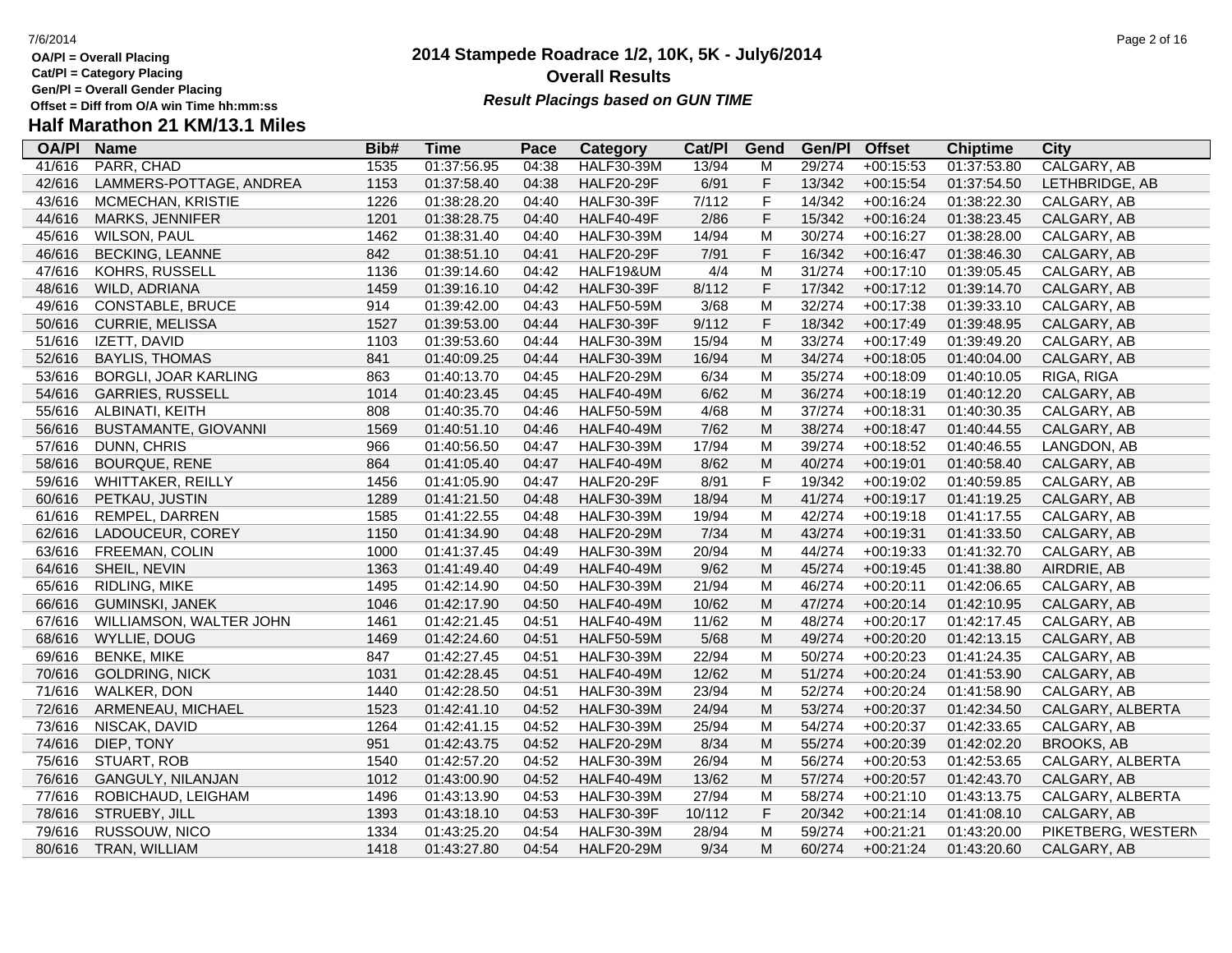- **OA/Pl = Overall Placing**
- **Cat/Pl = Category Placing**
- **Gen/Pl = Overall Gender Placing**
- **Half Marathon 21 KM/13.1 Miles**

### **OA/Pl Name Bib# Time Category Cat/Pl Gen/Pl Pace Category Cat/PI Gend Gen/PI Offset Chiptime City**<br>04:38 HALF30-39M 13/94 M 29/274 +00:15:53 01:37:53.80 CALGARY.AB 41/616 PARR, CHAD 1535 01:37:56.95 04:38 HALF30-39M 13/94 M 29/274 +00:15:53 01:37:53.80 CALGARY, AB 42/616 LAMMERS-POTTAGE, ANDREA 1153 01:37:58.40 04:38 HALF20-29F 6/91 F 13/342 +00:15:54 01:37:54.50 LETHBRIDGE, AB 43/616 MCMECHAN, KRISTIE 1226 01:38:28.20 04:40 HALF30-39F 7/112 F 14/342 +00:16:24 01:38:22.30 CALGARY, AB 44/616 MARKS, JENNIFER 1201 01:38:28.75 04:40 HALF40-49F 2/86 F 15/342 +00:16:24 01:38:23.45 CALGARY, AB 45/616 WILSON, PAUL 1462 01:38:31.40 04:40 HALF30-39M 14/94 M 30/274 +00:16:27 01:38:28.00 CALGARY, AB 46/616 BECKING, LEANNE 842 01:38:51.10 04:41 HALF20-29F 7/91 F 16/342 +00:16:47 01:38:46.30 CALGARY, AB 47/616 KOHRS, RUSSELL 1136 01:39:14.60 04:42 HALF19&UM 4/4 M 31/274 +00:17:10 01:39:05.45 CALGARY, AB 48/616 WILD, ADRIANA 1459 01:39:16.10 04:42 HALF30-39F 8/112 F 17/342 +00:17:12 01:39:14.70 CALGARY, AB 49/616 CONSTABLE, BRUCE 914 01:39:42.00 04:43 HALF50-59M 3/68 M 32/274 +00:17:38 01:39:33.10 CALGARY, AB 50/616 CURRIE, MELISSA 1527 01:39:53.00 04:44 HALF30-39F 9/112 F 18/342 +00:17:49 01:39:48.95 CALGARY, AB 51/616 IZETT, DAVID 1103 01:39:53.60 04:44 HALF30-39M 15/94 M 33/274 +00:17:49 01:39:49.20 CALGARY, AB 52/616 BAYLIS, THOMAS 841 01:40:09.25 04:44 HALF30-39M 16/94 M 34/274 +00:18:05 01:40:04.00 CALGARY, AB 53/616 BORGLI, JOAR KARLING 863 01:40:13.70 04:45 HALF20-29M 6/34 M 35/274 +00:18:09 01:40:10.05 RIGA, RIGA 54/616 GARRIES, RUSSELL 1014 01:40:23.45 04:45 HALF40-49M 6/62 M 36/274 +00:18:19 01:40:12.20 CALGARY, AB 55/616 ALBINATI, KEITH 808 01:40:35.70 04:46 HALF50-59M 4/68 M 37/274 +00:18:31 01:40:30.35 CALGARY, AB 56/616 BUSTAMANTE, GIOVANNI 1569 01:40:51.10 04:46 HALF40-49M 7/62 M 38/274 +00:18:47 01:40:44.55 CALGARY, AB 57/616 DUNN, CHRIS 966 01:40:56.50 04:47 HALF30-39M 17/94 M 39/274 +00:18:52 01:40:46.55 LANGDON, AB 58/616 BOURQUE, RENE 864 01:41:05.40 04:47 HALF40-49M 8/62 M 40/274 +00:19:01 01:40:58.40 CALGARY, AB 59/616 WHITTAKER, REILLY 1456 01:41:05.90 04:47 HALF20-29F 8/91 F 19/342 +00:19:02 01:40:59.85 CALGARY, AB 60/616 PETKAU, JUSTIN 1289 01:41:21.50 04:48 HALF30-39M 18/94 M 41/274 +00:19:17 01:41:19.25 CALGARY, AB 61/616 REMPEL, DARREN 1585 01:41:22.55 04:48 HALF30-39M 19/94 M 42/274 +00:19:18 01:41:17.55 CALGARY, AB 62/616 LADOUCEUR, COREY 1150 01:41:34.90 04:48 HALF20-29M 7/34 M 43/274 +00:19:31 01:41:33.50 CALGARY, AB 63/616 FREEMAN, COLIN 1000 01:41:37.45 04:49 HALF30-39M 20/94 M 44/274 +00:19:33 01:41:32.70 CALGARY, AB 64/616 SHEIL, NEVIN 1363 01:41:49.40 04:49 HALF40-49M 9/62 M 45/274 +00:19:45 01:41:38.80 AIRDRIE, AB 65/616 RIDLING, MIKE 1495 01:42:14.90 04:50 HALF30-39M 21/94 M 46/274 +00:20:11 01:42:06.65 CALGARY, AB 66/616 GUMINSKI, JANEK 1046 01:42:17.90 04:50 HALF40-49M 10/62 M 47/274 +00:20:14 01:42:10.95 CALGARY, AB 67/616 WILLIAMSON, WALTER JOHN 1461 01:42:21.45 04:51 HALF40-49M 11/62 M 48/274 +00:20:17 01:42:17.45 CALGARY, AB 68/616 WYLLIE, DOUG 1469 01:42:24.60 04:51 HALF50-59M 5/68 M 49/274 +00:20:20 01:42:13.15 CALGARY, AB 69/616 BENKE, MIKE 847 01:42:27.45 04:51 HALF30-39M 22/94 M 50/274 +00:20:23 01:41:24.35 CALGARY, AB 70/616 GOLDRING, NICK 1031 01:42:28.45 04:51 HALF40-49M 12/62 M 51/274 +00:20:24 01:41:53.90 CALGARY, AB 71/616 WALKER, DON 1440 01:42:28.50 04:51 HALF30-39M 23/94 M 52/274 +00:20:24 01:41:58.90 CALGARY, AB 72/616 ARMENEAU, MICHAEL 1523 01:42:41.10 04:52 HALF30-39M 24/94 M 53/274 +00:20:37 01:42:34.50 CALGARY, ALBERTA 73/616 NISCAK, DAVID 1264 01:42:41.15 04:52 HALF30-39M 25/94 M 54/274 +00:20:37 01:42:33.65 CALGARY, AB 74/616 DIEP, TONY 951 01:42:43.75 04:52 HALF20-29M 8/34 M 55/274 +00:20:39 01:42:02.20 BROOKS, AB 75/616 STUART, ROB 1540 01:42:57.20 04:52 HALF30-39M 26/94 M 56/274 +00:20:53 01:42:53.65 CALGARY, ALBERTA 76/616 GANGULY, NILANJAN 1012 01:43:00.90 04:52 HALF40-49M 13/62 M 57/274 +00:20:57 01:42:43.70 CALGARY, AB 77/616 ROBICHAUD, LEIGHAM 1496 01:43:13.90 04:53 HALF30-39M 27/94 M 58/274 +00:21:10 01:43:13.75 CALGARY, ALBERTA 78/616 STRUEBY, JILL 1393 01:43:18.10 04:53 HALF30-39F 10/112 F 20/342 +00:21:14 01:41:08.10 CALGARY, AB 79/616 RUSSOUW, NICO 1334 01:43:25.20 04:54 HALF30-39M 28/94 M 59/274 +00:21:21 01:43:20.00 PIKETBERG, WESTERN CA 80/616 TRAN, WILLIAM 1418 01:43:27.80 04:54 HALF20-29M 9/34 M 60/274 +00:21:24 01:43:20.60 CALGARY, AB

## **Overall Results**

**Result Placings based on GUN TIME** 

**2014 Stampede Roadrace 1/2, 10K, 5K - July6/2014**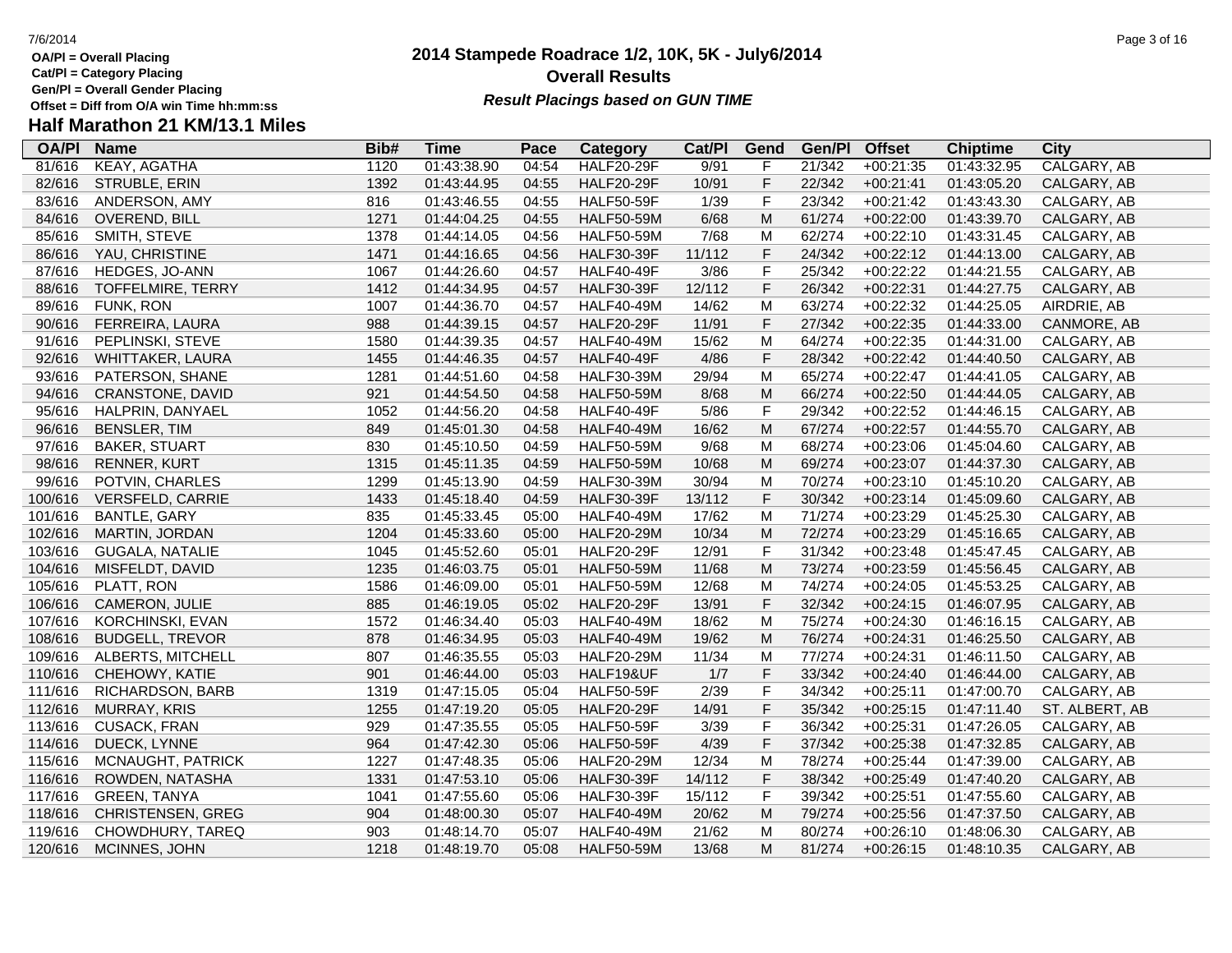- **Cat/Pl = Category Placing**
- **Gen/Pl = Overall Gender Placing**
- **Half Marathon 21 KM/13.1 Miles**

### **2014 Stampede Roadrace 1/2, 10K, 5K - July6/2014** 7/6/2014 Page 3 of 16 **Overall Results**

| <b>OA/PI</b> | <b>Name</b>             | Bib# | Time        | Pace  | Category          | Cat/PI | Gend        | Gen/Pl | <b>Offset</b> | <b>Chiptime</b> | City           |
|--------------|-------------------------|------|-------------|-------|-------------------|--------|-------------|--------|---------------|-----------------|----------------|
| 81/616       | KEAY, AGATHA            | 1120 | 01:43:38.90 | 04:54 | <b>HALF20-29F</b> | 9/91   | F           | 21/342 | $+00:21:35$   | 01:43:32.95     | CALGARY, AB    |
| 82/616       | STRUBLE, ERIN           | 1392 | 01:43:44.95 | 04:55 | <b>HALF20-29F</b> | 10/91  | $\mathsf F$ | 22/342 | $+00:21:41$   | 01:43:05.20     | CALGARY, AB    |
| 83/616       | ANDERSON, AMY           | 816  | 01:43:46.55 | 04:55 | <b>HALF50-59F</b> | 1/39   | F           | 23/342 | $+00:21:42$   | 01:43:43.30     | CALGARY, AB    |
| 84/616       | <b>OVEREND, BILL</b>    | 1271 | 01:44:04.25 | 04:55 | <b>HALF50-59M</b> | 6/68   | M           | 61/274 | $+00:22:00$   | 01:43:39.70     | CALGARY, AB    |
| 85/616       | SMITH, STEVE            | 1378 | 01:44:14.05 | 04:56 | <b>HALF50-59M</b> | 7/68   | M           | 62/274 | $+00:22:10$   | 01:43:31.45     | CALGARY, AB    |
| 86/616       | YAU, CHRISTINE          | 1471 | 01:44:16.65 | 04:56 | <b>HALF30-39F</b> | 11/112 | $\mathsf F$ | 24/342 | $+00:22:12$   | 01:44:13.00     | CALGARY, AB    |
| 87/616       | HEDGES, JO-ANN          | 1067 | 01:44:26.60 | 04:57 | <b>HALF40-49F</b> | 3/86   | $\mathsf F$ | 25/342 | $+00:22:22$   | 01:44:21.55     | CALGARY, AB    |
| 88/616       | TOFFELMIRE, TERRY       | 1412 | 01:44:34.95 | 04:57 | <b>HALF30-39F</b> | 12/112 | $\mathsf F$ | 26/342 | $+00:22:31$   | 01:44:27.75     | CALGARY, AB    |
| 89/616       | FUNK, RON               | 1007 | 01:44:36.70 | 04:57 | <b>HALF40-49M</b> | 14/62  | M           | 63/274 | $+00:22:32$   | 01:44:25.05     | AIRDRIE, AB    |
| 90/616       | FERREIRA, LAURA         | 988  | 01:44:39.15 | 04:57 | <b>HALF20-29F</b> | 11/91  | $\mathsf F$ | 27/342 | $+00:22:35$   | 01:44:33.00     | CANMORE, AB    |
| 91/616       | PEPLINSKI, STEVE        | 1580 | 01:44:39.35 | 04:57 | <b>HALF40-49M</b> | 15/62  | M           | 64/274 | $+00:22:35$   | 01:44:31.00     | CALGARY, AB    |
| 92/616       | <b>WHITTAKER, LAURA</b> | 1455 | 01:44:46.35 | 04:57 | <b>HALF40-49F</b> | 4/86   | $\mathsf F$ | 28/342 | $+00:22:42$   | 01:44:40.50     | CALGARY, AB    |
| 93/616       | PATERSON, SHANE         | 1281 | 01:44:51.60 | 04:58 | <b>HALF30-39M</b> | 29/94  | M           | 65/274 | $+00:22:47$   | 01:44:41.05     | CALGARY, AB    |
| 94/616       | CRANSTONE, DAVID        | 921  | 01:44:54.50 | 04:58 | <b>HALF50-59M</b> | 8/68   | M           | 66/274 | $+00:22:50$   | 01:44:44.05     | CALGARY, AB    |
| 95/616       | HALPRIN, DANYAEL        | 1052 | 01:44:56.20 | 04:58 | <b>HALF40-49F</b> | $5/86$ | $\mathsf F$ | 29/342 | $+00:22:52$   | 01:44:46.15     | CALGARY, AB    |
| 96/616       | <b>BENSLER, TIM</b>     | 849  | 01:45:01.30 | 04:58 | <b>HALF40-49M</b> | 16/62  | M           | 67/274 | $+00:22:57$   | 01:44:55.70     | CALGARY, AB    |
| 97/616       | <b>BAKER, STUART</b>    | 830  | 01:45:10.50 | 04:59 | <b>HALF50-59M</b> | 9/68   | M           | 68/274 | $+00:23:06$   | 01:45:04.60     | CALGARY, AB    |
| 98/616       | <b>RENNER, KURT</b>     | 1315 | 01:45:11.35 | 04:59 | <b>HALF50-59M</b> | 10/68  | M           | 69/274 | $+00:23:07$   | 01:44:37.30     | CALGARY, AB    |
| 99/616       | POTVIN, CHARLES         | 1299 | 01:45:13.90 | 04:59 | <b>HALF30-39M</b> | 30/94  | M           | 70/274 | $+00:23:10$   | 01:45:10.20     | CALGARY, AB    |
| 100/616      | <b>VERSFELD, CARRIE</b> | 1433 | 01:45:18.40 | 04:59 | <b>HALF30-39F</b> | 13/112 | $\mathsf F$ | 30/342 | $+00:23:14$   | 01:45:09.60     | CALGARY, AB    |
| 101/616      | <b>BANTLE, GARY</b>     | 835  | 01:45:33.45 | 05:00 | <b>HALF40-49M</b> | 17/62  | M           | 71/274 | $+00:23:29$   | 01:45:25.30     | CALGARY, AB    |
| 102/616      | MARTIN, JORDAN          | 1204 | 01:45:33.60 | 05:00 | <b>HALF20-29M</b> | 10/34  | ${\sf M}$   | 72/274 | $+00:23:29$   | 01:45:16.65     | CALGARY, AB    |
| 103/616      | GUGALA, NATALIE         | 1045 | 01:45:52.60 | 05:01 | <b>HALF20-29F</b> | 12/91  | $\mathsf F$ | 31/342 | $+00:23:48$   | 01:45:47.45     | CALGARY, AB    |
| 104/616      | MISFELDT, DAVID         | 1235 | 01:46:03.75 | 05:01 | <b>HALF50-59M</b> | 11/68  | M           | 73/274 | $+00:23:59$   | 01:45:56.45     | CALGARY, AB    |
| 105/616      | PLATT, RON              | 1586 | 01:46:09.00 | 05:01 | <b>HALF50-59M</b> | 12/68  | M           | 74/274 | $+00:24:05$   | 01:45:53.25     | CALGARY, AB    |
| 106/616      | CAMERON, JULIE          | 885  | 01:46:19.05 | 05:02 | <b>HALF20-29F</b> | 13/91  | $\mathsf F$ | 32/342 | $+00:24:15$   | 01:46:07.95     | CALGARY, AB    |
| 107/616      | <b>KORCHINSKI, EVAN</b> | 1572 | 01:46:34.40 | 05:03 | <b>HALF40-49M</b> | 18/62  | M           | 75/274 | $+00:24:30$   | 01:46:16.15     | CALGARY, AB    |
| 108/616      | <b>BUDGELL, TREVOR</b>  | 878  | 01:46:34.95 | 05:03 | <b>HALF40-49M</b> | 19/62  | M           | 76/274 | $+00:24:31$   | 01:46:25.50     | CALGARY, AB    |
| 109/616      | ALBERTS, MITCHELL       | 807  | 01:46:35.55 | 05:03 | <b>HALF20-29M</b> | 11/34  | M           | 77/274 | $+00:24:31$   | 01:46:11.50     | CALGARY, AB    |
| 110/616      | CHEHOWY, KATIE          | 901  | 01:46:44.00 | 05:03 | HALF19&UF         | 1/7    | $\mathsf F$ | 33/342 | $+00:24:40$   | 01:46:44.00     | CALGARY, AB    |
| 111/616      | RICHARDSON, BARB        | 1319 | 01:47:15.05 | 05:04 | <b>HALF50-59F</b> | 2/39   | $\mathsf F$ | 34/342 | $+00:25:11$   | 01:47:00.70     | CALGARY, AB    |
| 112/616      | <b>MURRAY, KRIS</b>     | 1255 | 01:47:19.20 | 05:05 | <b>HALF20-29F</b> | 14/91  | $\mathsf F$ | 35/342 | $+00:25:15$   | 01:47:11.40     | ST. ALBERT, AB |
| 113/616      | <b>CUSACK, FRAN</b>     | 929  | 01:47:35.55 | 05:05 | <b>HALF50-59F</b> | 3/39   | $\mathsf F$ | 36/342 | $+00:25:31$   | 01:47:26.05     | CALGARY, AB    |
| 114/616      | DUECK, LYNNE            | 964  | 01:47:42.30 | 05:06 | <b>HALF50-59F</b> | 4/39   | $\mathsf F$ | 37/342 | $+00:25:38$   | 01:47:32.85     | CALGARY, AB    |
| 115/616      | MCNAUGHT, PATRICK       | 1227 | 01:47:48.35 | 05:06 | <b>HALF20-29M</b> | 12/34  | M           | 78/274 | $+00:25:44$   | 01:47:39.00     | CALGARY, AB    |
| 116/616      | ROWDEN, NATASHA         | 1331 | 01:47:53.10 | 05:06 | <b>HALF30-39F</b> | 14/112 | $\mathsf F$ | 38/342 | $+00:25:49$   | 01:47:40.20     | CALGARY, AB    |
| 117/616      | <b>GREEN, TANYA</b>     | 1041 | 01:47:55.60 | 05:06 | <b>HALF30-39F</b> | 15/112 | $\mathsf F$ | 39/342 | $+00:25:51$   | 01:47:55.60     | CALGARY, AB    |
| 118/616      | CHRISTENSEN, GREG       | 904  | 01:48:00.30 | 05:07 | <b>HALF40-49M</b> | 20/62  | M           | 79/274 | $+00:25:56$   | 01:47:37.50     | CALGARY, AB    |
| 119/616      | CHOWDHURY, TAREQ        | 903  | 01:48:14.70 | 05:07 | <b>HALF40-49M</b> | 21/62  | M           | 80/274 | $+00:26:10$   | 01:48:06.30     | CALGARY, AB    |
| 120/616      | MCINNES, JOHN           | 1218 | 01:48:19.70 | 05:08 | <b>HALF50-59M</b> | 13/68  | M           | 81/274 | $+00:26:15$   | 01:48:10.35     | CALGARY, AB    |
|              |                         |      |             |       |                   |        |             |        |               |                 |                |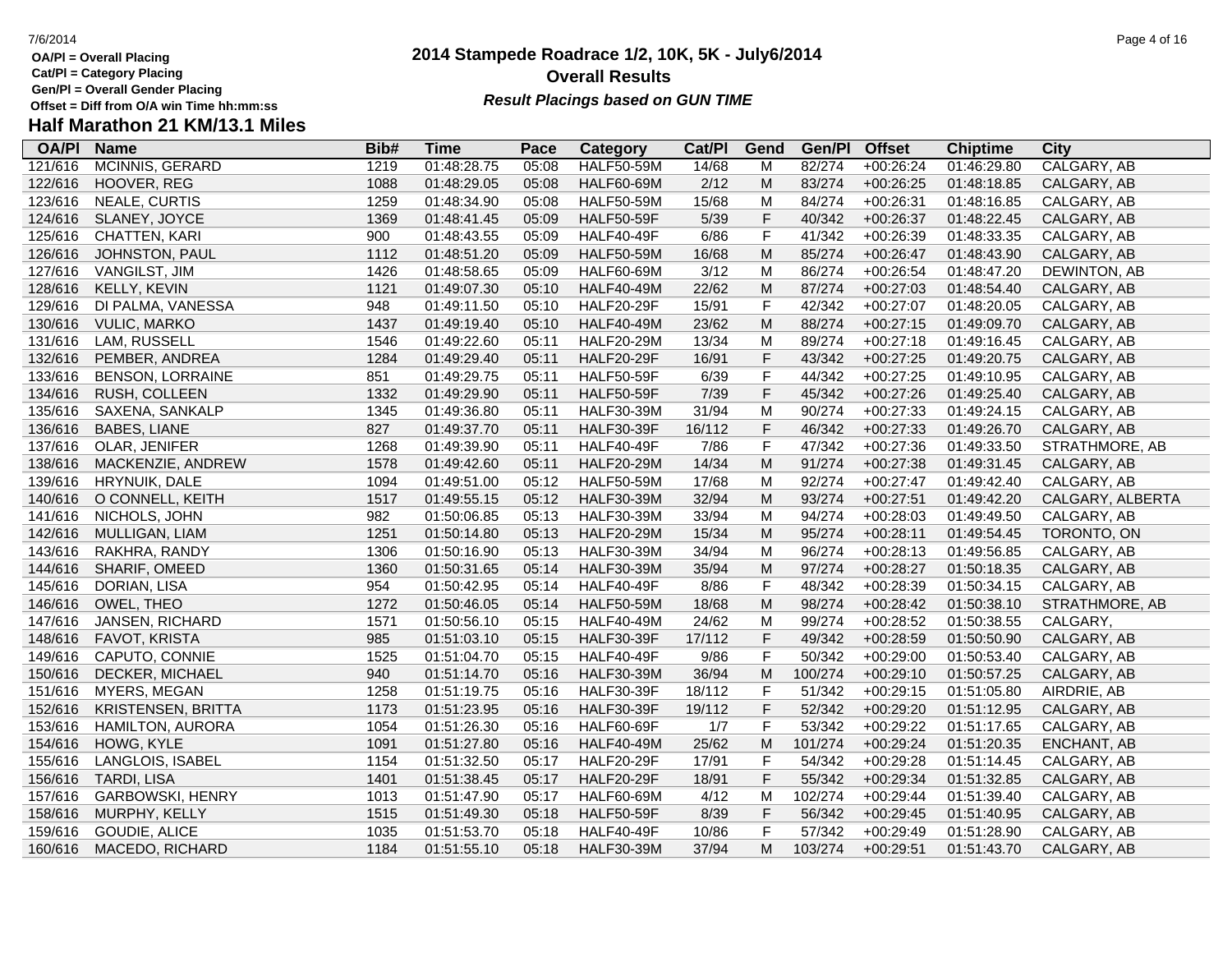- **Cat/Pl = Category Placing**
- **Gen/Pl = Overall Gender Placing**

# **Half Marathon 21 KM/13.1 Miles**

| <b>OA/PI</b> | <b>Name</b>               | Bib# | <b>Time</b> | Pace  | Category          | Cat/PI | Gend        | Gen/Pl  | <b>Offset</b> | <b>Chiptime</b> | <b>City</b>      |
|--------------|---------------------------|------|-------------|-------|-------------------|--------|-------------|---------|---------------|-----------------|------------------|
| 121/616      | MCINNIS, GERARD           | 1219 | 01:48:28.75 | 05:08 | <b>HALF50-59M</b> | 14/68  | M           | 82/274  | $+00:26:24$   | 01:46:29.80     | CALGARY, AB      |
| 122/616      | HOOVER, REG               | 1088 | 01:48:29.05 | 05:08 | <b>HALF60-69M</b> | 2/12   | M           | 83/274  | $+00:26:25$   | 01:48:18.85     | CALGARY, AB      |
| 123/616      | NEALE, CURTIS             | 1259 | 01:48:34.90 | 05:08 | <b>HALF50-59M</b> | 15/68  | M           | 84/274  | $+00:26:31$   | 01:48:16.85     | CALGARY, AB      |
| 124/616      | SLANEY, JOYCE             | 1369 | 01:48:41.45 | 05:09 | <b>HALF50-59F</b> | 5/39   | $\mathsf F$ | 40/342  | $+00:26:37$   | 01:48:22.45     | CALGARY, AB      |
| 125/616      | CHATTEN, KARI             | 900  | 01:48:43.55 | 05:09 | <b>HALF40-49F</b> | 6/86   | $\mathsf F$ | 41/342  | $+00:26:39$   | 01:48:33.35     | CALGARY, AB      |
| 126/616      | JOHNSTON, PAUL            | 1112 | 01:48:51.20 | 05:09 | <b>HALF50-59M</b> | 16/68  | M           | 85/274  | $+00:26:47$   | 01:48:43.90     | CALGARY, AB      |
| 127/616      | VANGILST, JIM             | 1426 | 01:48:58.65 | 05:09 | <b>HALF60-69M</b> | 3/12   | М           | 86/274  | $+00:26:54$   | 01:48:47.20     | DEWINTON, AB     |
| 128/616      | KELLY, KEVIN              | 1121 | 01:49:07.30 | 05:10 | <b>HALF40-49M</b> | 22/62  | M           | 87/274  | $+00:27:03$   | 01:48:54.40     | CALGARY, AB      |
| 129/616      | DI PALMA, VANESSA         | 948  | 01:49:11.50 | 05:10 | <b>HALF20-29F</b> | 15/91  | $\mathsf F$ | 42/342  | $+00:27:07$   | 01:48:20.05     | CALGARY, AB      |
| 130/616      | <b>VULIC, MARKO</b>       | 1437 | 01:49:19.40 | 05:10 | <b>HALF40-49M</b> | 23/62  | M           | 88/274  | $+00:27:15$   | 01:49:09.70     | CALGARY, AB      |
| 131/616      | LAM, RUSSELL              | 1546 | 01:49:22.60 | 05:11 | <b>HALF20-29M</b> | 13/34  | M           | 89/274  | $+00:27:18$   | 01:49:16.45     | CALGARY, AB      |
| 132/616      | PEMBER, ANDREA            | 1284 | 01:49:29.40 | 05:11 | <b>HALF20-29F</b> | 16/91  | $\mathsf F$ | 43/342  | $+00:27:25$   | 01:49:20.75     | CALGARY, AB      |
| 133/616      | <b>BENSON, LORRAINE</b>   | 851  | 01:49:29.75 | 05:11 | <b>HALF50-59F</b> | 6/39   | $\mathsf F$ | 44/342  | $+00:27:25$   | 01:49:10.95     | CALGARY, AB      |
| 134/616      | RUSH, COLLEEN             | 1332 | 01:49:29.90 | 05:11 | <b>HALF50-59F</b> | 7/39   | $\mathsf F$ | 45/342  | $+00:27:26$   | 01:49:25.40     | CALGARY, AB      |
| 135/616      | SAXENA, SANKALP           | 1345 | 01:49:36.80 | 05:11 | <b>HALF30-39M</b> | 31/94  | M           | 90/274  | $+00:27:33$   | 01:49:24.15     | CALGARY, AB      |
| 136/616      | <b>BABES, LIANE</b>       | 827  | 01:49:37.70 | 05:11 | <b>HALF30-39F</b> | 16/112 | $\mathsf F$ | 46/342  | $+00:27:33$   | 01:49:26.70     | CALGARY, AB      |
| 137/616      | OLAR, JENIFER             | 1268 | 01:49:39.90 | 05:11 | <b>HALF40-49F</b> | 7/86   | $\mathsf F$ | 47/342  | $+00:27:36$   | 01:49:33.50     | STRATHMORE, AB   |
| 138/616      | MACKENZIE, ANDREW         | 1578 | 01:49:42.60 | 05:11 | <b>HALF20-29M</b> | 14/34  | M           | 91/274  | $+00:27:38$   | 01:49:31.45     | CALGARY, AB      |
| 139/616      | HRYNUIK, DALE             | 1094 | 01:49:51.00 | 05:12 | <b>HALF50-59M</b> | 17/68  | M           | 92/274  | $+00:27:47$   | 01:49:42.40     | CALGARY, AB      |
| 140/616      | O CONNELL, KEITH          | 1517 | 01:49:55.15 | 05:12 | <b>HALF30-39M</b> | 32/94  | M           | 93/274  | $+00:27:51$   | 01:49:42.20     | CALGARY, ALBERTA |
| 141/616      | NICHOLS, JOHN             | 982  | 01:50:06.85 | 05:13 | <b>HALF30-39M</b> | 33/94  | M           | 94/274  | $+00:28:03$   | 01:49:49.50     | CALGARY, AB      |
| 142/616      | MULLIGAN, LIAM            | 1251 | 01:50:14.80 | 05:13 | <b>HALF20-29M</b> | 15/34  | M           | 95/274  | $+00:28:11$   | 01:49:54.45     | TORONTO, ON      |
| 143/616      | RAKHRA, RANDY             | 1306 | 01:50:16.90 | 05:13 | <b>HALF30-39M</b> | 34/94  | M           | 96/274  | $+00:28:13$   | 01:49:56.85     | CALGARY, AB      |
| 144/616      | SHARIF, OMEED             | 1360 | 01:50:31.65 | 05:14 | <b>HALF30-39M</b> | 35/94  | M           | 97/274  | $+00:28:27$   | 01:50:18.35     | CALGARY, AB      |
| 145/616      | DORIAN, LISA              | 954  | 01:50:42.95 | 05:14 | HALF40-49F        | 8/86   | $\mathsf F$ | 48/342  | $+00:28:39$   | 01:50:34.15     | CALGARY, AB      |
| 146/616      | OWEL, THEO                | 1272 | 01:50:46.05 | 05:14 | <b>HALF50-59M</b> | 18/68  | M           | 98/274  | $+00:28:42$   | 01:50:38.10     | STRATHMORE, AB   |
| 147/616      | JANSEN, RICHARD           | 1571 | 01:50:56.10 | 05:15 | <b>HALF40-49M</b> | 24/62  | M           | 99/274  | $+00:28:52$   | 01:50:38.55     | CALGARY,         |
| 148/616      | <b>FAVOT, KRISTA</b>      | 985  | 01:51:03.10 | 05:15 | <b>HALF30-39F</b> | 17/112 | $\mathsf F$ | 49/342  | $+00:28:59$   | 01:50:50.90     | CALGARY, AB      |
| 149/616      | CAPUTO, CONNIE            | 1525 | 01:51:04.70 | 05:15 | <b>HALF40-49F</b> | 9/86   | $\mathsf F$ | 50/342  | $+00:29:00$   | 01:50:53.40     | CALGARY, AB      |
| 150/616      | DECKER, MICHAEL           | 940  | 01:51:14.70 | 05:16 | <b>HALF30-39M</b> | 36/94  | M           | 100/274 | $+00:29:10$   | 01:50:57.25     | CALGARY, AB      |
| 151/616      | MYERS, MEGAN              | 1258 | 01:51:19.75 | 05:16 | <b>HALF30-39F</b> | 18/112 | F           | 51/342  | $+00:29:15$   | 01:51:05.80     | AIRDRIE, AB      |
| 152/616      | <b>KRISTENSEN, BRITTA</b> | 1173 | 01:51:23.95 | 05:16 | <b>HALF30-39F</b> | 19/112 | $\mathsf F$ | 52/342  | $+00:29:20$   | 01:51:12.95     | CALGARY, AB      |
| 153/616      | <b>HAMILTON, AURORA</b>   | 1054 | 01:51:26.30 | 05:16 | <b>HALF60-69F</b> | 1/7    | F           | 53/342  | $+00:29:22$   | 01:51:17.65     | CALGARY, AB      |
| 154/616      | HOWG, KYLE                | 1091 | 01:51:27.80 | 05:16 | <b>HALF40-49M</b> | 25/62  | M           | 101/274 | $+00:29:24$   | 01:51:20.35     | ENCHANT, AB      |
| 155/616      | LANGLOIS, ISABEL          | 1154 | 01:51:32.50 | 05:17 | <b>HALF20-29F</b> | 17/91  | $\mathsf F$ | 54/342  | +00:29:28     | 01:51:14.45     | CALGARY, AB      |
| 156/616      | <b>TARDI, LISA</b>        | 1401 | 01:51:38.45 | 05:17 | <b>HALF20-29F</b> | 18/91  | $\mathsf F$ | 55/342  | $+00:29:34$   | 01:51:32.85     | CALGARY, AB      |
| 157/616      | <b>GARBOWSKI, HENRY</b>   | 1013 | 01:51:47.90 | 05:17 | <b>HALF60-69M</b> | 4/12   | М           | 102/274 | $+00:29:44$   | 01:51:39.40     | CALGARY, AB      |
| 158/616      | MURPHY, KELLY             | 1515 | 01:51:49.30 | 05:18 | <b>HALF50-59F</b> | 8/39   | $\mathsf F$ | 56/342  | $+00:29:45$   | 01:51:40.95     | CALGARY, AB      |
| 159/616      | GOUDIE, ALICE             | 1035 | 01:51:53.70 | 05:18 | <b>HALF40-49F</b> | 10/86  | F           | 57/342  | $+00:29:49$   | 01:51:28.90     | CALGARY, AB      |
| 160/616      | <b>MACEDO, RICHARD</b>    | 1184 | 01:51:55.10 | 05:18 | <b>HALF30-39M</b> | 37/94  | M           | 103/274 | $+00:29:51$   | 01:51:43.70     | CALGARY, AB      |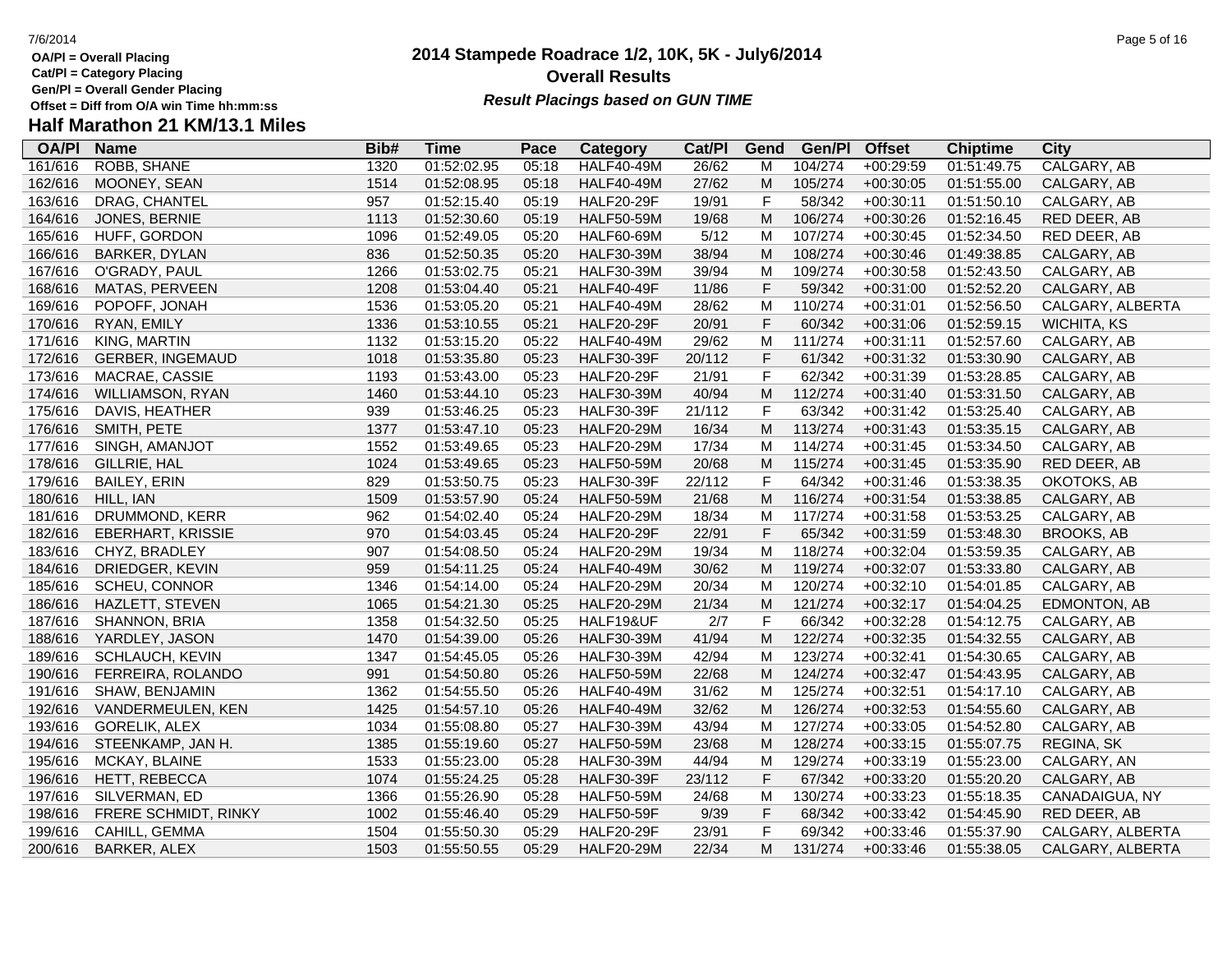**Cat/Pl = Category Placing**

**Gen/Pl = Overall Gender Placing**

# **Half Marathon 21 KM/13.1 Miles**

| <b>OA/PI</b> | <b>Name</b>              | Bib# | <b>Time</b> | Pace  | Category          | Cat/PI | Gend        | Gen/Pl  | <b>Offset</b> | <b>Chiptime</b> | <b>City</b>        |
|--------------|--------------------------|------|-------------|-------|-------------------|--------|-------------|---------|---------------|-----------------|--------------------|
| 161/616      | <b>ROBB, SHANE</b>       | 1320 | 01:52:02.95 | 05:18 | <b>HALF40-49M</b> | 26/62  | M           | 104/274 | $+00:29:59$   | 01:51:49.75     | CALGARY, AB        |
| 162/616      | MOONEY, SEAN             | 1514 | 01:52:08.95 | 05:18 | <b>HALF40-49M</b> | 27/62  | M           | 105/274 | $+00:30:05$   | 01:51:55.00     | CALGARY, AB        |
| 163/616      | DRAG, CHANTEL            | 957  | 01:52:15.40 | 05:19 | <b>HALF20-29F</b> | 19/91  | $\mathsf F$ | 58/342  | $+00:30:11$   | 01:51:50.10     | CALGARY, AB        |
| 164/616      | JONES, BERNIE            | 1113 | 01:52:30.60 | 05:19 | <b>HALF50-59M</b> | 19/68  | M           | 106/274 | $+00:30:26$   | 01:52:16.45     | RED DEER, AB       |
| 165/616      | HUFF, GORDON             | 1096 | 01:52:49.05 | 05:20 | <b>HALF60-69M</b> | 5/12   | M           | 107/274 | $+00:30:45$   | 01:52:34.50     | RED DEER, AB       |
| 166/616      | <b>BARKER, DYLAN</b>     | 836  | 01:52:50.35 | 05:20 | <b>HALF30-39M</b> | 38/94  | M           | 108/274 | $+00:30:46$   | 01:49:38.85     | CALGARY, AB        |
| 167/616      | O'GRADY, PAUL            | 1266 | 01:53:02.75 | 05:21 | <b>HALF30-39M</b> | 39/94  | M           | 109/274 | $+00:30:58$   | 01:52:43.50     | CALGARY, AB        |
| 168/616      | MATAS, PERVEEN           | 1208 | 01:53:04.40 | 05:21 | <b>HALF40-49F</b> | 11/86  | $\mathsf F$ | 59/342  | $+00:31:00$   | 01:52:52.20     | CALGARY, AB        |
| 169/616      | POPOFF, JONAH            | 1536 | 01:53:05.20 | 05:21 | <b>HALF40-49M</b> | 28/62  | М           | 110/274 | $+00:31:01$   | 01:52:56.50     | CALGARY, ALBERTA   |
| 170/616      | RYAN, EMILY              | 1336 | 01:53:10.55 | 05:21 | <b>HALF20-29F</b> | 20/91  | $\mathsf F$ | 60/342  | $+00:31:06$   | 01:52:59.15     | <b>WICHITA, KS</b> |
| 171/616      | KING, MARTIN             | 1132 | 01:53:15.20 | 05:22 | <b>HALF40-49M</b> | 29/62  | M           | 111/274 | $+00:31:11$   | 01:52:57.60     | CALGARY, AB        |
| 172/616      | <b>GERBER, INGEMAUD</b>  | 1018 | 01:53:35.80 | 05:23 | <b>HALF30-39F</b> | 20/112 | $\mathsf F$ | 61/342  | $+00:31:32$   | 01:53:30.90     | CALGARY, AB        |
| 173/616      | MACRAE, CASSIE           | 1193 | 01:53:43.00 | 05:23 | <b>HALF20-29F</b> | 21/91  | $\mathsf F$ | 62/342  | $+00:31:39$   | 01:53:28.85     | CALGARY, AB        |
| 174/616      | <b>WILLIAMSON, RYAN</b>  | 1460 | 01:53:44.10 | 05:23 | <b>HALF30-39M</b> | 40/94  | M           | 112/274 | $+00:31:40$   | 01:53:31.50     | CALGARY, AB        |
| 175/616      | DAVIS, HEATHER           | 939  | 01:53:46.25 | 05:23 | <b>HALF30-39F</b> | 21/112 | $\mathsf F$ | 63/342  | $+00:31:42$   | 01:53:25.40     | CALGARY, AB        |
| 176/616      | SMITH, PETE              | 1377 | 01:53:47.10 | 05:23 | <b>HALF20-29M</b> | 16/34  | M           | 113/274 | $+00:31:43$   | 01:53:35.15     | CALGARY, AB        |
| 177/616      | SINGH, AMANJOT           | 1552 | 01:53:49.65 | 05:23 | <b>HALF20-29M</b> | 17/34  | M           | 114/274 | $+00:31:45$   | 01:53:34.50     | CALGARY, AB        |
| 178/616      | GILLRIE, HAL             | 1024 | 01:53:49.65 | 05:23 | <b>HALF50-59M</b> | 20/68  | M           | 115/274 | $+00:31:45$   | 01:53:35.90     | RED DEER, AB       |
| 179/616      | <b>BAILEY, ERIN</b>      | 829  | 01:53:50.75 | 05:23 | <b>HALF30-39F</b> | 22/112 | $\mathsf F$ | 64/342  | $+00:31:46$   | 01:53:38.35     | OKOTOKS, AB        |
| 180/616      | HILL, IAN                | 1509 | 01:53:57.90 | 05:24 | <b>HALF50-59M</b> | 21/68  | M           | 116/274 | $+00:31:54$   | 01:53:38.85     | CALGARY, AB        |
| 181/616      | DRUMMOND, KERR           | 962  | 01:54:02.40 | 05:24 | <b>HALF20-29M</b> | 18/34  | M           | 117/274 | $+00:31:58$   | 01:53:53.25     | CALGARY, AB        |
| 182/616      | <b>EBERHART, KRISSIE</b> | 970  | 01:54:03.45 | 05:24 | <b>HALF20-29F</b> | 22/91  | $\mathsf F$ | 65/342  | $+00:31:59$   | 01:53:48.30     | <b>BROOKS, AB</b>  |
| 183/616      | CHYZ, BRADLEY            | 907  | 01:54:08.50 | 05:24 | <b>HALF20-29M</b> | 19/34  | M           | 118/274 | $+00:32:04$   | 01:53:59.35     | CALGARY, AB        |
| 184/616      | DRIEDGER, KEVIN          | 959  | 01:54:11.25 | 05:24 | <b>HALF40-49M</b> | 30/62  | M           | 119/274 | $+00:32:07$   | 01:53:33.80     | CALGARY, AB        |
| 185/616      | <b>SCHEU, CONNOR</b>     | 1346 | 01:54:14.00 | 05:24 | <b>HALF20-29M</b> | 20/34  | M           | 120/274 | $+00:32:10$   | 01:54:01.85     | CALGARY, AB        |
| 186/616      | HAZLETT, STEVEN          | 1065 | 01:54:21.30 | 05:25 | <b>HALF20-29M</b> | 21/34  | M           | 121/274 | $+00:32:17$   | 01:54:04.25     | EDMONTON, AB       |
| 187/616      | <b>SHANNON, BRIA</b>     | 1358 | 01:54:32.50 | 05:25 | HALF19&UF         | 2/7    | $\mathsf F$ | 66/342  | $+00:32:28$   | 01:54:12.75     | CALGARY, AB        |
| 188/616      | YARDLEY, JASON           | 1470 | 01:54:39.00 | 05:26 | <b>HALF30-39M</b> | 41/94  | M           | 122/274 | $+00:32:35$   | 01:54:32.55     | CALGARY, AB        |
| 189/616      | SCHLAUCH, KEVIN          | 1347 | 01:54:45.05 | 05:26 | <b>HALF30-39M</b> | 42/94  | M           | 123/274 | $+00:32:41$   | 01:54:30.65     | CALGARY, AB        |
| 190/616      | FERREIRA, ROLANDO        | 991  | 01:54:50.80 | 05:26 | <b>HALF50-59M</b> | 22/68  | M           | 124/274 | $+00:32:47$   | 01:54:43.95     | CALGARY, AB        |
| 191/616      | SHAW, BENJAMIN           | 1362 | 01:54:55.50 | 05:26 | <b>HALF40-49M</b> | 31/62  | м           | 125/274 | $+00:32:51$   | 01:54:17.10     | CALGARY, AB        |
| 192/616      | VANDERMEULEN, KEN        | 1425 | 01:54:57.10 | 05:26 | <b>HALF40-49M</b> | 32/62  | M           | 126/274 | $+00:32:53$   | 01:54:55.60     | CALGARY, AB        |
| 193/616      | <b>GORELIK, ALEX</b>     | 1034 | 01:55:08.80 | 05:27 | <b>HALF30-39M</b> | 43/94  | M           | 127/274 | $+00:33:05$   | 01:54:52.80     | CALGARY, AB        |
| 194/616      | STEENKAMP, JAN H.        | 1385 | 01:55:19.60 | 05:27 | <b>HALF50-59M</b> | 23/68  | M           | 128/274 | $+00:33:15$   | 01:55:07.75     | REGINA, SK         |
| 195/616      | MCKAY, BLAINE            | 1533 | 01:55:23.00 | 05:28 | <b>HALF30-39M</b> | 44/94  | M           | 129/274 | $+00:33:19$   | 01:55:23.00     | CALGARY, AN        |
| 196/616      | HETT, REBECCA            | 1074 | 01:55:24.25 | 05:28 | <b>HALF30-39F</b> | 23/112 | $\mathsf F$ | 67/342  | $+00:33:20$   | 01:55:20.20     | CALGARY, AB        |
| 197/616      | SILVERMAN, ED            | 1366 | 01:55:26.90 | 05:28 | <b>HALF50-59M</b> | 24/68  | M           | 130/274 | $+00:33:23$   | 01:55:18.35     | CANADAIGUA, NY     |
| 198/616      | FRERE SCHMIDT, RINKY     | 1002 | 01:55:46.40 | 05:29 | <b>HALF50-59F</b> | 9/39   | $\mathsf F$ | 68/342  | $+00:33:42$   | 01:54:45.90     | RED DEER, AB       |
| 199/616      | CAHILL, GEMMA            | 1504 | 01:55:50.30 | 05:29 | <b>HALF20-29F</b> | 23/91  | $\mathsf F$ | 69/342  | $+00:33:46$   | 01:55:37.90     | CALGARY, ALBERTA   |
| 200/616      | <b>BARKER, ALEX</b>      | 1503 | 01:55:50.55 | 05:29 | <b>HALF20-29M</b> | 22/34  | M           | 131/274 | $+00:33:46$   | 01:55:38.05     | CALGARY, ALBERTA   |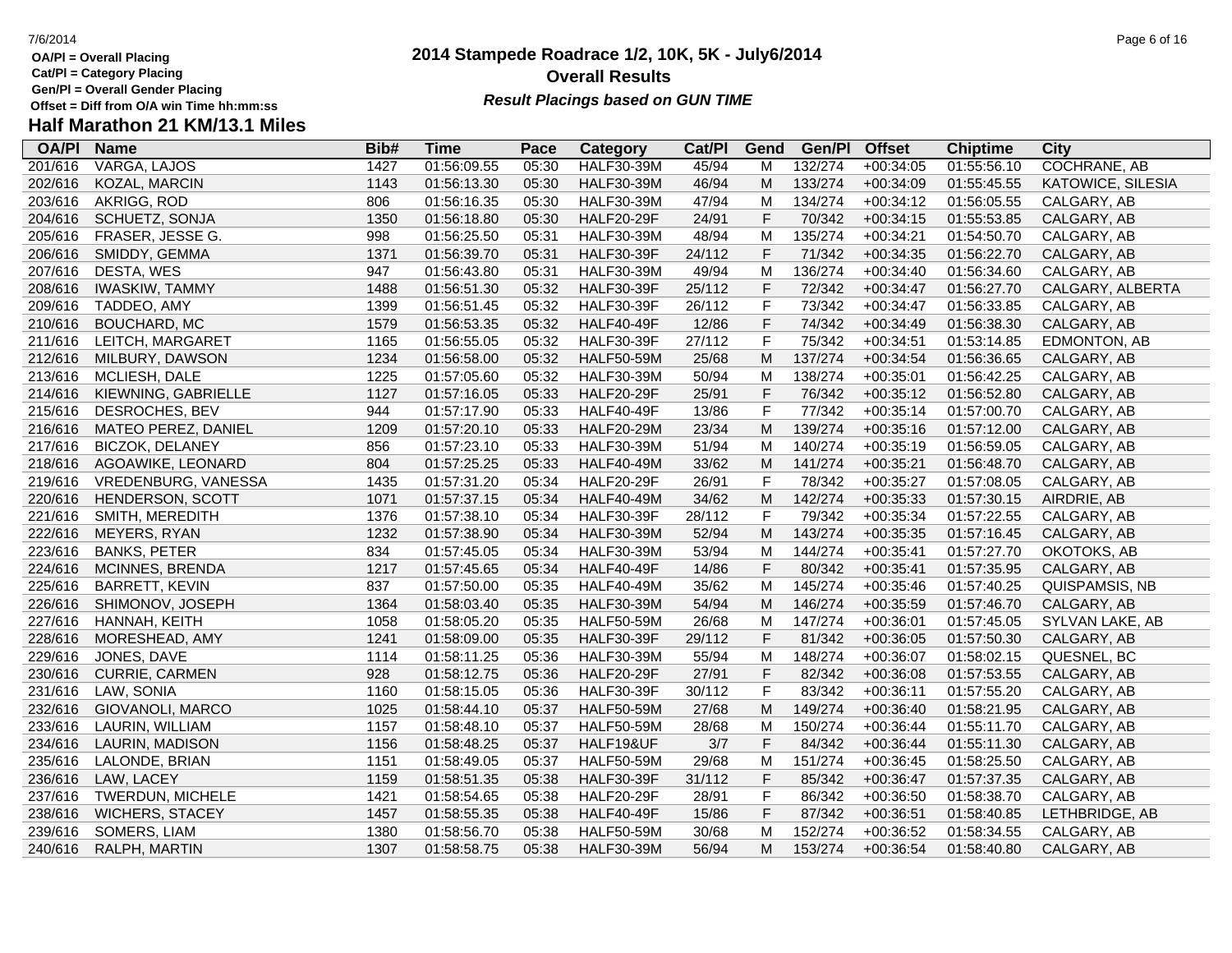**Cat/Pl = Category Placing**

**Gen/Pl = Overall Gender Placing**

# **Half Marathon 21 KM/13.1 Miles**

| <b>OA/PI</b> | <b>Name</b>            | Bib# | <b>Time</b> | Pace  | Category          | Cat/PI | Gend        | Gen/Pl  | <b>Offset</b> | <b>Chiptime</b> | <b>City</b>         |
|--------------|------------------------|------|-------------|-------|-------------------|--------|-------------|---------|---------------|-----------------|---------------------|
| 201/616      | <b>VARGA, LAJOS</b>    | 1427 | 01:56:09.55 | 05:30 | <b>HALF30-39M</b> | 45/94  | м           | 132/274 | $+00:34:05$   | 01:55:56.10     | <b>COCHRANE, AB</b> |
| 202/616      | <b>KOZAL, MARCIN</b>   | 1143 | 01:56:13.30 | 05:30 | <b>HALF30-39M</b> | 46/94  | M           | 133/274 | $+00:34:09$   | 01:55:45.55     | KATOWICE, SILESIA   |
| 203/616      | AKRIGG, ROD            | 806  | 01:56:16.35 | 05:30 | <b>HALF30-39M</b> | 47/94  | M           | 134/274 | $+00:34:12$   | 01:56:05.55     | CALGARY, AB         |
| 204/616      | SCHUETZ, SONJA         | 1350 | 01:56:18.80 | 05:30 | <b>HALF20-29F</b> | 24/91  | $\mathsf F$ | 70/342  | $+00:34:15$   | 01:55:53.85     | CALGARY, AB         |
| 205/616      | FRASER, JESSE G.       | 998  | 01:56:25.50 | 05:31 | <b>HALF30-39M</b> | 48/94  | M           | 135/274 | $+00:34:21$   | 01:54:50.70     | CALGARY, AB         |
| 206/616      | SMIDDY, GEMMA          | 1371 | 01:56:39.70 | 05:31 | <b>HALF30-39F</b> | 24/112 | F           | 71/342  | $+00:34:35$   | 01:56:22.70     | CALGARY, AB         |
| 207/616      | DESTA, WES             | 947  | 01:56:43.80 | 05:31 | <b>HALF30-39M</b> | 49/94  | M           | 136/274 | $+00:34:40$   | 01:56:34.60     | CALGARY, AB         |
| 208/616      | <b>IWASKIW, TAMMY</b>  | 1488 | 01:56:51.30 | 05:32 | <b>HALF30-39F</b> | 25/112 | F           | 72/342  | $+00:34:47$   | 01:56:27.70     | CALGARY, ALBERTA    |
| 209/616      | TADDEO, AMY            | 1399 | 01:56:51.45 | 05:32 | <b>HALF30-39F</b> | 26/112 | F           | 73/342  | $+00:34:47$   | 01:56:33.85     | CALGARY, AB         |
| 210/616      | <b>BOUCHARD, MC</b>    | 1579 | 01:56:53.35 | 05:32 | <b>HALF40-49F</b> | 12/86  | F           | 74/342  | $+00:34:49$   | 01:56:38.30     | CALGARY, AB         |
| 211/616      | LEITCH, MARGARET       | 1165 | 01:56:55.05 | 05:32 | <b>HALF30-39F</b> | 27/112 | F           | 75/342  | $+00:34:51$   | 01:53:14.85     | EDMONTON, AB        |
| 212/616      | MILBURY, DAWSON        | 1234 | 01:56:58.00 | 05:32 | <b>HALF50-59M</b> | 25/68  | M           | 137/274 | $+00:34:54$   | 01:56:36.65     | CALGARY, AB         |
| 213/616      | MCLIESH, DALE          | 1225 | 01:57:05.60 | 05:32 | <b>HALF30-39M</b> | 50/94  | M           | 138/274 | $+00:35:01$   | 01:56:42.25     | CALGARY, AB         |
| 214/616      | KIEWNING, GABRIELLE    | 1127 | 01:57:16.05 | 05:33 | <b>HALF20-29F</b> | 25/91  | $\mathsf F$ | 76/342  | $+00:35:12$   | 01:56:52.80     | CALGARY, AB         |
| 215/616      | DESROCHES, BEV         | 944  | 01:57:17.90 | 05:33 | <b>HALF40-49F</b> | 13/86  | $\mathsf F$ | 77/342  | $+00:35:14$   | 01:57:00.70     | CALGARY, AB         |
| 216/616      | MATEO PEREZ, DANIEL    | 1209 | 01:57:20.10 | 05:33 | <b>HALF20-29M</b> | 23/34  | M           | 139/274 | $+00:35:16$   | 01:57:12.00     | CALGARY, AB         |
| 217/616      | <b>BICZOK, DELANEY</b> | 856  | 01:57:23.10 | 05:33 | <b>HALF30-39M</b> | 51/94  | M           | 140/274 | $+00:35:19$   | 01:56:59.05     | CALGARY, AB         |
| 218/616      | AGOAWIKE, LEONARD      | 804  | 01:57:25.25 | 05:33 | <b>HALF40-49M</b> | 33/62  | M           | 141/274 | $+00:35:21$   | 01:56:48.70     | CALGARY, AB         |
| 219/616      | VREDENBURG, VANESSA    | 1435 | 01:57:31.20 | 05:34 | <b>HALF20-29F</b> | 26/91  | F           | 78/342  | $+00:35:27$   | 01:57:08.05     | CALGARY, AB         |
| 220/616      | HENDERSON, SCOTT       | 1071 | 01:57:37.15 | 05:34 | <b>HALF40-49M</b> | 34/62  | M           | 142/274 | $+00:35:33$   | 01:57:30.15     | AIRDRIE, AB         |
| 221/616      | SMITH, MEREDITH        | 1376 | 01:57:38.10 | 05:34 | <b>HALF30-39F</b> | 28/112 | F           | 79/342  | $+00:35:34$   | 01:57:22.55     | CALGARY, AB         |
| 222/616      | MEYERS, RYAN           | 1232 | 01:57:38.90 | 05:34 | <b>HALF30-39M</b> | 52/94  | M           | 143/274 | $+00:35:35$   | 01:57:16.45     | CALGARY, AB         |
| 223/616      | <b>BANKS, PETER</b>    | 834  | 01:57:45.05 | 05:34 | <b>HALF30-39M</b> | 53/94  | M           | 144/274 | $+00:35:41$   | 01:57:27.70     | OKOTOKS, AB         |
| 224/616      | MCINNES, BRENDA        | 1217 | 01:57:45.65 | 05:34 | <b>HALF40-49F</b> | 14/86  | $\mathsf F$ | 80/342  | $+00:35:41$   | 01:57:35.95     | CALGARY, AB         |
| 225/616      | <b>BARRETT, KEVIN</b>  | 837  | 01:57:50.00 | 05:35 | <b>HALF40-49M</b> | 35/62  | M           | 145/274 | $+00:35:46$   | 01:57:40.25     | QUISPAMSIS, NB      |
| 226/616      | SHIMONOV, JOSEPH       | 1364 | 01:58:03.40 | 05:35 | <b>HALF30-39M</b> | 54/94  | M           | 146/274 | $+00:35:59$   | 01:57:46.70     | CALGARY, AB         |
| 227/616      | HANNAH, KEITH          | 1058 | 01:58:05.20 | 05:35 | <b>HALF50-59M</b> | 26/68  | M           | 147/274 | $+00:36:01$   | 01:57:45.05     | SYLVAN LAKE, AB     |
| 228/616      | MORESHEAD, AMY         | 1241 | 01:58:09.00 | 05:35 | <b>HALF30-39F</b> | 29/112 | F           | 81/342  | $+00:36:05$   | 01:57:50.30     | CALGARY, AB         |
| 229/616      | JONES, DAVE            | 1114 | 01:58:11.25 | 05:36 | <b>HALF30-39M</b> | 55/94  | M           | 148/274 | $+00:36:07$   | 01:58:02.15     | QUESNEL, BC         |
| 230/616      | <b>CURRIE, CARMEN</b>  | 928  | 01:58:12.75 | 05:36 | <b>HALF20-29F</b> | 27/91  | F           | 82/342  | $+00:36:08$   | 01:57:53.55     | CALGARY, AB         |
| 231/616      | LAW, SONIA             | 1160 | 01:58:15.05 | 05:36 | <b>HALF30-39F</b> | 30/112 | F           | 83/342  | $+00:36:11$   | 01:57:55.20     | CALGARY, AB         |
| 232/616      | GIOVANOLI, MARCO       | 1025 | 01:58:44.10 | 05:37 | <b>HALF50-59M</b> | 27/68  | M           | 149/274 | $+00:36:40$   | 01:58:21.95     | CALGARY, AB         |
| 233/616      | LAURIN, WILLIAM        | 1157 | 01:58:48.10 | 05:37 | <b>HALF50-59M</b> | 28/68  | M           | 150/274 | $+00:36:44$   | 01:55:11.70     | CALGARY, AB         |
| 234/616      | LAURIN, MADISON        | 1156 | 01:58:48.25 | 05:37 | HALF19&UF         | $3/7$  | $\mathsf F$ | 84/342  | $+00:36:44$   | 01:55:11.30     | CALGARY, AB         |
| 235/616      | LALONDE, BRIAN         | 1151 | 01:58:49.05 | 05:37 | <b>HALF50-59M</b> | 29/68  | M           | 151/274 | $+00:36:45$   | 01:58:25.50     | CALGARY, AB         |
| 236/616      | LAW, LACEY             | 1159 | 01:58:51.35 | 05:38 | <b>HALF30-39F</b> | 31/112 | $\mathsf F$ | 85/342  | $+00:36:47$   | 01:57:37.35     | CALGARY, AB         |
| 237/616      | TWERDUN, MICHELE       | 1421 | 01:58:54.65 | 05:38 | <b>HALF20-29F</b> | 28/91  | $\mathsf F$ | 86/342  | $+00:36:50$   | 01:58:38.70     | CALGARY, AB         |
| 238/616      | <b>WICHERS, STACEY</b> | 1457 | 01:58:55.35 | 05:38 | <b>HALF40-49F</b> | 15/86  | $\mathsf F$ | 87/342  | $+00:36:51$   | 01:58:40.85     | LETHBRIDGE, AB      |
| 239/616      | SOMERS, LIAM           | 1380 | 01:58:56.70 | 05:38 | <b>HALF50-59M</b> | 30/68  | M           | 152/274 | $+00:36:52$   | 01:58:34.55     | CALGARY, AB         |
| 240/616      | RALPH, MARTIN          | 1307 | 01:58:58.75 | 05:38 | <b>HALF30-39M</b> | 56/94  | M           | 153/274 | $+00:36:54$   | 01:58:40.80     | CALGARY, AB         |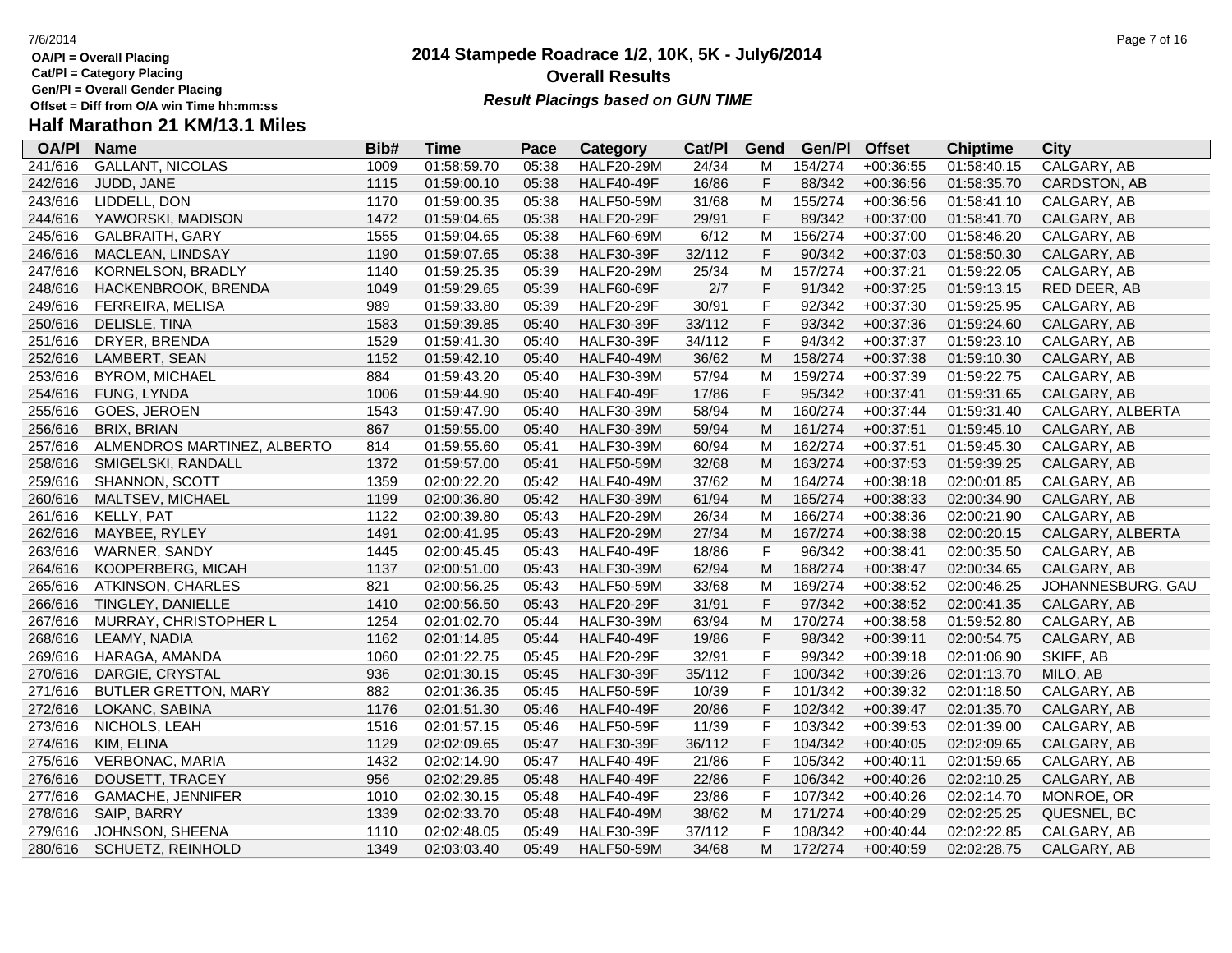**Cat/Pl = Category Placing**

**Gen/Pl = Overall Gender Placing**

# **Half Marathon 21 KM/13.1 Miles**

| <b>OA/PI</b> | <b>Name</b>                 | Bib# | <b>Time</b> | Pace  | <b>Category</b>   | Cat/PI | Gend           | Gen/Pl  | <b>Offset</b> | <b>Chiptime</b> | <b>City</b>       |
|--------------|-----------------------------|------|-------------|-------|-------------------|--------|----------------|---------|---------------|-----------------|-------------------|
| 241/616      | <b>GALLANT, NICOLAS</b>     | 1009 | 01:58:59.70 | 05:38 | <b>HALF20-29M</b> | 24/34  | М              | 154/274 | $+00:36:55$   | 01:58:40.15     | CALGARY, AB       |
| 242/616      | JUDD, JANE                  | 1115 | 01:59:00.10 | 05:38 | <b>HALF40-49F</b> | 16/86  | F              | 88/342  | $+00:36:56$   | 01:58:35.70     | CARDSTON, AB      |
| 243/616      | LIDDELL, DON                | 1170 | 01:59:00.35 | 05:38 | <b>HALF50-59M</b> | 31/68  | M              | 155/274 | $+00:36:56$   | 01:58:41.10     | CALGARY, AB       |
| 244/616      | YAWORSKI, MADISON           | 1472 | 01:59:04.65 | 05:38 | <b>HALF20-29F</b> | 29/91  | F              | 89/342  | $+00:37:00$   | 01:58:41.70     | CALGARY, AB       |
| 245/616      | GALBRAITH, GARY             | 1555 | 01:59:04.65 | 05:38 | <b>HALF60-69M</b> | 6/12   | M              | 156/274 | $+00:37:00$   | 01:58:46.20     | CALGARY, AB       |
| 246/616      | MACLEAN, LINDSAY            | 1190 | 01:59:07.65 | 05:38 | <b>HALF30-39F</b> | 32/112 | F              | 90/342  | $+00:37:03$   | 01:58:50.30     | CALGARY, AB       |
| 247/616      | KORNELSON, BRADLY           | 1140 | 01:59:25.35 | 05:39 | <b>HALF20-29M</b> | 25/34  | M              | 157/274 | $+00:37:21$   | 01:59:22.05     | CALGARY, AB       |
| 248/616      | HACKENBROOK, BRENDA         | 1049 | 01:59:29.65 | 05:39 | <b>HALF60-69F</b> | 2/7    | $\mathsf F$    | 91/342  | $+00:37:25$   | 01:59:13.15     | RED DEER, AB      |
| 249/616      | FERREIRA, MELISA            | 989  | 01:59:33.80 | 05:39 | <b>HALF20-29F</b> | 30/91  | F              | 92/342  | $+00:37:30$   | 01:59:25.95     | CALGARY, AB       |
| 250/616      | DELISLE, TINA               | 1583 | 01:59:39.85 | 05:40 | <b>HALF30-39F</b> | 33/112 | F              | 93/342  | $+00:37:36$   | 01:59:24.60     | CALGARY, AB       |
| 251/616      | DRYER, BRENDA               | 1529 | 01:59:41.30 | 05:40 | <b>HALF30-39F</b> | 34/112 | F              | 94/342  | $+00:37:37$   | 01:59:23.10     | CALGARY, AB       |
| 252/616      | LAMBERT, SEAN               | 1152 | 01:59:42.10 | 05:40 | <b>HALF40-49M</b> | 36/62  | M              | 158/274 | $+00:37:38$   | 01:59:10.30     | CALGARY, AB       |
| 253/616      | <b>BYROM, MICHAEL</b>       | 884  | 01:59:43.20 | 05:40 | <b>HALF30-39M</b> | 57/94  | M              | 159/274 | $+00:37:39$   | 01:59:22.75     | CALGARY, AB       |
| 254/616      | FUNG, LYNDA                 | 1006 | 01:59:44.90 | 05:40 | <b>HALF40-49F</b> | 17/86  | F              | 95/342  | $+00:37:41$   | 01:59:31.65     | CALGARY, AB       |
| 255/616      | GOES, JEROEN                | 1543 | 01:59:47.90 | 05:40 | <b>HALF30-39M</b> | 58/94  | M              | 160/274 | $+00:37:44$   | 01:59:31.40     | CALGARY, ALBERTA  |
| 256/616      | <b>BRIX, BRIAN</b>          | 867  | 01:59:55.00 | 05:40 | <b>HALF30-39M</b> | 59/94  | M              | 161/274 | $+00:37:51$   | 01:59:45.10     | CALGARY, AB       |
| 257/616      | ALMENDROS MARTINEZ, ALBERTO | 814  | 01:59:55.60 | 05:41 | <b>HALF30-39M</b> | 60/94  | M              | 162/274 | $+00:37:51$   | 01:59:45.30     | CALGARY, AB       |
| 258/616      | SMIGELSKI, RANDALL          | 1372 | 01:59:57.00 | 05:41 | <b>HALF50-59M</b> | 32/68  | M              | 163/274 | $+00:37:53$   | 01:59:39.25     | CALGARY, AB       |
| 259/616      | <b>SHANNON, SCOTT</b>       | 1359 | 02:00:22.20 | 05:42 | <b>HALF40-49M</b> | 37/62  | M              | 164/274 | $+00:38:18$   | 02:00:01.85     | CALGARY, AB       |
| 260/616      | MALTSEV, MICHAEL            | 1199 | 02:00:36.80 | 05:42 | <b>HALF30-39M</b> | 61/94  | М              | 165/274 | $+00:38:33$   | 02:00:34.90     | CALGARY, AB       |
| 261/616      | KELLY, PAT                  | 1122 | 02:00:39.80 | 05:43 | <b>HALF20-29M</b> | 26/34  | M              | 166/274 | $+00:38:36$   | 02:00:21.90     | CALGARY, AB       |
| 262/616      | MAYBEE, RYLEY               | 1491 | 02:00:41.95 | 05:43 | <b>HALF20-29M</b> | 27/34  | M              | 167/274 | $+00:38:38$   | 02:00:20.15     | CALGARY, ALBERTA  |
| 263/616      | WARNER, SANDY               | 1445 | 02:00:45.45 | 05:43 | <b>HALF40-49F</b> | 18/86  | $\overline{F}$ | 96/342  | $+00:38:41$   | 02:00:35.50     | CALGARY, AB       |
| 264/616      | KOOPERBERG, MICAH           | 1137 | 02:00:51.00 | 05:43 | <b>HALF30-39M</b> | 62/94  | M              | 168/274 | $+00:38:47$   | 02:00:34.65     | CALGARY, AB       |
| 265/616      | ATKINSON, CHARLES           | 821  | 02:00:56.25 | 05:43 | <b>HALF50-59M</b> | 33/68  | M              | 169/274 | $+00:38:52$   | 02:00:46.25     | JOHANNESBURG, GAU |
| 266/616      | TINGLEY, DANIELLE           | 1410 | 02:00:56.50 | 05:43 | <b>HALF20-29F</b> | 31/91  | F              | 97/342  | $+00:38:52$   | 02:00:41.35     | CALGARY, AB       |
| 267/616      | MURRAY, CHRISTOPHER L       | 1254 | 02:01:02.70 | 05:44 | <b>HALF30-39M</b> | 63/94  | M              | 170/274 | $+00:38:58$   | 01:59:52.80     | CALGARY, AB       |
| 268/616      | LEAMY, NADIA                | 1162 | 02:01:14.85 | 05:44 | <b>HALF40-49F</b> | 19/86  | F              | 98/342  | $+00:39:11$   | 02:00:54.75     | CALGARY, AB       |
| 269/616      | HARAGA, AMANDA              | 1060 | 02:01:22.75 | 05:45 | <b>HALF20-29F</b> | 32/91  | F              | 99/342  | $+00:39:18$   | 02:01:06.90     | SKIFF, AB         |
| 270/616      | DARGIE, CRYSTAL             | 936  | 02:01:30.15 | 05:45 | <b>HALF30-39F</b> | 35/112 | F              | 100/342 | $+00:39:26$   | 02:01:13.70     | MILO, AB          |
| 271/616      | <b>BUTLER GRETTON, MARY</b> | 882  | 02:01:36.35 | 05:45 | <b>HALF50-59F</b> | 10/39  | F              | 101/342 | $+00:39:32$   | 02:01:18.50     | CALGARY, AB       |
| 272/616      | LOKANC, SABINA              | 1176 | 02:01:51.30 | 05:46 | <b>HALF40-49F</b> | 20/86  | F              | 102/342 | $+00:39:47$   | 02:01:35.70     | CALGARY, AB       |
| 273/616      | NICHOLS, LEAH               | 1516 | 02:01:57.15 | 05:46 | <b>HALF50-59F</b> | 11/39  | F              | 103/342 | $+00:39:53$   | 02:01:39.00     | CALGARY, AB       |
| 274/616      | KIM, ELINA                  | 1129 | 02:02:09.65 | 05:47 | <b>HALF30-39F</b> | 36/112 | F              | 104/342 | $+00:40:05$   | 02:02:09.65     | CALGARY, AB       |
| 275/616      | <b>VERBONAC, MARIA</b>      | 1432 | 02:02:14.90 | 05:47 | <b>HALF40-49F</b> | 21/86  | F              | 105/342 | $+00:40:11$   | 02:01:59.65     | CALGARY, AB       |
| 276/616      | DOUSETT, TRACEY             | 956  | 02:02:29.85 | 05:48 | <b>HALF40-49F</b> | 22/86  | F              | 106/342 | $+00:40:26$   | 02:02:10.25     | CALGARY, AB       |
| 277/616      | <b>GAMACHE, JENNIFER</b>    | 1010 | 02:02:30.15 | 05:48 | <b>HALF40-49F</b> | 23/86  | F              | 107/342 | $+00:40:26$   | 02:02:14.70     | MONROE, OR        |
| 278/616      | SAIP, BARRY                 | 1339 | 02:02:33.70 | 05:48 | <b>HALF40-49M</b> | 38/62  | M              | 171/274 | $+00:40:29$   | 02:02:25.25     | QUESNEL, BC       |
| 279/616      | JOHNSON, SHEENA             | 1110 | 02:02:48.05 | 05:49 | <b>HALF30-39F</b> | 37/112 | F              | 108/342 | $+00:40:44$   | 02:02:22.85     | CALGARY, AB       |
| 280/616      | <b>SCHUETZ, REINHOLD</b>    | 1349 | 02:03:03.40 | 05:49 | <b>HALF50-59M</b> | 34/68  | M              | 172/274 | $+00:40:59$   | 02:02:28.75     | CALGARY, AB       |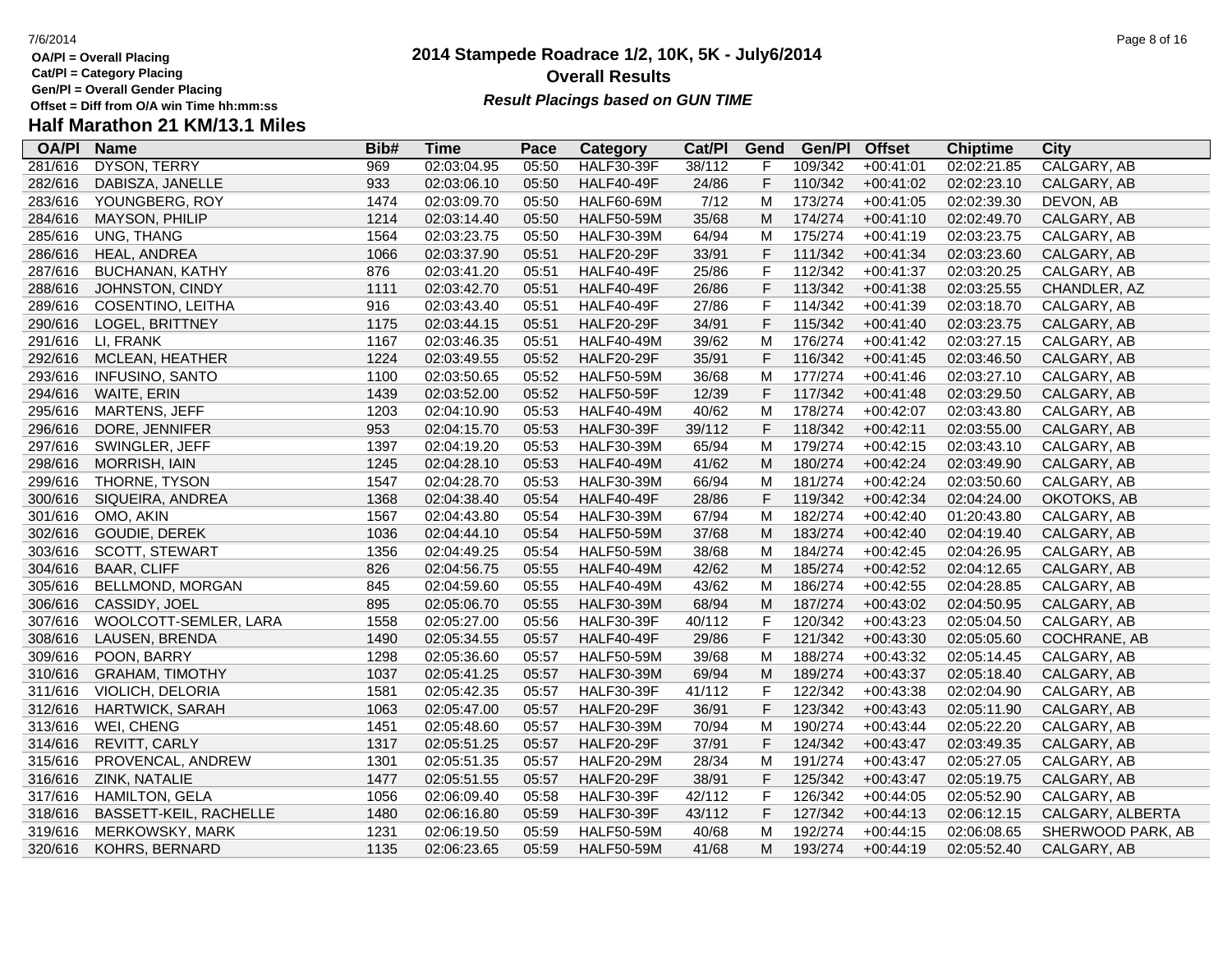**Cat/Pl = Category Placing**

**Gen/Pl = Overall Gender Placing**

# **Half Marathon 21 KM/13.1 Miles**

| <b>OA/PI</b> | <b>Name</b>             | Bib# | <b>Time</b> | Pace  | <b>Category</b>   | Cat/PI | Gend        | Gen/Pl  | <b>Offset</b> | <b>Chiptime</b> | <b>City</b>        |
|--------------|-------------------------|------|-------------|-------|-------------------|--------|-------------|---------|---------------|-----------------|--------------------|
| 281/616      | <b>DYSON, TERRY</b>     | 969  | 02:03:04.95 | 05:50 | <b>HALF30-39F</b> | 38/112 | F           | 109/342 | $+00:41:01$   | 02:02:21.85     | <b>CALGARY, AB</b> |
| 282/616      | DABISZA, JANELLE        | 933  | 02:03:06.10 | 05:50 | <b>HALF40-49F</b> | 24/86  | $\mathsf F$ | 110/342 | $+00:41:02$   | 02:02:23.10     | CALGARY, AB        |
| 283/616      | YOUNGBERG, ROY          | 1474 | 02:03:09.70 | 05:50 | <b>HALF60-69M</b> | 7/12   | M           | 173/274 | $+00:41:05$   | 02:02:39.30     | DEVON, AB          |
| 284/616      | MAYSON, PHILIP          | 1214 | 02:03:14.40 | 05:50 | <b>HALF50-59M</b> | 35/68  | M           | 174/274 | $+00:41:10$   | 02:02:49.70     | CALGARY, AB        |
| 285/616      | UNG, THANG              | 1564 | 02:03:23.75 | 05:50 | <b>HALF30-39M</b> | 64/94  | M           | 175/274 | $+00:41:19$   | 02:03:23.75     | CALGARY, AB        |
| 286/616      | HEAL, ANDREA            | 1066 | 02:03:37.90 | 05:51 | <b>HALF20-29F</b> | 33/91  | $\mathsf F$ | 111/342 | $+00:41:34$   | 02:03:23.60     | CALGARY, AB        |
| 287/616      | <b>BUCHANAN, KATHY</b>  | 876  | 02:03:41.20 | 05:51 | HALF40-49F        | 25/86  | F           | 112/342 | $+00:41:37$   | 02:03:20.25     | CALGARY, AB        |
| 288/616      | JOHNSTON, CINDY         | 1111 | 02:03:42.70 | 05:51 | <b>HALF40-49F</b> | 26/86  | F           | 113/342 | $+00:41:38$   | 02:03:25.55     | CHANDLER, AZ       |
| 289/616      | COSENTINO, LEITHA       | 916  | 02:03:43.40 | 05:51 | <b>HALF40-49F</b> | 27/86  | $\mathsf F$ | 114/342 | $+00:41:39$   | 02:03:18.70     | CALGARY, AB        |
| 290/616      | <b>LOGEL, BRITTNEY</b>  | 1175 | 02:03:44.15 | 05:51 | <b>HALF20-29F</b> | 34/91  | $\mathsf F$ | 115/342 | $+00:41:40$   | 02:03:23.75     | CALGARY, AB        |
| 291/616      | LI, FRANK               | 1167 | 02:03:46.35 | 05:51 | <b>HALF40-49M</b> | 39/62  | M           | 176/274 | $+00:41:42$   | 02:03:27.15     | CALGARY, AB        |
| 292/616      | MCLEAN, HEATHER         | 1224 | 02:03:49.55 | 05:52 | <b>HALF20-29F</b> | 35/91  | $\mathsf F$ | 116/342 | $+00:41:45$   | 02:03:46.50     | CALGARY, AB        |
| 293/616      | <b>INFUSINO, SANTO</b>  | 1100 | 02:03:50.65 | 05:52 | <b>HALF50-59M</b> | 36/68  | M           | 177/274 | $+00:41:46$   | 02:03:27.10     | CALGARY, AB        |
| 294/616      | WAITE, ERIN             | 1439 | 02:03:52.00 | 05:52 | <b>HALF50-59F</b> | 12/39  | $\mathsf F$ | 117/342 | $+00:41:48$   | 02:03:29.50     | CALGARY, AB        |
| 295/616      | <b>MARTENS, JEFF</b>    | 1203 | 02:04:10.90 | 05:53 | <b>HALF40-49M</b> | 40/62  | M           | 178/274 | $+00:42:07$   | 02:03:43.80     | CALGARY, AB        |
| 296/616      | DORE, JENNIFER          | 953  | 02:04:15.70 | 05:53 | <b>HALF30-39F</b> | 39/112 | $\mathsf F$ | 118/342 | $+00:42:11$   | 02:03:55.00     | CALGARY, AB        |
| 297/616      | SWINGLER, JEFF          | 1397 | 02:04:19.20 | 05:53 | <b>HALF30-39M</b> | 65/94  | M           | 179/274 | $+00:42:15$   | 02:03:43.10     | CALGARY, AB        |
| 298/616      | <b>MORRISH, IAIN</b>    | 1245 | 02:04:28.10 | 05:53 | <b>HALF40-49M</b> | 41/62  | M           | 180/274 | $+00:42:24$   | 02:03:49.90     | CALGARY, AB        |
| 299/616      | THORNE, TYSON           | 1547 | 02:04:28.70 | 05:53 | <b>HALF30-39M</b> | 66/94  | M           | 181/274 | $+00:42:24$   | 02:03:50.60     | CALGARY, AB        |
| 300/616      | SIQUEIRA, ANDREA        | 1368 | 02:04:38.40 | 05:54 | <b>HALF40-49F</b> | 28/86  | $\mathsf F$ | 119/342 | $+00:42:34$   | 02:04:24.00     | OKOTOKS, AB        |
| 301/616      | OMO, AKIN               | 1567 | 02:04:43.80 | 05:54 | <b>HALF30-39M</b> | 67/94  | M           | 182/274 | $+00:42:40$   | 01:20:43.80     | CALGARY, AB        |
| 302/616      | GOUDIE, DEREK           | 1036 | 02:04:44.10 | 05:54 | <b>HALF50-59M</b> | 37/68  | M           | 183/274 | $+00:42:40$   | 02:04:19.40     | CALGARY, AB        |
| 303/616      | SCOTT, STEWART          | 1356 | 02:04:49.25 | 05:54 | <b>HALF50-59M</b> | 38/68  | M           | 184/274 | $+00:42:45$   | 02:04:26.95     | CALGARY, AB        |
| 304/616      | <b>BAAR, CLIFF</b>      | 826  | 02:04:56.75 | 05:55 | <b>HALF40-49M</b> | 42/62  | M           | 185/274 | $+00:42:52$   | 02:04:12.65     | CALGARY, AB        |
| 305/616      | <b>BELLMOND, MORGAN</b> | 845  | 02:04:59.60 | 05:55 | <b>HALF40-49M</b> | 43/62  | M           | 186/274 | $+00:42:55$   | 02:04:28.85     | CALGARY, AB        |
| 306/616      | CASSIDY, JOEL           | 895  | 02:05:06.70 | 05:55 | <b>HALF30-39M</b> | 68/94  | М           | 187/274 | $+00:43:02$   | 02:04:50.95     | CALGARY, AB        |
| 307/616      | WOOLCOTT-SEMLER, LARA   | 1558 | 02:05:27.00 | 05:56 | <b>HALF30-39F</b> | 40/112 | $\mathsf F$ | 120/342 | $+00:43:23$   | 02:05:04.50     | CALGARY, AB        |
| 308/616      | LAUSEN, BRENDA          | 1490 | 02:05:34.55 | 05:57 | <b>HALF40-49F</b> | 29/86  | $\mathsf F$ | 121/342 | $+00:43:30$   | 02:05:05.60     | COCHRANE, AB       |
| 309/616      | POON, BARRY             | 1298 | 02:05:36.60 | 05:57 | <b>HALF50-59M</b> | 39/68  | M           | 188/274 | $+00:43:32$   | 02:05:14.45     | CALGARY, AB        |
| 310/616      | <b>GRAHAM, TIMOTHY</b>  | 1037 | 02:05:41.25 | 05:57 | <b>HALF30-39M</b> | 69/94  | M           | 189/274 | $+00:43:37$   | 02:05:18.40     | CALGARY, AB        |
| 311/616      | VIOLICH, DELORIA        | 1581 | 02:05:42.35 | 05:57 | <b>HALF30-39F</b> | 41/112 | $\mathsf F$ | 122/342 | $+00:43:38$   | 02:02:04.90     | CALGARY, AB        |
| 312/616      | HARTWICK, SARAH         | 1063 | 02:05:47.00 | 05:57 | <b>HALF20-29F</b> | 36/91  | F           | 123/342 | $+00:43:43$   | 02:05:11.90     | CALGARY, AB        |
| 313/616      | WEI, CHENG              | 1451 | 02:05:48.60 | 05:57 | <b>HALF30-39M</b> | 70/94  | M           | 190/274 | $+00:43:44$   | 02:05:22.20     | CALGARY, AB        |
| 314/616      | REVITT, CARLY           | 1317 | 02:05:51.25 | 05:57 | <b>HALF20-29F</b> | 37/91  | $\mathsf F$ | 124/342 | $+00:43:47$   | 02:03:49.35     | CALGARY, AB        |
| 315/616      | PROVENCAL, ANDREW       | 1301 | 02:05:51.35 | 05:57 | <b>HALF20-29M</b> | 28/34  | M           | 191/274 | $+00:43:47$   | 02:05:27.05     | CALGARY, AB        |
| 316/616      | ZINK, NATALIE           | 1477 | 02:05:51.55 | 05:57 | <b>HALF20-29F</b> | 38/91  | $\mathsf F$ | 125/342 | $+00:43:47$   | 02:05:19.75     | CALGARY, AB        |
| 317/616      | HAMILTON, GELA          | 1056 | 02:06:09.40 | 05:58 | <b>HALF30-39F</b> | 42/112 | F           | 126/342 | $+00:44:05$   | 02:05:52.90     | CALGARY, AB        |
| 318/616      | BASSETT-KEIL, RACHELLE  | 1480 | 02:06:16.80 | 05:59 | <b>HALF30-39F</b> | 43/112 | F           | 127/342 | $+00:44:13$   | 02:06:12.15     | CALGARY, ALBERTA   |
| 319/616      | <b>MERKOWSKY, MARK</b>  | 1231 | 02:06:19.50 | 05:59 | <b>HALF50-59M</b> | 40/68  | M           | 192/274 | $+00:44:15$   | 02:06:08.65     | SHERWOOD PARK, AB  |
| 320/616      | KOHRS, BERNARD          | 1135 | 02:06:23.65 | 05:59 | <b>HALF50-59M</b> | 41/68  | м           | 193/274 | $+00:44:19$   | 02:05:52.40     | CALGARY, AB        |

## **2014 Stampede Roadrace 1/2, 10K, 5K - July6/2014 Overall Results**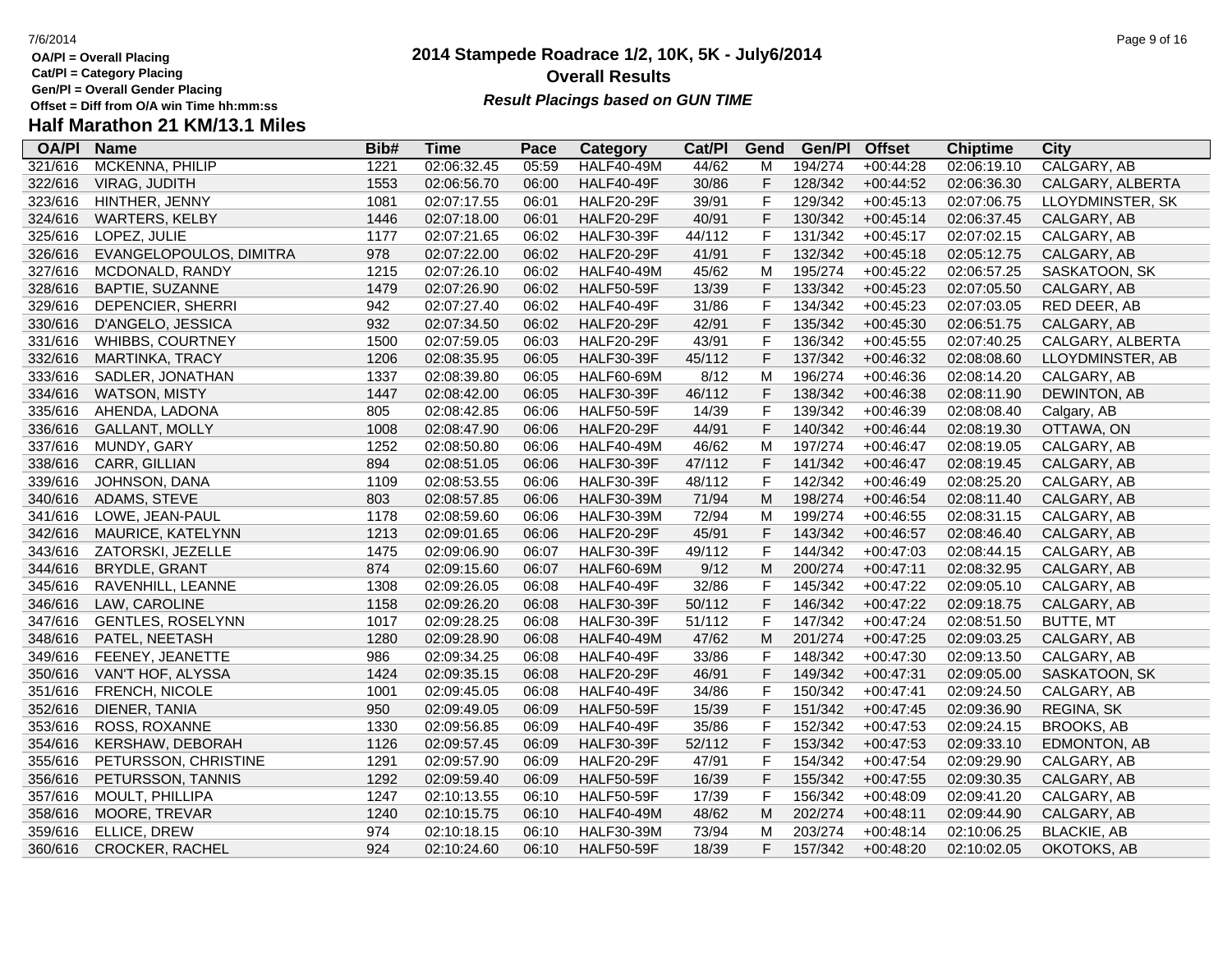**OA/Pl = Overall Placing Cat/Pl = Category Placing**

- 
- **Gen/Pl = Overall Gender Placing**

### **2014 Stampede Roadrace 1/2, 10K, 5K - July6/2014** 7/6/2014 Page 9 of 16 **Overall Results Result Placings based on GUN TIME**

### **Half Marathon 21 KM/13.1 Miles**

| <b>OA/PI</b> | <b>Name</b>              | Bib# | Time        | Pace  | Category          | Cat/PI | Gend         | Gen/Pl  | <b>Offset</b> | <b>Chiptime</b> | City               |
|--------------|--------------------------|------|-------------|-------|-------------------|--------|--------------|---------|---------------|-----------------|--------------------|
| 321/616      | MCKENNA, PHILIP          | 1221 | 02:06:32.45 | 05:59 | <b>HALF40-49M</b> | 44/62  | M            | 194/274 | $+00:44:28$   | 02:06:19.10     | CALGARY, AB        |
| 322/616      | VIRAG, JUDITH            | 1553 | 02:06:56.70 | 06:00 | <b>HALF40-49F</b> | 30/86  | F            | 128/342 | $+00:44:52$   | 02:06:36.30     | CALGARY, ALBERTA   |
| 323/616      | HINTHER, JENNY           | 1081 | 02:07:17.55 | 06:01 | <b>HALF20-29F</b> | 39/91  | $\mathsf F$  | 129/342 | $+00:45:13$   | 02:07:06.75     | LLOYDMINSTER, SK   |
| 324/616      | <b>WARTERS, KELBY</b>    | 1446 | 02:07:18.00 | 06:01 | <b>HALF20-29F</b> | 40/91  | F            | 130/342 | $+00:45:14$   | 02:06:37.45     | CALGARY, AB        |
| 325/616      | LOPEZ, JULIE             | 1177 | 02:07:21.65 | 06:02 | <b>HALF30-39F</b> | 44/112 | F            | 131/342 | $+00:45:17$   | 02:07:02.15     | CALGARY, AB        |
| 326/616      | EVANGELOPOULOS, DIMITRA  | 978  | 02:07:22.00 | 06:02 | <b>HALF20-29F</b> | 41/91  | F            | 132/342 | $+00:45:18$   | 02:05:12.75     | CALGARY, AB        |
| 327/616      | MCDONALD, RANDY          | 1215 | 02:07:26.10 | 06:02 | <b>HALF40-49M</b> | 45/62  | M            | 195/274 | $+00:45:22$   | 02:06:57.25     | SASKATOON, SK      |
| 328/616      | <b>BAPTIE, SUZANNE</b>   | 1479 | 02:07:26.90 | 06:02 | <b>HALF50-59F</b> | 13/39  | $\mathsf F$  | 133/342 | $+00:45:23$   | 02:07:05.50     | CALGARY, AB        |
| 329/616      | DEPENCIER, SHERRI        | 942  | 02:07:27.40 | 06:02 | <b>HALF40-49F</b> | 31/86  | $\mathsf{F}$ | 134/342 | $+00:45:23$   | 02:07:03.05     | RED DEER, AB       |
| 330/616      | D'ANGELO, JESSICA        | 932  | 02:07:34.50 | 06:02 | <b>HALF20-29F</b> | 42/91  | $\mathsf F$  | 135/342 | $+00:45:30$   | 02:06:51.75     | CALGARY, AB        |
| 331/616      | WHIBBS, COURTNEY         | 1500 | 02:07:59.05 | 06:03 | <b>HALF20-29F</b> | 43/91  | F            | 136/342 | $+00:45:55$   | 02:07:40.25     | CALGARY, ALBERTA   |
| 332/616      | <b>MARTINKA, TRACY</b>   | 1206 | 02:08:35.95 | 06:05 | <b>HALF30-39F</b> | 45/112 | F            | 137/342 | $+00:46:32$   | 02:08:08.60     | LLOYDMINSTER, AB   |
| 333/616      | SADLER, JONATHAN         | 1337 | 02:08:39.80 | 06:05 | <b>HALF60-69M</b> | 8/12   | M            | 196/274 | $+00:46:36$   | 02:08:14.20     | CALGARY, AB        |
| 334/616      | <b>WATSON, MISTY</b>     | 1447 | 02:08:42.00 | 06:05 | <b>HALF30-39F</b> | 46/112 | F            | 138/342 | $+00:46:38$   | 02:08:11.90     | DEWINTON, AB       |
| 335/616      | AHENDA, LADONA           | 805  | 02:08:42.85 | 06:06 | <b>HALF50-59F</b> | 14/39  | $\mathsf{F}$ | 139/342 | $+00:46:39$   | 02:08:08.40     | Calgary, AB        |
| 336/616      | <b>GALLANT, MOLLY</b>    | 1008 | 02:08:47.90 | 06:06 | <b>HALF20-29F</b> | 44/91  | $\mathsf F$  | 140/342 | $+00:46:44$   | 02:08:19.30     | OTTAWA, ON         |
| 337/616      | MUNDY, GARY              | 1252 | 02:08:50.80 | 06:06 | <b>HALF40-49M</b> | 46/62  | M            | 197/274 | $+00:46:47$   | 02:08:19.05     | CALGARY, AB        |
| 338/616      | CARR, GILLIAN            | 894  | 02:08:51.05 | 06:06 | <b>HALF30-39F</b> | 47/112 | F            | 141/342 | $+00:46:47$   | 02:08:19.45     | CALGARY, AB        |
| 339/616      | JOHNSON, DANA            | 1109 | 02:08:53.55 | 06:06 | <b>HALF30-39F</b> | 48/112 | F            | 142/342 | $+00:46:49$   | 02:08:25.20     | CALGARY, AB        |
| 340/616      | ADAMS, STEVE             | 803  | 02:08:57.85 | 06:06 | <b>HALF30-39M</b> | 71/94  | M            | 198/274 | $+00:46:54$   | 02:08:11.40     | CALGARY, AB        |
| 341/616      | LOWE, JEAN-PAUL          | 1178 | 02:08:59.60 | 06:06 | <b>HALF30-39M</b> | 72/94  | M            | 199/274 | $+00:46:55$   | 02:08:31.15     | CALGARY, AB        |
| 342/616      | MAURICE, KATELYNN        | 1213 | 02:09:01.65 | 06:06 | <b>HALF20-29F</b> | 45/91  | $\mathsf F$  | 143/342 | $+00:46:57$   | 02:08:46.40     | CALGARY, AB        |
| 343/616      | ZATORSKI, JEZELLE        | 1475 | 02:09:06.90 | 06:07 | <b>HALF30-39F</b> | 49/112 | $\mathsf F$  | 144/342 | $+00:47:03$   | 02:08:44.15     | CALGARY, AB        |
| 344/616      | <b>BRYDLE, GRANT</b>     | 874  | 02:09:15.60 | 06:07 | <b>HALF60-69M</b> | 9/12   | M            | 200/274 | $+00:47:11$   | 02:08:32.95     | CALGARY, AB        |
| 345/616      | RAVENHILL, LEANNE        | 1308 | 02:09:26.05 | 06:08 | <b>HALF40-49F</b> | 32/86  | F            | 145/342 | $+00:47:22$   | 02:09:05.10     | CALGARY, AB        |
| 346/616      | LAW, CAROLINE            | 1158 | 02:09:26.20 | 06:08 | <b>HALF30-39F</b> | 50/112 | F            | 146/342 | $+00:47:22$   | 02:09:18.75     | CALGARY, AB        |
| 347/616      | <b>GENTLES, ROSELYNN</b> | 1017 | 02:09:28.25 | 06:08 | <b>HALF30-39F</b> | 51/112 | $\mathsf F$  | 147/342 | $+00:47:24$   | 02:08:51.50     | <b>BUTTE, MT</b>   |
| 348/616      | PATEL, NEETASH           | 1280 | 02:09:28.90 | 06:08 | <b>HALF40-49M</b> | 47/62  | M            | 201/274 | $+00:47:25$   | 02:09:03.25     | CALGARY, AB        |
| 349/616      | FEENEY, JEANETTE         | 986  | 02:09:34.25 | 06:08 | <b>HALF40-49F</b> | 33/86  | $\mathsf F$  | 148/342 | $+00:47:30$   | 02:09:13.50     | CALGARY, AB        |
| 350/616      | VAN'T HOF, ALYSSA        | 1424 | 02:09:35.15 | 06:08 | <b>HALF20-29F</b> | 46/91  | $\mathsf F$  | 149/342 | $+00:47:31$   | 02:09:05.00     | SASKATOON, SK      |
| 351/616      | FRENCH, NICOLE           | 1001 | 02:09:45.05 | 06:08 | <b>HALF40-49F</b> | 34/86  | F            | 150/342 | $+00:47:41$   | 02:09:24.50     | CALGARY, AB        |
| 352/616      | DIENER, TANIA            | 950  | 02:09:49.05 | 06:09 | <b>HALF50-59F</b> | 15/39  | $\mathsf{F}$ | 151/342 | $+00:47:45$   | 02:09:36.90     | REGINA, SK         |
| 353/616      | ROSS, ROXANNE            | 1330 | 02:09:56.85 | 06:09 | <b>HALF40-49F</b> | 35/86  | F            | 152/342 | $+00:47:53$   | 02:09:24.15     | <b>BROOKS, AB</b>  |
| 354/616      | KERSHAW, DEBORAH         | 1126 | 02:09:57.45 | 06:09 | <b>HALF30-39F</b> | 52/112 | $\mathsf F$  | 153/342 | $+00:47:53$   | 02:09:33.10     | EDMONTON, AB       |
| 355/616      | PETURSSON, CHRISTINE     | 1291 | 02:09:57.90 | 06:09 | <b>HALF20-29F</b> | 47/91  | F            | 154/342 | $+00:47:54$   | 02:09:29.90     | CALGARY, AB        |
| 356/616      | PETURSSON, TANNIS        | 1292 | 02:09:59.40 | 06:09 | <b>HALF50-59F</b> | 16/39  | $\mathsf F$  | 155/342 | $+00:47:55$   | 02:09:30.35     | CALGARY, AB        |
| 357/616      | MOULT, PHILLIPA          | 1247 | 02:10:13.55 | 06:10 | <b>HALF50-59F</b> | 17/39  | $\mathsf F$  | 156/342 | $+00:48:09$   | 02:09:41.20     | CALGARY, AB        |
| 358/616      | MOORE, TREVAR            | 1240 | 02:10:15.75 | 06:10 | <b>HALF40-49M</b> | 48/62  | M            | 202/274 | $+00:48:11$   | 02:09:44.90     | CALGARY, AB        |
| 359/616      | ELLICE, DREW             | 974  | 02:10:18.15 | 06:10 | <b>HALF30-39M</b> | 73/94  | M            | 203/274 | $+00:48:14$   | 02:10:06.25     | <b>BLACKIE, AB</b> |
| 360/616      | <b>CROCKER, RACHEL</b>   | 924  | 02:10:24.60 | 06:10 | <b>HALF50-59F</b> | 18/39  | F            | 157/342 | $+00:48:20$   | 02:10:02.05     | OKOTOKS, AB        |
|              |                          |      |             |       |                   |        |              |         |               |                 |                    |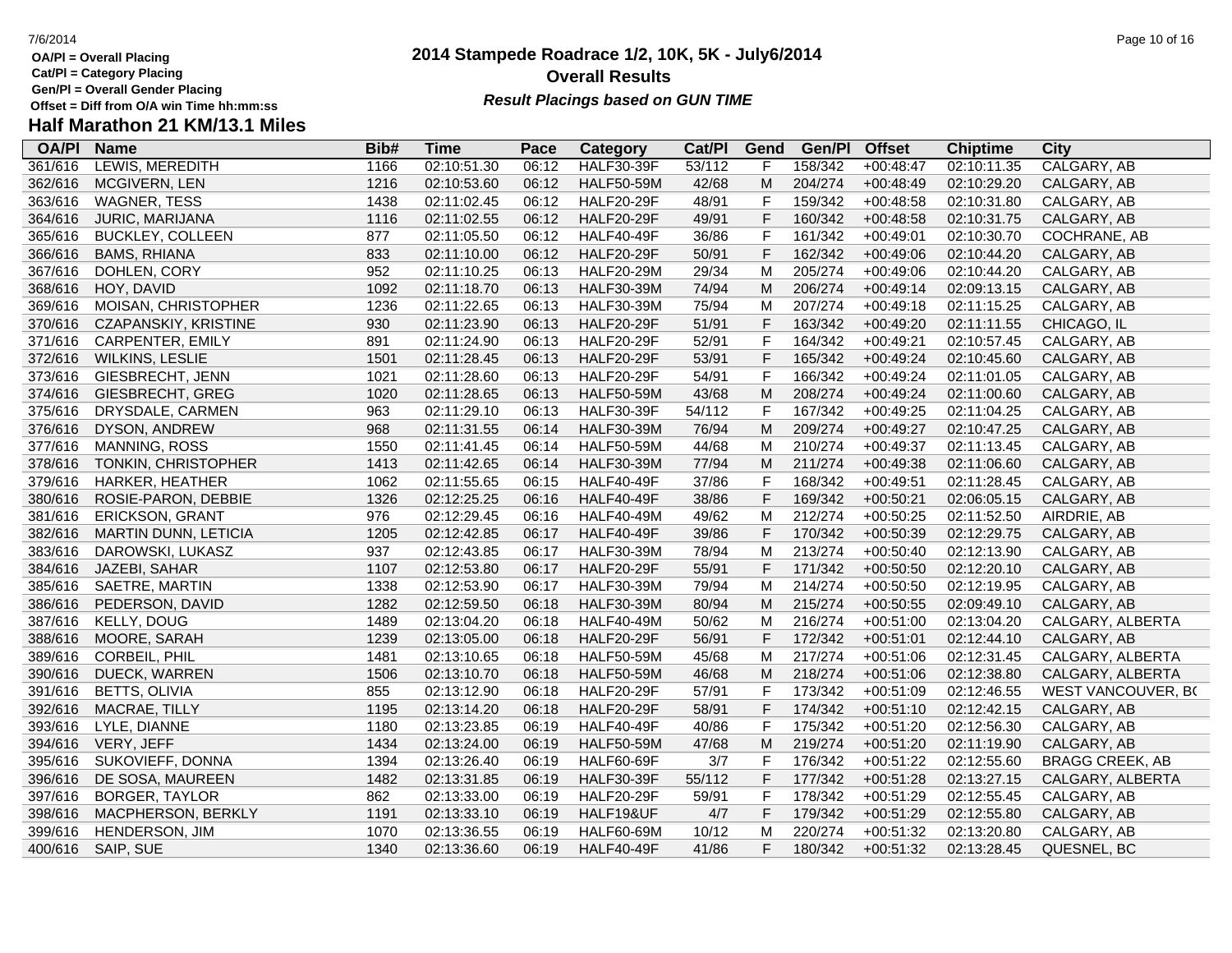**Cat/Pl = Category Placing**

**Gen/Pl = Overall Gender Placing**

# **Half Marathon 21 KM/13.1 Miles**

| <b>OA/PI</b> | <b>Name</b>             | Bib# | <b>Time</b> | Pace  | <b>Category</b>   | Cat/PI | Gend         | Gen/Pl  | <b>Offset</b> | <b>Chiptime</b> | <b>City</b>            |
|--------------|-------------------------|------|-------------|-------|-------------------|--------|--------------|---------|---------------|-----------------|------------------------|
| 361/616      | LEWIS, MEREDITH         | 1166 | 02:10:51.30 | 06:12 | <b>HALF30-39F</b> | 53/112 | F            | 158/342 | $+00:48:47$   | 02:10:11.35     | CALGARY, AB            |
| 362/616      | MCGIVERN, LEN           | 1216 | 02:10:53.60 | 06:12 | <b>HALF50-59M</b> | 42/68  | M            | 204/274 | $+00:48:49$   | 02:10:29.20     | CALGARY, AB            |
| 363/616      | <b>WAGNER, TESS</b>     | 1438 | 02:11:02.45 | 06:12 | <b>HALF20-29F</b> | 48/91  | F            | 159/342 | $+00:48:58$   | 02:10:31.80     | CALGARY, AB            |
| 364/616      | <b>JURIC, MARIJANA</b>  | 1116 | 02:11:02.55 | 06:12 | <b>HALF20-29F</b> | 49/91  | $\mathsf{F}$ | 160/342 | $+00:48:58$   | 02:10:31.75     | CALGARY, AB            |
| 365/616      | <b>BUCKLEY, COLLEEN</b> | 877  | 02:11:05.50 | 06:12 | <b>HALF40-49F</b> | 36/86  | $\mathsf{F}$ | 161/342 | $+00:49:01$   | 02:10:30.70     | COCHRANE, AB           |
| 366/616      | <b>BAMS, RHIANA</b>     | 833  | 02:11:10.00 | 06:12 | <b>HALF20-29F</b> | 50/91  | $\mathsf F$  | 162/342 | $+00:49:06$   | 02:10:44.20     | CALGARY, AB            |
| 367/616      | DOHLEN, CORY            | 952  | 02:11:10.25 | 06:13 | <b>HALF20-29M</b> | 29/34  | M            | 205/274 | $+00:49:06$   | 02:10:44.20     | CALGARY, AB            |
| 368/616      | HOY, DAVID              | 1092 | 02:11:18.70 | 06:13 | <b>HALF30-39M</b> | 74/94  | M            | 206/274 | $+00:49:14$   | 02:09:13.15     | CALGARY, AB            |
| 369/616      | MOISAN, CHRISTOPHER     | 1236 | 02:11:22.65 | 06:13 | <b>HALF30-39M</b> | 75/94  | М            | 207/274 | $+00:49:18$   | 02:11:15.25     | CALGARY, AB            |
| 370/616      | CZAPANSKIY, KRISTINE    | 930  | 02:11:23.90 | 06:13 | <b>HALF20-29F</b> | 51/91  | $\mathsf F$  | 163/342 | $+00:49:20$   | 02:11:11.55     | CHICAGO, IL            |
| 371/616      | CARPENTER, EMILY        | 891  | 02:11:24.90 | 06:13 | <b>HALF20-29F</b> | 52/91  | $\mathsf F$  | 164/342 | $+00:49:21$   | 02:10:57.45     | CALGARY, AB            |
| 372/616      | <b>WILKINS, LESLIE</b>  | 1501 | 02:11:28.45 | 06:13 | <b>HALF20-29F</b> | 53/91  | F            | 165/342 | $+00:49:24$   | 02:10:45.60     | CALGARY, AB            |
| 373/616      | GIESBRECHT, JENN        | 1021 | 02:11:28.60 | 06:13 | <b>HALF20-29F</b> | 54/91  | $\mathsf F$  | 166/342 | $+00:49:24$   | 02:11:01.05     | CALGARY, AB            |
| 374/616      | GIESBRECHT, GREG        | 1020 | 02:11:28.65 | 06:13 | <b>HALF50-59M</b> | 43/68  | M            | 208/274 | $+00:49:24$   | 02:11:00.60     | CALGARY, AB            |
| 375/616      | DRYSDALE, CARMEN        | 963  | 02:11:29.10 | 06:13 | <b>HALF30-39F</b> | 54/112 | $\mathsf{F}$ | 167/342 | $+00:49:25$   | 02:11:04.25     | CALGARY, AB            |
| 376/616      | DYSON, ANDREW           | 968  | 02:11:31.55 | 06:14 | <b>HALF30-39M</b> | 76/94  | M            | 209/274 | $+00:49:27$   | 02:10:47.25     | CALGARY, AB            |
| 377/616      | MANNING, ROSS           | 1550 | 02:11:41.45 | 06:14 | <b>HALF50-59M</b> | 44/68  | M            | 210/274 | $+00:49:37$   | 02:11:13.45     | CALGARY, AB            |
| 378/616      | TONKIN, CHRISTOPHER     | 1413 | 02:11:42.65 | 06:14 | <b>HALF30-39M</b> | 77/94  | M            | 211/274 | $+00:49:38$   | 02:11:06.60     | CALGARY, AB            |
| 379/616      | HARKER, HEATHER         | 1062 | 02:11:55.65 | 06:15 | <b>HALF40-49F</b> | 37/86  | $\mathsf F$  | 168/342 | $+00:49:51$   | 02:11:28.45     | CALGARY, AB            |
| 380/616      | ROSIE-PARON, DEBBIE     | 1326 | 02:12:25.25 | 06:16 | <b>HALF40-49F</b> | 38/86  | $\mathsf F$  | 169/342 | $+00:50:21$   | 02:06:05.15     | CALGARY, AB            |
| 381/616      | <b>ERICKSON, GRANT</b>  | 976  | 02:12:29.45 | 06:16 | <b>HALF40-49M</b> | 49/62  | M            | 212/274 | $+00:50:25$   | 02:11:52.50     | AIRDRIE, AB            |
| 382/616      | MARTIN DUNN, LETICIA    | 1205 | 02:12:42.85 | 06:17 | <b>HALF40-49F</b> | 39/86  | $\mathsf F$  | 170/342 | $+00:50:39$   | 02:12:29.75     | CALGARY, AB            |
| 383/616      | DAROWSKI, LUKASZ        | 937  | 02:12:43.85 | 06:17 | <b>HALF30-39M</b> | 78/94  | M            | 213/274 | $+00:50:40$   | 02:12:13.90     | CALGARY, AB            |
| 384/616      | JAZEBI, SAHAR           | 1107 | 02:12:53.80 | 06:17 | <b>HALF20-29F</b> | 55/91  | $\mathsf F$  | 171/342 | $+00:50:50$   | 02:12:20.10     | CALGARY, AB            |
| 385/616      | SAETRE, MARTIN          | 1338 | 02:12:53.90 | 06:17 | <b>HALF30-39M</b> | 79/94  | M            | 214/274 | $+00:50:50$   | 02:12:19.95     | CALGARY, AB            |
| 386/616      | PEDERSON, DAVID         | 1282 | 02:12:59.50 | 06:18 | <b>HALF30-39M</b> | 80/94  | M            | 215/274 | $+00:50:55$   | 02:09:49.10     | CALGARY, AB            |
| 387/616      | <b>KELLY, DOUG</b>      | 1489 | 02:13:04.20 | 06:18 | <b>HALF40-49M</b> | 50/62  | M            | 216/274 | $+00:51:00$   | 02:13:04.20     | CALGARY, ALBERTA       |
| 388/616      | MOORE, SARAH            | 1239 | 02:13:05.00 | 06:18 | <b>HALF20-29F</b> | 56/91  | F            | 172/342 | $+00:51:01$   | 02:12:44.10     | CALGARY, AB            |
| 389/616      | <b>CORBEIL, PHIL</b>    | 1481 | 02:13:10.65 | 06:18 | <b>HALF50-59M</b> | 45/68  | M            | 217/274 | $+00:51:06$   | 02:12:31.45     | CALGARY, ALBERTA       |
| 390/616      | DUECK, WARREN           | 1506 | 02:13:10.70 | 06:18 | <b>HALF50-59M</b> | 46/68  | M            | 218/274 | $+00:51:06$   | 02:12:38.80     | CALGARY, ALBERTA       |
| 391/616      | <b>BETTS, OLIVIA</b>    | 855  | 02:13:12.90 | 06:18 | <b>HALF20-29F</b> | 57/91  | $\mathsf F$  | 173/342 | $+00:51:09$   | 02:12:46.55     | WEST VANCOUVER, BO     |
| 392/616      | MACRAE, TILLY           | 1195 | 02:13:14.20 | 06:18 | <b>HALF20-29F</b> | 58/91  | $\mathsf F$  | 174/342 | $+00:51:10$   | 02:12:42.15     | CALGARY, AB            |
| 393/616      | LYLE, DIANNE            | 1180 | 02:13:23.85 | 06:19 | <b>HALF40-49F</b> | 40/86  | $\mathsf{F}$ | 175/342 | $+00:51:20$   | 02:12:56.30     | CALGARY, AB            |
| 394/616      | VERY, JEFF              | 1434 | 02:13:24.00 | 06:19 | <b>HALF50-59M</b> | 47/68  | M            | 219/274 | $+00:51:20$   | 02:11:19.90     | CALGARY, AB            |
| 395/616      | SUKOVIEFF, DONNA        | 1394 | 02:13:26.40 | 06:19 | <b>HALF60-69F</b> | 3/7    | $\mathsf F$  | 176/342 | $+00:51:22$   | 02:12:55.60     | <b>BRAGG CREEK, AB</b> |
| 396/616      | DE SOSA, MAUREEN        | 1482 | 02:13:31.85 | 06:19 | <b>HALF30-39F</b> | 55/112 | F            | 177/342 | $+00:51:28$   | 02:13:27.15     | CALGARY, ALBERTA       |
| 397/616      | BORGER, TAYLOR          | 862  | 02:13:33.00 | 06:19 | <b>HALF20-29F</b> | 59/91  | $\mathsf{F}$ | 178/342 | $+00:51:29$   | 02:12:55.45     | CALGARY, AB            |
| 398/616      | MACPHERSON, BERKLY      | 1191 | 02:13:33.10 | 06:19 | HALF19&UF         | 4/7    | $\mathsf F$  | 179/342 | $+00:51:29$   | 02:12:55.80     | CALGARY, AB            |
| 399/616      | HENDERSON, JIM          | 1070 | 02:13:36.55 | 06:19 | <b>HALF60-69M</b> | 10/12  | M            | 220/274 | $+00:51:32$   | 02:13:20.80     | CALGARY, AB            |
| 400/616      | SAIP, SUE               | 1340 | 02:13:36.60 | 06:19 | <b>HALF40-49F</b> | 41/86  | F            | 180/342 | $+00:51:32$   | 02:13:28.45     | QUESNEL, BC            |

### **2014 Stampede Roadrace 1/2, 10K, 5K - July6/2014 Overall Results**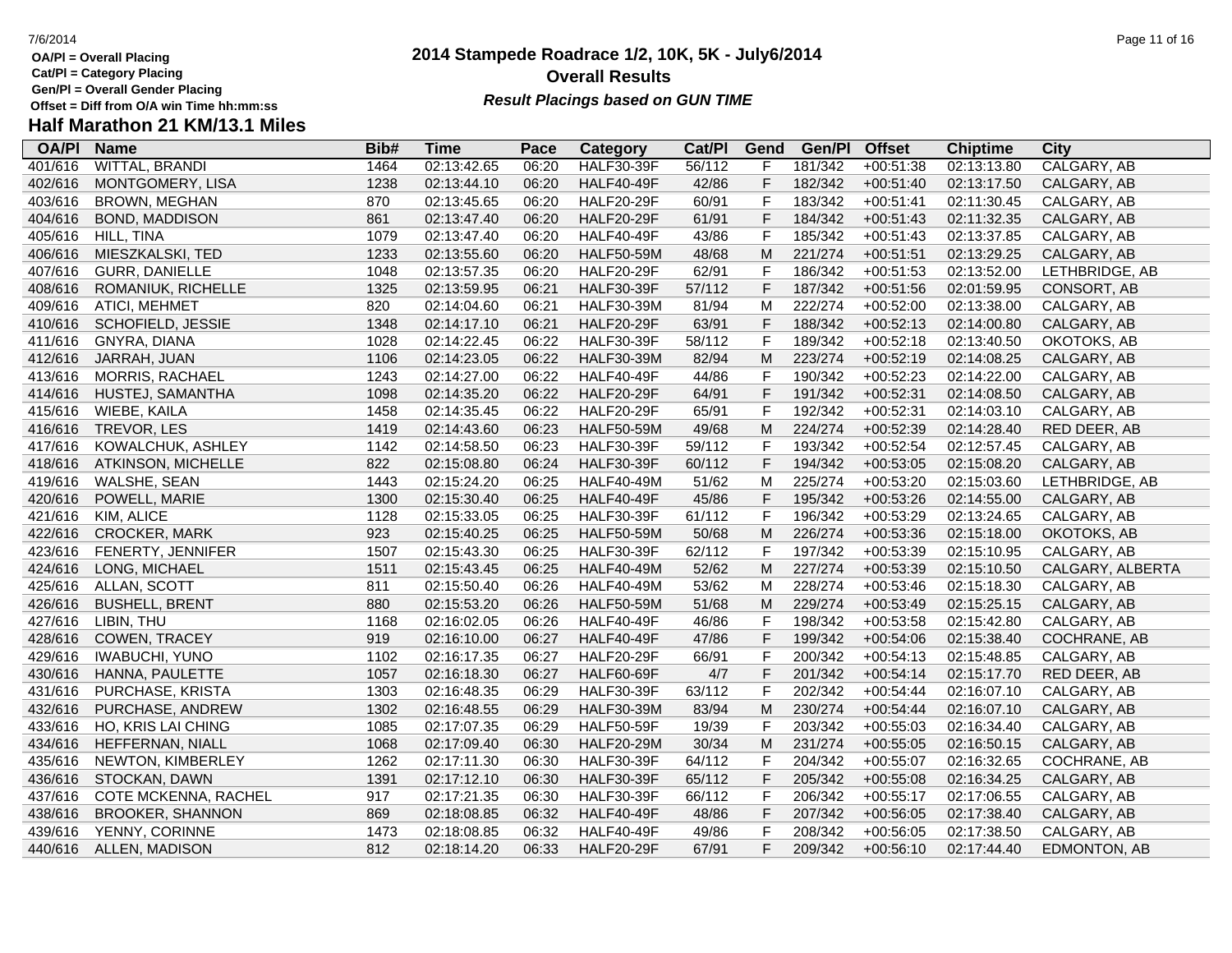**Cat/Pl = Category Placing**

**Gen/Pl = Overall Gender Placing**

# **Half Marathon 21 KM/13.1 Miles**

| <b>OA/PI</b> | <b>Name</b>             | Bib# | <b>Time</b> | Pace  | Category          | Cat/Pl | Gend           | Gen/Pl  | <b>Offset</b> | <b>Chiptime</b> | City             |
|--------------|-------------------------|------|-------------|-------|-------------------|--------|----------------|---------|---------------|-----------------|------------------|
| 401/616      | WITTAL, BRANDI          | 1464 | 02:13:42.65 | 06:20 | <b>HALF30-39F</b> | 56/112 | F              | 181/342 | $+00:51:38$   | 02:13:13.80     | CALGARY, AB      |
| 402/616      | MONTGOMERY, LISA        | 1238 | 02:13:44.10 | 06:20 | HALF40-49F        | 42/86  | $\mathsf F$    | 182/342 | $+00:51:40$   | 02:13:17.50     | CALGARY, AB      |
| 403/616      | <b>BROWN, MEGHAN</b>    | 870  | 02:13:45.65 | 06:20 | <b>HALF20-29F</b> | 60/91  | F              | 183/342 | $+00:51:41$   | 02:11:30.45     | CALGARY, AB      |
| 404/616      | <b>BOND, MADDISON</b>   | 861  | 02:13:47.40 | 06:20 | <b>HALF20-29F</b> | 61/91  | $\mathsf F$    | 184/342 | $+00:51:43$   | 02:11:32.35     | CALGARY, AB      |
| 405/616      | HILL, TINA              | 1079 | 02:13:47.40 | 06:20 | <b>HALF40-49F</b> | 43/86  | $\mathsf F$    | 185/342 | $+00:51:43$   | 02:13:37.85     | CALGARY, AB      |
| 406/616      | MIESZKALSKI, TED        | 1233 | 02:13:55.60 | 06:20 | <b>HALF50-59M</b> | 48/68  | M              | 221/274 | $+00:51:51$   | 02:13:29.25     | CALGARY, AB      |
| 407/616      | <b>GURR, DANIELLE</b>   | 1048 | 02:13:57.35 | 06:20 | <b>HALF20-29F</b> | 62/91  | $\mathsf{F}$   | 186/342 | $+00:51:53$   | 02:13:52.00     | LETHBRIDGE, AB   |
| 408/616      | ROMANIUK, RICHELLE      | 1325 | 02:13:59.95 | 06:21 | <b>HALF30-39F</b> | 57/112 | $\mathsf F$    | 187/342 | $+00:51:56$   | 02:01:59.95     | CONSORT, AB      |
| 409/616      | <b>ATICI, MEHMET</b>    | 820  | 02:14:04.60 | 06:21 | <b>HALF30-39M</b> | 81/94  | M              | 222/274 | $+00:52:00$   | 02:13:38.00     | CALGARY, AB      |
| 410/616      | SCHOFIELD, JESSIE       | 1348 | 02:14:17.10 | 06:21 | <b>HALF20-29F</b> | 63/91  | $\mathsf F$    | 188/342 | $+00:52:13$   | 02:14:00.80     | CALGARY, AB      |
| 411/616      | GNYRA, DIANA            | 1028 | 02:14:22.45 | 06:22 | <b>HALF30-39F</b> | 58/112 | $\mathsf F$    | 189/342 | $+00:52:18$   | 02:13:40.50     | OKOTOKS, AB      |
| 412/616      | JARRAH, JUAN            | 1106 | 02:14:23.05 | 06:22 | <b>HALF30-39M</b> | 82/94  | M              | 223/274 | $+00:52:19$   | 02:14:08.25     | CALGARY, AB      |
| 413/616      | <b>MORRIS, RACHAEL</b>  | 1243 | 02:14:27.00 | 06:22 | HALF40-49F        | 44/86  | $\mathsf F$    | 190/342 | $+00:52:23$   | 02:14:22.00     | CALGARY, AB      |
| 414/616      | HUSTEJ, SAMANTHA        | 1098 | 02:14:35.20 | 06:22 | <b>HALF20-29F</b> | 64/91  | $\mathsf F$    | 191/342 | $+00:52:31$   | 02:14:08.50     | CALGARY, AB      |
| 415/616      | WIEBE, KAILA            | 1458 | 02:14:35.45 | 06:22 | <b>HALF20-29F</b> | 65/91  | $\mathsf F$    | 192/342 | $+00:52:31$   | 02:14:03.10     | CALGARY, AB      |
| 416/616      | TREVOR, LES             | 1419 | 02:14:43.60 | 06:23 | <b>HALF50-59M</b> | 49/68  | M              | 224/274 | $+00:52:39$   | 02:14:28.40     | RED DEER, AB     |
| 417/616      | KOWALCHUK, ASHLEY       | 1142 | 02:14:58.50 | 06:23 | <b>HALF30-39F</b> | 59/112 | $\mathsf F$    | 193/342 | $+00:52:54$   | 02:12:57.45     | CALGARY, AB      |
| 418/616      | ATKINSON, MICHELLE      | 822  | 02:15:08.80 | 06:24 | <b>HALF30-39F</b> | 60/112 | $\mathsf F$    | 194/342 | $+00:53:05$   | 02:15:08.20     | CALGARY, AB      |
| 419/616      | WALSHE, SEAN            | 1443 | 02:15:24.20 | 06:25 | <b>HALF40-49M</b> | 51/62  | M              | 225/274 | $+00:53:20$   | 02:15:03.60     | LETHBRIDGE, AB   |
| 420/616      | POWELL, MARIE           | 1300 | 02:15:30.40 | 06:25 | <b>HALF40-49F</b> | 45/86  | $\mathsf F$    | 195/342 | $+00:53:26$   | 02:14:55.00     | CALGARY, AB      |
| 421/616      | KIM, ALICE              | 1128 | 02:15:33.05 | 06:25 | <b>HALF30-39F</b> | 61/112 | $\mathsf F$    | 196/342 | $+00:53:29$   | 02:13:24.65     | CALGARY, AB      |
| 422/616      | <b>CROCKER, MARK</b>    | 923  | 02:15:40.25 | 06:25 | <b>HALF50-59M</b> | 50/68  | M              | 226/274 | $+00:53:36$   | 02:15:18.00     | OKOTOKS, AB      |
| 423/616      | FENERTY, JENNIFER       | 1507 | 02:15:43.30 | 06:25 | <b>HALF30-39F</b> | 62/112 | $\mathsf F$    | 197/342 | $+00:53:39$   | 02:15:10.95     | CALGARY, AB      |
| 424/616      | LONG, MICHAEL           | 1511 | 02:15:43.45 | 06:25 | <b>HALF40-49M</b> | 52/62  | M              | 227/274 | $+00:53:39$   | 02:15:10.50     | CALGARY, ALBERTA |
| 425/616      | ALLAN, SCOTT            | 811  | 02:15:50.40 | 06:26 | <b>HALF40-49M</b> | 53/62  | M              | 228/274 | $+00:53:46$   | 02:15:18.30     | CALGARY, AB      |
| 426/616      | <b>BUSHELL, BRENT</b>   | 880  | 02:15:53.20 | 06:26 | <b>HALF50-59M</b> | 51/68  | M              | 229/274 | $+00:53:49$   | 02:15:25.15     | CALGARY, AB      |
| 427/616      | LIBIN, THU              | 1168 | 02:16:02.05 | 06:26 | <b>HALF40-49F</b> | 46/86  | F              | 198/342 | $+00:53:58$   | 02:15:42.80     | CALGARY, AB      |
| 428/616      | COWEN, TRACEY           | 919  | 02:16:10.00 | 06:27 | <b>HALF40-49F</b> | 47/86  | $\mathsf F$    | 199/342 | $+00:54:06$   | 02:15:38.40     | COCHRANE, AB     |
| 429/616      | <b>IWABUCHI, YUNO</b>   | 1102 | 02:16:17.35 | 06:27 | <b>HALF20-29F</b> | 66/91  | $\mathsf F$    | 200/342 | $+00:54:13$   | 02:15:48.85     | CALGARY, AB      |
| 430/616      | HANNA, PAULETTE         | 1057 | 02:16:18.30 | 06:27 | <b>HALF60-69F</b> | 4/7    | $\mathsf F$    | 201/342 | $+00:54:14$   | 02:15:17.70     | RED DEER, AB     |
| 431/616      | PURCHASE, KRISTA        | 1303 | 02:16:48.35 | 06:29 | <b>HALF30-39F</b> | 63/112 | $\mathsf{F}$   | 202/342 | $+00:54:44$   | 02:16:07.10     | CALGARY, AB      |
| 432/616      | PURCHASE, ANDREW        | 1302 | 02:16:48.55 | 06:29 | <b>HALF30-39M</b> | 83/94  | M              | 230/274 | $+00:54:44$   | 02:16:07.10     | CALGARY, AB      |
| 433/616      | HO, KRIS LAI CHING      | 1085 | 02:17:07.35 | 06:29 | <b>HALF50-59F</b> | 19/39  | $\mathsf F$    | 203/342 | $+00:55:03$   | 02:16:34.40     | CALGARY, AB      |
| 434/616      | HEFFERNAN, NIALL        | 1068 | 02:17:09.40 | 06:30 | <b>HALF20-29M</b> | 30/34  | M              | 231/274 | $+00:55:05$   | 02:16:50.15     | CALGARY, AB      |
| 435/616      | NEWTON, KIMBERLEY       | 1262 | 02:17:11.30 | 06:30 | <b>HALF30-39F</b> | 64/112 | $\mathsf F$    | 204/342 | $+00:55:07$   | 02:16:32.65     | COCHRANE, AB     |
| 436/616      | STOCKAN, DAWN           | 1391 | 02:17:12.10 | 06:30 | <b>HALF30-39F</b> | 65/112 | $\mathsf F$    | 205/342 | $+00:55:08$   | 02:16:34.25     | CALGARY, AB      |
| 437/616      | COTE MCKENNA, RACHEL    | 917  | 02:17:21.35 | 06:30 | <b>HALF30-39F</b> | 66/112 | $\overline{F}$ | 206/342 | $+00:55:17$   | 02:17:06.55     | CALGARY, AB      |
| 438/616      | <b>BROOKER, SHANNON</b> | 869  | 02:18:08.85 | 06:32 | <b>HALF40-49F</b> | 48/86  | $\mathsf F$    | 207/342 | $+00:56:05$   | 02:17:38.40     | CALGARY, AB      |
| 439/616      | YENNY, CORINNE          | 1473 | 02:18:08.85 | 06:32 | <b>HALF40-49F</b> | 49/86  | $\mathsf F$    | 208/342 | $+00:56:05$   | 02:17:38.50     | CALGARY, AB      |
| 440/616      | ALLEN, MADISON          | 812  | 02:18:14.20 | 06:33 | <b>HALF20-29F</b> | 67/91  | F              | 209/342 | $+00:56:10$   | 02:17:44.40     | EDMONTON, AB     |

## **2014 Stampede Roadrace 1/2, 10K, 5K - July6/2014 Overall Results**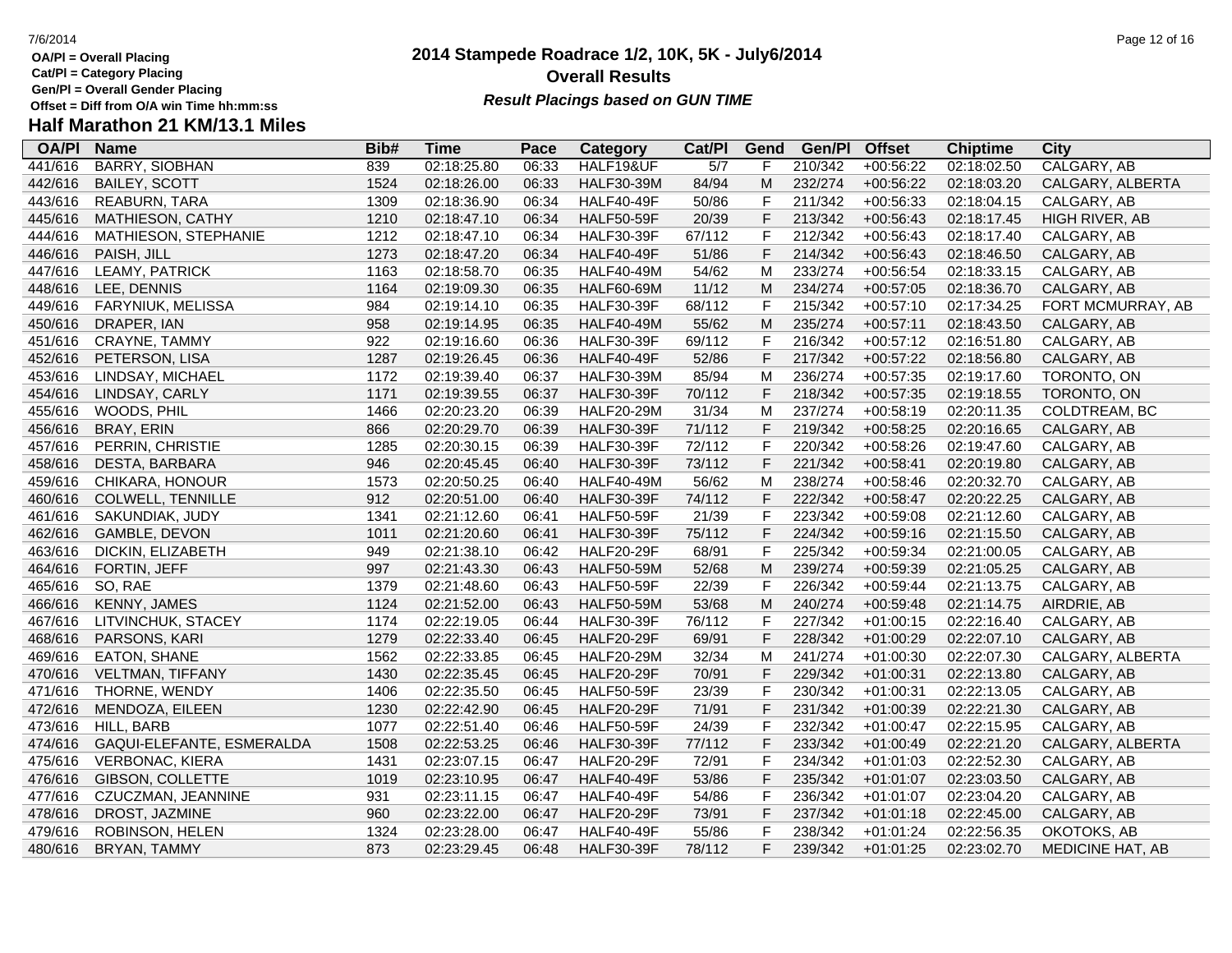**Cat/Pl = Category Placing**

**Gen/Pl = Overall Gender Placing**

# **Half Marathon 21 KM/13.1 Miles**

| <b>OA/PI</b> | <b>Name</b>               | Bib# | <b>Time</b> | Pace  | <b>Category</b>   | Cat/PI           | Gend         | Gen/Pl  | <b>Offset</b> | <b>Chiptime</b> | <b>City</b>       |
|--------------|---------------------------|------|-------------|-------|-------------------|------------------|--------------|---------|---------------|-----------------|-------------------|
| 441/616      | <b>BARRY, SIOBHAN</b>     | 839  | 02:18:25.80 | 06:33 | HALF19&UF         | $\overline{5/7}$ | F            | 210/342 | $+00:56:22$   | 02:18:02.50     | CALGARY, AB       |
| 442/616      | <b>BAILEY, SCOTT</b>      | 1524 | 02:18:26.00 | 06:33 | <b>HALF30-39M</b> | 84/94            | M            | 232/274 | $+00:56:22$   | 02:18:03.20     | CALGARY, ALBERTA  |
| 443/616      | <b>REABURN, TARA</b>      | 1309 | 02:18:36.90 | 06:34 | <b>HALF40-49F</b> | 50/86            | $\mathsf F$  | 211/342 | $+00:56:33$   | 02:18:04.15     | CALGARY, AB       |
| 445/616      | MATHIESON, CATHY          | 1210 | 02:18:47.10 | 06:34 | <b>HALF50-59F</b> | 20/39            | $\mathsf F$  | 213/342 | $+00:56:43$   | 02:18:17.45     | HIGH RIVER, AB    |
| 444/616      | MATHIESON, STEPHANIE      | 1212 | 02:18:47.10 | 06:34 | <b>HALF30-39F</b> | 67/112           | $\mathsf F$  | 212/342 | $+00:56:43$   | 02:18:17.40     | CALGARY, AB       |
| 446/616      | PAISH, JILL               | 1273 | 02:18:47.20 | 06:34 | <b>HALF40-49F</b> | 51/86            | $\mathsf F$  | 214/342 | $+00:56:43$   | 02:18:46.50     | CALGARY, AB       |
| 447/616      | LEAMY, PATRICK            | 1163 | 02:18:58.70 | 06:35 | <b>HALF40-49M</b> | 54/62            | M            | 233/274 | $+00:56:54$   | 02:18:33.15     | CALGARY, AB       |
| 448/616      | LEE, DENNIS               | 1164 | 02:19:09.30 | 06:35 | <b>HALF60-69M</b> | 11/12            | M            | 234/274 | $+00:57:05$   | 02:18:36.70     | CALGARY, AB       |
| 449/616      | <b>FARYNIUK, MELISSA</b>  | 984  | 02:19:14.10 | 06:35 | <b>HALF30-39F</b> | 68/112           | F            | 215/342 | $+00:57:10$   | 02:17:34.25     | FORT MCMURRAY, AB |
| 450/616      | DRAPER, IAN               | 958  | 02:19:14.95 | 06:35 | <b>HALF40-49M</b> | 55/62            | M            | 235/274 | $+00:57:11$   | 02:18:43.50     | CALGARY, AB       |
| 451/616      | CRAYNE, TAMMY             | 922  | 02:19:16.60 | 06:36 | <b>HALF30-39F</b> | 69/112           | $\mathsf F$  | 216/342 | $+00:57:12$   | 02:16:51.80     | CALGARY, AB       |
| 452/616      | PETERSON, LISA            | 1287 | 02:19:26.45 | 06:36 | <b>HALF40-49F</b> | 52/86            | F            | 217/342 | $+00:57:22$   | 02:18:56.80     | CALGARY, AB       |
| 453/616      | LINDSAY, MICHAEL          | 1172 | 02:19:39.40 | 06:37 | <b>HALF30-39M</b> | 85/94            | M            | 236/274 | $+00:57:35$   | 02:19:17.60     | TORONTO, ON       |
| 454/616      | LINDSAY, CARLY            | 1171 | 02:19:39.55 | 06:37 | <b>HALF30-39F</b> | 70/112           | $\mathsf F$  | 218/342 | $+00:57:35$   | 02:19:18.55     | TORONTO, ON       |
| 455/616      | WOODS, PHIL               | 1466 | 02:20:23.20 | 06:39 | <b>HALF20-29M</b> | 31/34            | M            | 237/274 | $+00:58:19$   | 02:20:11.35     | COLDTREAM, BC     |
| 456/616      | BRAY, ERIN                | 866  | 02:20:29.70 | 06:39 | <b>HALF30-39F</b> | 71/112           | $\mathsf F$  | 219/342 | $+00:58:25$   | 02:20:16.65     | CALGARY, AB       |
| 457/616      | PERRIN, CHRISTIE          | 1285 | 02:20:30.15 | 06:39 | <b>HALF30-39F</b> | 72/112           | $\mathsf{F}$ | 220/342 | $+00:58:26$   | 02:19:47.60     | CALGARY, AB       |
| 458/616      | DESTA, BARBARA            | 946  | 02:20:45.45 | 06:40 | <b>HALF30-39F</b> | 73/112           | $\mathsf F$  | 221/342 | $+00:58:41$   | 02:20:19.80     | CALGARY, AB       |
| 459/616      | CHIKARA, HONOUR           | 1573 | 02:20:50.25 | 06:40 | <b>HALF40-49M</b> | 56/62            | М            | 238/274 | $+00:58:46$   | 02:20:32.70     | CALGARY, AB       |
| 460/616      | COLWELL, TENNILLE         | 912  | 02:20:51.00 | 06:40 | <b>HALF30-39F</b> | 74/112           | F            | 222/342 | $+00:58:47$   | 02:20:22.25     | CALGARY, AB       |
| 461/616      | SAKUNDIAK, JUDY           | 1341 | 02:21:12.60 | 06:41 | <b>HALF50-59F</b> | 21/39            | $\mathsf{F}$ | 223/342 | $+00:59:08$   | 02:21:12.60     | CALGARY, AB       |
| 462/616      | GAMBLE, DEVON             | 1011 | 02:21:20.60 | 06:41 | <b>HALF30-39F</b> | 75/112           | $\mathsf F$  | 224/342 | $+00:59:16$   | 02:21:15.50     | CALGARY, AB       |
| 463/616      | DICKIN, ELIZABETH         | 949  | 02:21:38.10 | 06:42 | <b>HALF20-29F</b> | 68/91            | $\mathsf{F}$ | 225/342 | $+00:59:34$   | 02:21:00.05     | CALGARY, AB       |
| 464/616      | FORTIN, JEFF              | 997  | 02:21:43.30 | 06:43 | <b>HALF50-59M</b> | 52/68            | M            | 239/274 | $+00:59:39$   | 02:21:05.25     | CALGARY, AB       |
| 465/616      | SO, RAE                   | 1379 | 02:21:48.60 | 06:43 | <b>HALF50-59F</b> | 22/39            | $\mathsf F$  | 226/342 | $+00:59:44$   | 02:21:13.75     | CALGARY, AB       |
| 466/616      | <b>KENNY, JAMES</b>       | 1124 | 02:21:52.00 | 06:43 | <b>HALF50-59M</b> | 53/68            | M            | 240/274 | $+00:59:48$   | 02:21:14.75     | AIRDRIE, AB       |
| 467/616      | LITVINCHUK, STACEY        | 1174 | 02:22:19.05 | 06:44 | <b>HALF30-39F</b> | 76/112           | $\mathsf F$  | 227/342 | $+01:00:15$   | 02:22:16.40     | CALGARY, AB       |
| 468/616      | PARSONS, KARI             | 1279 | 02:22:33.40 | 06:45 | <b>HALF20-29F</b> | 69/91            | F            | 228/342 | $+01:00:29$   | 02:22:07.10     | CALGARY, AB       |
| 469/616      | <b>EATON, SHANE</b>       | 1562 | 02:22:33.85 | 06:45 | <b>HALF20-29M</b> | 32/34            | M            | 241/274 | $+01:00:30$   | 02:22:07.30     | CALGARY, ALBERTA  |
| 470/616      | VELTMAN, TIFFANY          | 1430 | 02:22:35.45 | 06:45 | <b>HALF20-29F</b> | 70/91            | $\mathsf F$  | 229/342 | $+01:00:31$   | 02:22:13.80     | CALGARY, AB       |
| 471/616      | THORNE, WENDY             | 1406 | 02:22:35.50 | 06:45 | <b>HALF50-59F</b> | 23/39            | F            | 230/342 | $+01:00:31$   | 02:22:13.05     | CALGARY, AB       |
| 472/616      | MENDOZA, EILEEN           | 1230 | 02:22:42.90 | 06:45 | <b>HALF20-29F</b> | 71/91            | $\mathsf F$  | 231/342 | $+01:00:39$   | 02:22:21.30     | CALGARY, AB       |
| 473/616      | HILL, BARB                | 1077 | 02:22:51.40 | 06:46 | <b>HALF50-59F</b> | 24/39            | $\mathsf F$  | 232/342 | $+01:00:47$   | 02:22:15.95     | CALGARY, AB       |
| 474/616      | GAQUI-ELEFANTE, ESMERALDA | 1508 | 02:22:53.25 | 06:46 | <b>HALF30-39F</b> | 77/112           | $\mathsf F$  | 233/342 | $+01:00:49$   | 02:22:21.20     | CALGARY, ALBERTA  |
| 475/616      | <b>VERBONAC, KIERA</b>    | 1431 | 02:23:07.15 | 06:47 | <b>HALF20-29F</b> | 72/91            | $\mathsf F$  | 234/342 | $+01:01:03$   | 02:22:52.30     | CALGARY, AB       |
| 476/616      | GIBSON, COLLETTE          | 1019 | 02:23:10.95 | 06:47 | <b>HALF40-49F</b> | 53/86            | $\mathsf F$  | 235/342 | $+01:01:07$   | 02:23:03.50     | CALGARY, AB       |
| 477/616      | CZUCZMAN, JEANNINE        | 931  | 02:23:11.15 | 06:47 | <b>HALF40-49F</b> | 54/86            | $\mathsf{F}$ | 236/342 | $+01:01:07$   | 02:23:04.20     | CALGARY, AB       |
| 478/616      | DROST, JAZMINE            | 960  | 02:23:22.00 | 06:47 | <b>HALF20-29F</b> | 73/91            | $\mathsf F$  | 237/342 | $+01:01:18$   | 02:22:45.00     | CALGARY, AB       |
| 479/616      | ROBINSON, HELEN           | 1324 | 02:23:28.00 | 06:47 | <b>HALF40-49F</b> | 55/86            | $\mathsf F$  | 238/342 | $+01:01:24$   | 02:22:56.35     | OKOTOKS, AB       |
| 480/616      | BRYAN, TAMMY              | 873  | 02:23:29.45 | 06:48 | <b>HALF30-39F</b> | 78/112           | F            | 239/342 | $+01:01:25$   | 02:23:02.70     | MEDICINE HAT, AB  |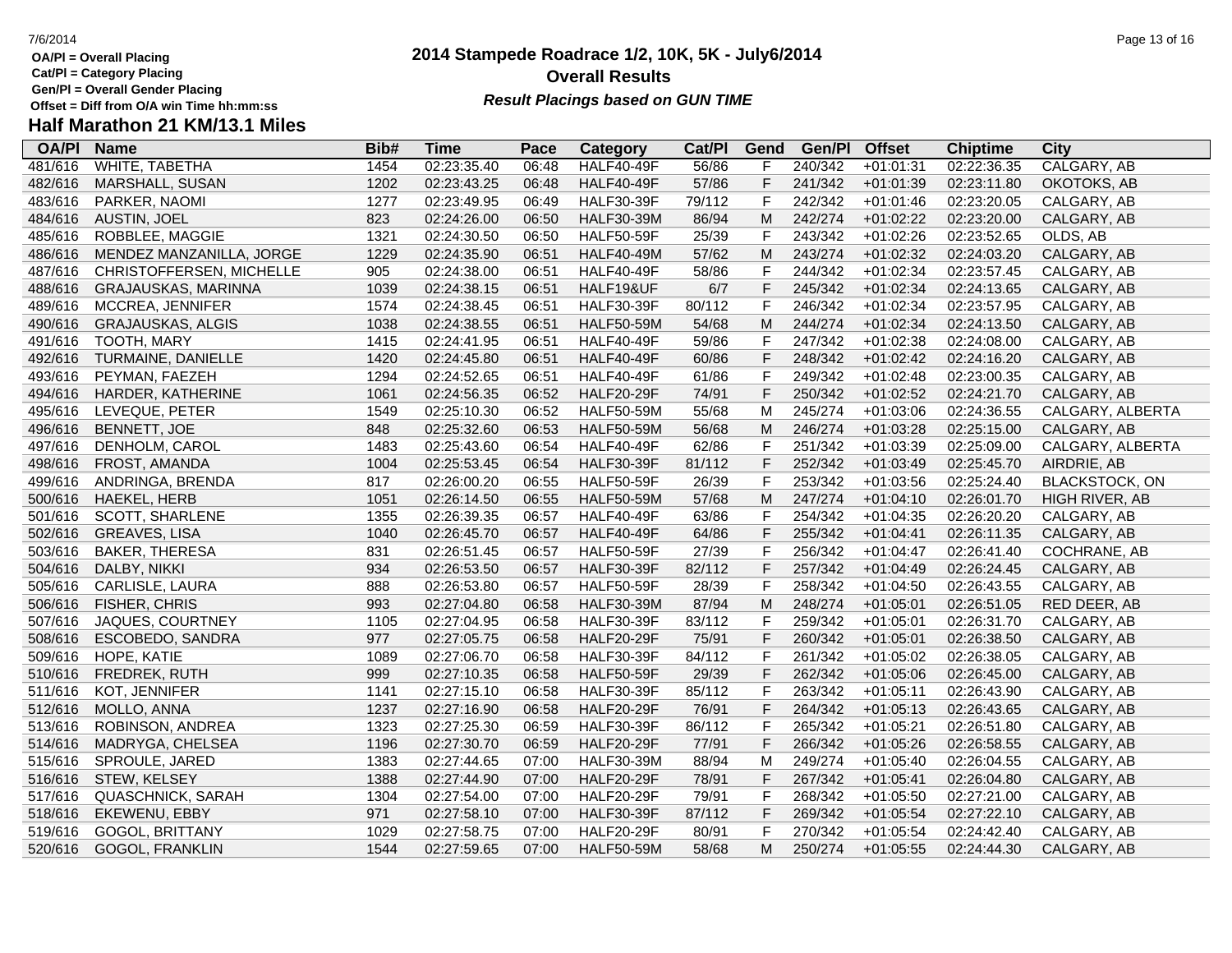- **Cat/Pl = Category Placing**
- **Gen/Pl = Overall Gender Placing**
- **Half Marathon 21 KM/13.1 Miles**

### **OA/Pl Name Bib# Time Category Cat/Pl Gen/Pl Pace Category Cat/PI Gend Gen/PI Offset Chiptime City**<br>06:48 HALF40-49F 56/86 F 240/342 +01:01:31 02:22:36.35 CALGARY.AB 481/616 WHITE, TABETHA 1454 02:23:35.40 06:48 HALF40-49F 56/86 F 240/342 +01:01:31 02:22:36.35 CALGARY, AB 482/616 MARSHALL, SUSAN 1202 02:23:43.25 06:48 HALF40-49F 57/86 F 241/342 +01:01:39 02:23:11.80 OKOTOKS, AB 483/616 PARKER, NAOMI 1277 02:23:49.95 06:49 HALF30-39F 79/112 F 242/342 +01:01:46 02:23:20.05 CALGARY, AB 484/616 AUSTIN, JOEL 823 02:24:26.00 06:50 HALF30-39M 86/94 M 242/274 +01:02:22 02:23:20.00 CALGARY, AB 485/616 ROBBLEE, MAGGIE 1321 02:24:30.50 06:50 HALF50-59F 25/39 F 243/342 +01:02:26 02:23:52.65 OLDS, AB 486/616 MENDEZ MANZANILLA, JORGE 1229 02:24:35.90 06:51 HALF40-49M 57/62 M 243/274 +01:02:32 02:24:03.20 CALGARY, AB 487/616 CHRISTOFFERSEN, MICHELLE 905 02:24:38.00 06:51 HALF40-49F 58/86 F 244/342 +01:02:34 02:23:57.45 CALGARY, AB 488/616 GRAJAUSKAS, MARINNA 1039 02:24:38.15 06:51 HALF19&UF 6/7 F 245/342 +01:02:34 02:24:13.65 CALGARY, AB 489/616 MCCREA, JENNIFER 1574 02:24:38.45 06:51 HALF30-39F 80/112 F 246/342 +01:02:34 02:23:57.95 CALGARY, AB 490/616 GRAJAUSKAS, ALGIS 1038 02:24:38.55 06:51 HALF50-59M 54/68 M 244/274 +01:02:34 02:24:13.50 CALGARY, AB 491/616 TOOTH, MARY 1415 02:24:41.95 06:51 HALF40-49F 59/86 F 247/342 +01:02:38 02:24:08.00 CALGARY, AB 492/616 TURMAINE, DANIELLE 1420 02:24:45.80 06:51 HALF40-49F 60/86 F 248/342 +01:02:42 02:24:16.20 CALGARY, AB 493/616 PEYMAN, FAEZEH 1294 02:24:52.65 06:51 HALF40-49F 61/86 F 249/342 +01:02:48 02:23:00.35 CALGARY, AB 494/616 HARDER, KATHERINE 1061 02:24:56.35 06:52 HALF20-29F 74/91 F 250/342 +01:02:52 02:24:21.70 CALGARY, AB 495/616 LEVEQUE, PETER 1549 02:25:10.30 06:52 HALF50-59M 55/68 M 245/274 +01:03:06 02:24:36.55 CALGARY, ALBERTA 496/616 BENNETT, JOE 848 02:25:32.60 06:53 HALF50-59M 56/68 M 246/274 +01:03:28 02:25:15.00 CALGARY, AB 497/616 DENHOLM, CAROL 1483 02:25:43.60 06:54 HALF40-49F 62/86 F 251/342 +01:03:39 02:25:09.00 CALGARY, ALBERTA 498/616 FROST, AMANDA 1004 02:25:53.45 06:54 HALF30-39F 81/112 F 252/342 +01:03:49 02:25:45.70 AIRDRIE, AB 499/616 ANDRINGA, BRENDA 817 02:26:00.20 06:55 HALF50-59F 26/39 F 253/342 +01:03:56 02:25:24.40 BLACKSTOCK, ON 500/616 HAEKEL, HERB 1051 02:26:14.50 06:55 HALF50-59M 57/68 M 247/274 +01:04:10 02:26:01.70 HIGH RIVER, AB 501/616 SCOTT, SHARLENE 1355 02:26:39.35 06:57 HALF40-49F 63/86 F 254/342 +01:04:35 02:26:20.20 CALGARY, AB 502/616 GREAVES, LISA 1040 02:26:45.70 06:57 HALF40-49F 64/86 F 255/342 +01:04:41 02:26:11.35 CALGARY, AB 503/616 BAKER, THERESA 831 02:26:51.45 06:57 HALF50-59F 27/39 F 256/342 +01:04:47 02:26:41.40 COCHRANE, AB 504/616 DALBY, NIKKI 934 02:26:53.50 06:57 HALF30-39F 82/112 F 257/342 +01:04:49 02:26:24.45 CALGARY, AB 505/616 CARLISLE, LAURA 888 02:26:53.80 06:57 HALF50-59F 28/39 F 258/342 +01:04:50 02:26:43.55 CALGARY, AB 506/616 FISHER, CHRIS 993 02:27:04.80 06:58 HALF30-39M 87/94 M 248/274 +01:05:01 02:26:51.05 RED DEER, AB 507/616 JAQUES, COURTNEY 1105 02:27:04.95 06:58 HALF30-39F 83/112 F 259/342 +01:05:01 02:26:31.70 CALGARY, AB 508/616 ESCOBEDO, SANDRA 977 02:27:05.75 06:58 HALF20-29F 75/91 F 260/342 +01:05:01 02:26:38.50 CALGARY, AB 509/616 HOPE, KATIE 1089 02:27:06.70 06:58 HALF30-39F 84/112 F 261/342 +01:05:02 02:26:38.05 CALGARY, AB 510/616 FREDREK, RUTH 999 02:27:10.35 06:58 HALF50-59F 29/39 F 262/342 +01:05:06 02:26:45.00 CALGARY, AB 511/616 KOT, JENNIFER 1141 02:27:15.10 06:58 HALF30-39F 85/112 F 263/342 +01:05:11 02:26:43.90 CALGARY, AB 512/616 MOLLO, ANNA 1237 02:27:16.90 06:58 HALF20-29F 76/91 F 264/342 +01:05:13 02:26:43.65 CALGARY, AB 513/616 ROBINSON, ANDREA 1323 02:27:25.30 06:59 HALF30-39F 86/112 F 265/342 +01:05:21 02:26:51.80 CALGARY, AB 514/616 MADRYGA, CHELSEA 1196 02:27:30.70 06:59 HALF20-29F 77/91 F 266/342 +01:05:26 02:26:58.55 CALGARY, AB 515/616 SPROULE, JARED 1383 02:27:44.65 07:00 HALF30-39M 88/94 M 249/274 +01:05:40 02:26:04.55 CALGARY, AB 516/616 STEW, KELSEY 1388 02:27:44.90 07:00 HALF20-29F 78/91 F 267/342 +01:05:41 02:26:04.80 CALGARY, AB 517/616 QUASCHNICK, SARAH 1304 02:27:54.00 07:00 HALF20-29F 79/91 F 268/342 +01:05:50 02:27:21.00 CALGARY, AB 518/616 EKEWENU, EBBY 971 02:27:58.10 07:00 HALF30-39F 87/112 F 269/342 +01:05:54 02:27:22.10 CALGARY, AB 519/616 GOGOL, BRITTANY 1029 02:27:58.75 07:00 HALF20-29F 80/91 F 270/342 +01:05:54 02:24:42.40 CALGARY, AB 520/616 GOGOL, FRANKLIN 1544 02:27:59.65 07:00 HALF50-59M 58/68 M 250/274 +01:05:55 02:24:44.30 CALGARY, AB

## **2014 Stampede Roadrace 1/2, 10K, 5K - July6/2014 Overall Results**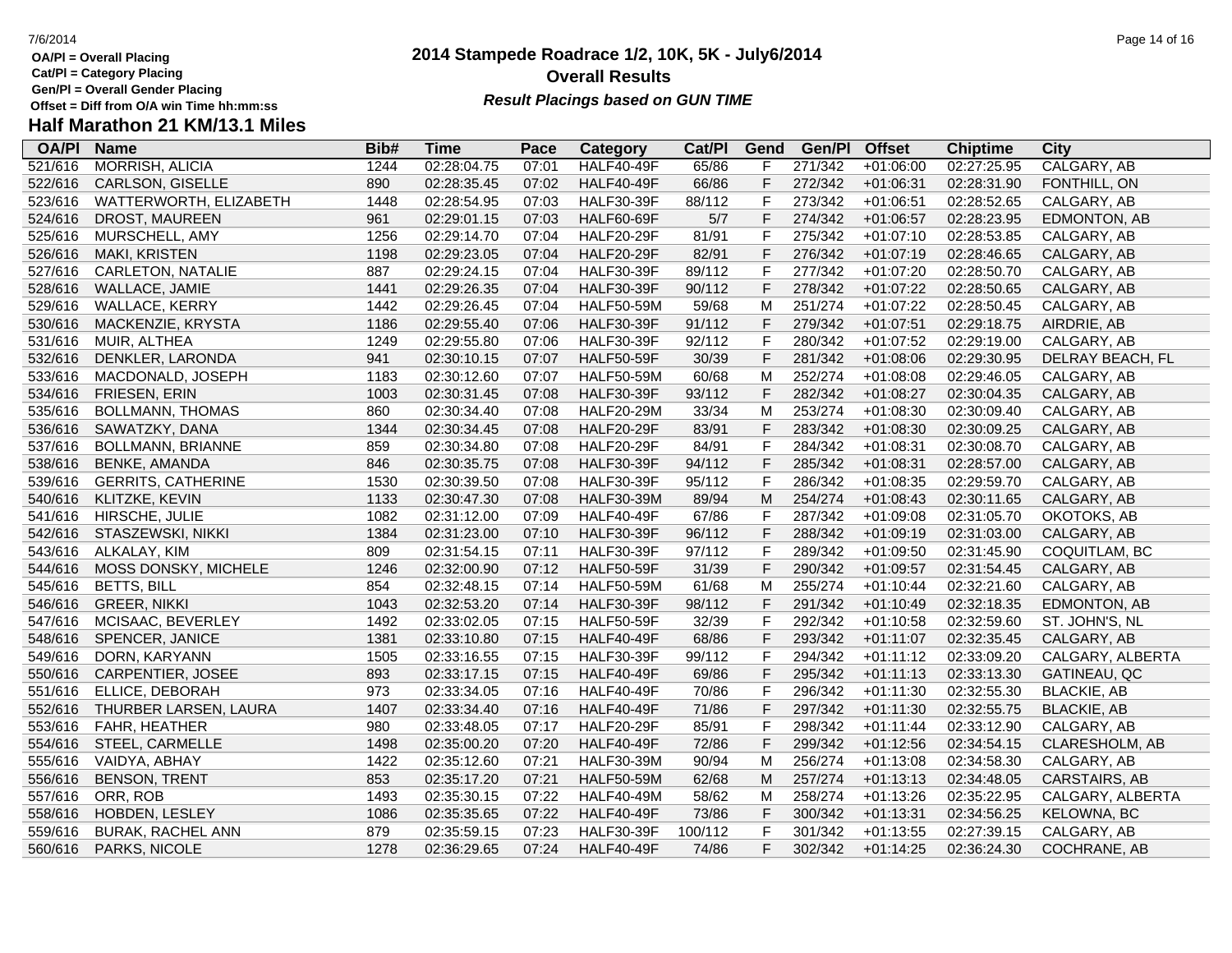- **OA/Pl = Overall Placing Cat/Pl = Category Placing**
- 
- **Gen/Pl = Overall Gender Placing**

### **2014 Stampede Roadrace 1/2, 10K, 5K - July6/2014** 7/6/2014 Page 14 of 16 **Overall Results Result Placings based on GUN TIME**

### **Half Marathon 21 KM/13.1 Miles**

| <b>OA/PI</b> | <b>Name</b>               | Bib# | Time        | Pace  | Category          | Cat/PI  | Gend           | Gen/Pl  | <b>Offset</b> | <b>Chiptime</b> | City                |
|--------------|---------------------------|------|-------------|-------|-------------------|---------|----------------|---------|---------------|-----------------|---------------------|
| 521/616      | <b>MORRISH, ALICIA</b>    | 1244 | 02:28:04.75 | 07:01 | <b>HALF40-49F</b> | 65/86   | F              | 271/342 | $+01:06:00$   | 02:27:25.95     | CALGARY, AB         |
| 522/616      | CARLSON, GISELLE          | 890  | 02:28:35.45 | 07:02 | <b>HALF40-49F</b> | 66/86   | F              | 272/342 | $+01:06:31$   | 02:28:31.90     | FONTHILL, ON        |
| 523/616      | WATTERWORTH, ELIZABETH    | 1448 | 02:28:54.95 | 07:03 | <b>HALF30-39F</b> | 88/112  | F              | 273/342 | $+01:06:51$   | 02:28:52.65     | CALGARY, AB         |
| 524/616      | DROST, MAUREEN            | 961  | 02:29:01.15 | 07:03 | <b>HALF60-69F</b> | 5/7     | F              | 274/342 | $+01:06:57$   | 02:28:23.95     | <b>EDMONTON, AB</b> |
| 525/616      | MURSCHELL, AMY            | 1256 | 02:29:14.70 | 07:04 | <b>HALF20-29F</b> | 81/91   | F              | 275/342 | $+01:07:10$   | 02:28:53.85     | CALGARY, AB         |
| 526/616      | <b>MAKI, KRISTEN</b>      | 1198 | 02:29:23.05 | 07:04 | <b>HALF20-29F</b> | 82/91   | $\mathsf F$    | 276/342 | $+01:07:19$   | 02:28:46.65     | CALGARY, AB         |
| 527/616      | CARLETON, NATALIE         | 887  | 02:29:24.15 | 07:04 | <b>HALF30-39F</b> | 89/112  | $\mathsf{F}$   | 277/342 | $+01:07:20$   | 02:28:50.70     | CALGARY, AB         |
| 528/616      | WALLACE, JAMIE            | 1441 | 02:29:26.35 | 07:04 | <b>HALF30-39F</b> | 90/112  | $\overline{F}$ | 278/342 | $+01:07:22$   | 02:28:50.65     | CALGARY, AB         |
| 529/616      | WALLACE, KERRY            | 1442 | 02:29:26.45 | 07:04 | <b>HALF50-59M</b> | 59/68   | M              | 251/274 | $+01:07:22$   | 02:28:50.45     | CALGARY, AB         |
| 530/616      | MACKENZIE, KRYSTA         | 1186 | 02:29:55.40 | 07:06 | <b>HALF30-39F</b> | 91/112  | $\mathsf F$    | 279/342 | $+01:07:51$   | 02:29:18.75     | AIRDRIE, AB         |
| 531/616      | MUIR, ALTHEA              | 1249 | 02:29:55.80 | 07:06 | <b>HALF30-39F</b> | 92/112  | F              | 280/342 | $+01:07:52$   | 02:29:19.00     | CALGARY, AB         |
| 532/616      | DENKLER, LARONDA          | 941  | 02:30:10.15 | 07:07 | <b>HALF50-59F</b> | 30/39   | F              | 281/342 | $+01:08:06$   | 02:29:30.95     | DELRAY BEACH, FL    |
| 533/616      | MACDONALD, JOSEPH         | 1183 | 02:30:12.60 | 07:07 | <b>HALF50-59M</b> | 60/68   | M              | 252/274 | $+01:08:08$   | 02:29:46.05     | CALGARY, AB         |
| 534/616      | FRIESEN, ERIN             | 1003 | 02:30:31.45 | 07:08 | <b>HALF30-39F</b> | 93/112  | F              | 282/342 | $+01:08:27$   | 02:30:04.35     | CALGARY, AB         |
| 535/616      | <b>BOLLMANN, THOMAS</b>   | 860  | 02:30:34.40 | 07:08 | <b>HALF20-29M</b> | 33/34   | M              | 253/274 | $+01:08:30$   | 02:30:09.40     | CALGARY, AB         |
| 536/616      | SAWATZKY, DANA            | 1344 | 02:30:34.45 | 07:08 | <b>HALF20-29F</b> | 83/91   | $\mathsf F$    | 283/342 | $+01:08:30$   | 02:30:09.25     | CALGARY, AB         |
| 537/616      | <b>BOLLMANN, BRIANNE</b>  | 859  | 02:30:34.80 | 07:08 | <b>HALF20-29F</b> | 84/91   | $\mathsf F$    | 284/342 | $+01:08:31$   | 02:30:08.70     | CALGARY, AB         |
| 538/616      | <b>BENKE, AMANDA</b>      | 846  | 02:30:35.75 | 07:08 | <b>HALF30-39F</b> | 94/112  | F              | 285/342 | $+01:08:31$   | 02:28:57.00     | CALGARY, AB         |
| 539/616      | <b>GERRITS, CATHERINE</b> | 1530 | 02:30:39.50 | 07:08 | <b>HALF30-39F</b> | 95/112  | $\mathsf{F}$   | 286/342 | $+01:08:35$   | 02:29:59.70     | CALGARY, AB         |
| 540/616      | KLITZKE, KEVIN            | 1133 | 02:30:47.30 | 07:08 | <b>HALF30-39M</b> | 89/94   | M              | 254/274 | $+01:08:43$   | 02:30:11.65     | CALGARY, AB         |
| 541/616      | HIRSCHE, JULIE            | 1082 | 02:31:12.00 | 07:09 | <b>HALF40-49F</b> | 67/86   | $\mathsf{F}$   | 287/342 | $+01:09:08$   | 02:31:05.70     | OKOTOKS, AB         |
| 542/616      | STASZEWSKI, NIKKI         | 1384 | 02:31:23.00 | 07:10 | <b>HALF30-39F</b> | 96/112  | $\mathsf{F}$   | 288/342 | $+01:09:19$   | 02:31:03.00     | CALGARY, AB         |
| 543/616      | ALKALAY, KIM              | 809  | 02:31:54.15 | 07:11 | <b>HALF30-39F</b> | 97/112  | $\mathsf F$    | 289/342 | $+01:09:50$   | 02:31:45.90     | COQUITLAM, BC       |
| 544/616      | MOSS DONSKY, MICHELE      | 1246 | 02:32:00.90 | 07:12 | <b>HALF50-59F</b> | 31/39   | F              | 290/342 | $+01:09:57$   | 02:31:54.45     | CALGARY, AB         |
| 545/616      | <b>BETTS, BILL</b>        | 854  | 02:32:48.15 | 07:14 | <b>HALF50-59M</b> | 61/68   | M              | 255/274 | $+01:10:44$   | 02:32:21.60     | CALGARY, AB         |
| 546/616      | <b>GREER, NIKKI</b>       | 1043 | 02:32:53.20 | 07:14 | <b>HALF30-39F</b> | 98/112  | $\mathsf F$    | 291/342 | $+01:10:49$   | 02:32:18.35     | EDMONTON, AB        |
| 547/616      | MCISAAC, BEVERLEY         | 1492 | 02:33:02.05 | 07:15 | <b>HALF50-59F</b> | 32/39   | $\mathsf{F}$   | 292/342 | $+01:10:58$   | 02:32:59.60     | ST. JOHN'S, NL      |
| 548/616      | SPENCER, JANICE           | 1381 | 02:33:10.80 | 07:15 | <b>HALF40-49F</b> | 68/86   | $\mathsf F$    | 293/342 | $+01:11:07$   | 02:32:35.45     | CALGARY, AB         |
| 549/616      | DORN, KARYANN             | 1505 | 02:33:16.55 | 07:15 | <b>HALF30-39F</b> | 99/112  | $\mathsf F$    | 294/342 | $+01:11:12$   | 02:33:09.20     | CALGARY, ALBERTA    |
| 550/616      | CARPENTIER, JOSEE         | 893  | 02:33:17.15 | 07:15 | <b>HALF40-49F</b> | 69/86   | $\mathsf F$    | 295/342 | $+01:11:13$   | 02:33:13.30     | GATINEAU, QC        |
| 551/616      | ELLICE, DEBORAH           | 973  | 02:33:34.05 | 07:16 | <b>HALF40-49F</b> | 70/86   | $\mathsf{F}$   | 296/342 | $+01:11:30$   | 02:32:55.30     | <b>BLACKIE, AB</b>  |
| 552/616      | THURBER LARSEN, LAURA     | 1407 | 02:33:34.40 | 07:16 | <b>HALF40-49F</b> | 71/86   | F              | 297/342 | $+01:11:30$   | 02:32:55.75     | <b>BLACKIE, AB</b>  |
| 553/616      | FAHR, HEATHER             | 980  | 02:33:48.05 | 07:17 | <b>HALF20-29F</b> | 85/91   | F              | 298/342 | $+01:11:44$   | 02:33:12.90     | CALGARY, AB         |
| 554/616      | STEEL, CARMELLE           | 1498 | 02:35:00.20 | 07:20 | <b>HALF40-49F</b> | 72/86   | $\mathsf F$    | 299/342 | $+01:12:56$   | 02:34:54.15     | CLARESHOLM, AB      |
| 555/616      | VAIDYA, ABHAY             | 1422 | 02:35:12.60 | 07:21 | <b>HALF30-39M</b> | 90/94   | M              | 256/274 | $+01:13:08$   | 02:34:58.30     | CALGARY, AB         |
| 556/616      | <b>BENSON, TRENT</b>      | 853  | 02:35:17.20 | 07:21 | <b>HALF50-59M</b> | 62/68   | M              | 257/274 | $+01:13:13$   | 02:34:48.05     | CARSTAIRS, AB       |
| 557/616      | ORR, ROB                  | 1493 | 02:35:30.15 | 07:22 | <b>HALF40-49M</b> | 58/62   | M              | 258/274 | $+01:13:26$   | 02:35:22.95     | CALGARY, ALBERTA    |
| 558/616      | HOBDEN, LESLEY            | 1086 | 02:35:35.65 | 07:22 | <b>HALF40-49F</b> | 73/86   | F              | 300/342 | $+01:13:31$   | 02:34:56.25     | <b>KELOWNA, BC</b>  |
| 559/616      | <b>BURAK, RACHEL ANN</b>  | 879  | 02:35:59.15 | 07:23 | <b>HALF30-39F</b> | 100/112 | F              | 301/342 | $+01:13:55$   | 02:27:39.15     | CALGARY, AB         |
| 560/616      | PARKS, NICOLE             | 1278 | 02:36:29.65 | 07:24 | <b>HALF40-49F</b> | 74/86   | F              | 302/342 | $+01:14:25$   | 02:36:24.30     | COCHRANE, AB        |
|              |                           |      |             |       |                   |         |                |         |               |                 |                     |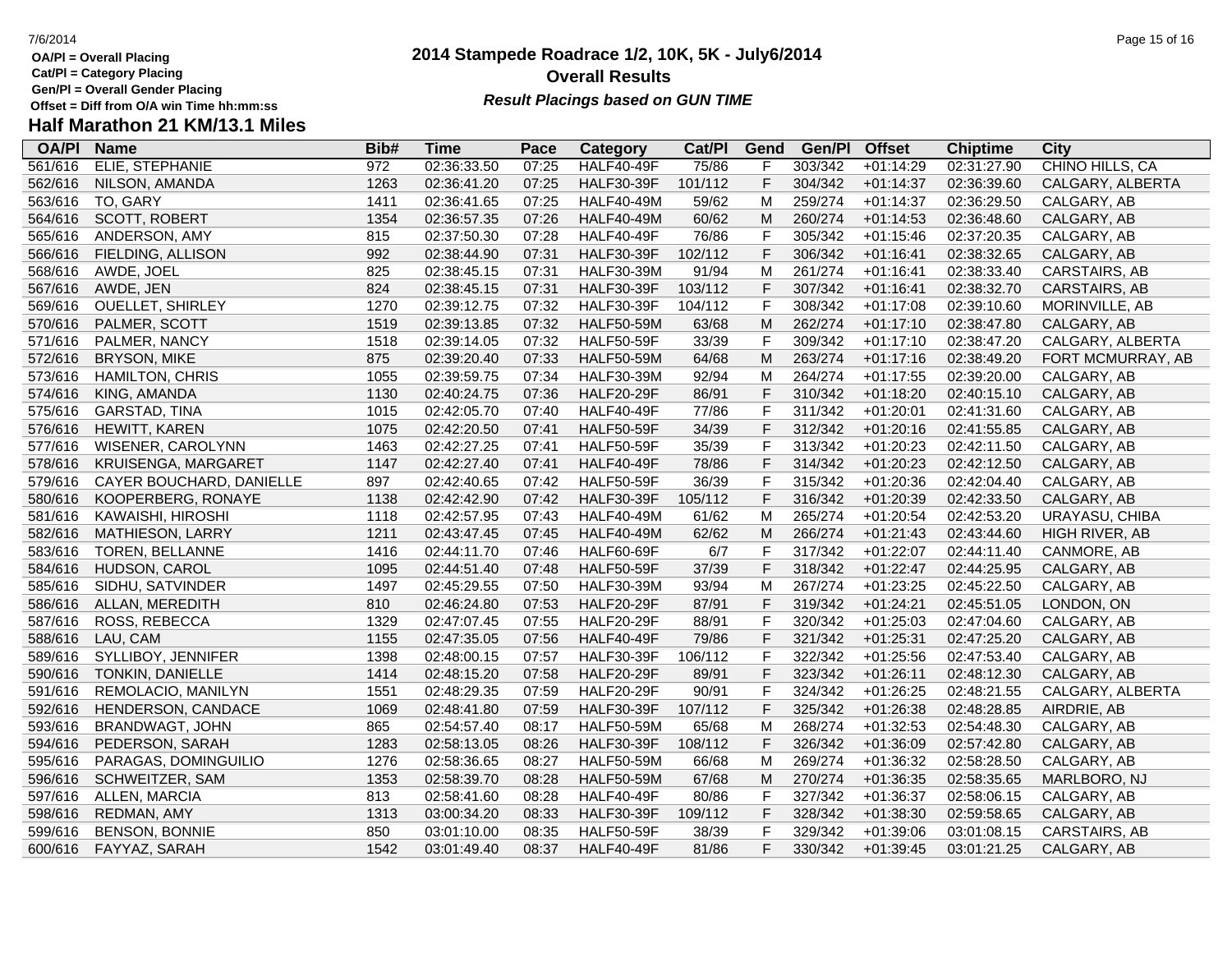**Cat/Pl = Category Placing**

**Gen/Pl = Overall Gender Placing**

# **Half Marathon 21 KM/13.1 Miles**

| <b>OA/PI</b> | <b>Name</b>              | Bib# | <b>Time</b> | Pace  | <b>Category</b>   | Cat/PI  | Gend           | Gen/Pl  | <b>Offset</b> | <b>Chiptime</b> | City                 |
|--------------|--------------------------|------|-------------|-------|-------------------|---------|----------------|---------|---------------|-----------------|----------------------|
| 561/616      | ELIE, STEPHANIE          | 972  | 02:36:33.50 | 07:25 | <b>HALF40-49F</b> | 75/86   | F              | 303/342 | $+01:14:29$   | 02:31:27.90     | CHINO HILLS, CA      |
| 562/616      | NILSON, AMANDA           | 1263 | 02:36:41.20 | 07:25 | <b>HALF30-39F</b> | 101/112 | $\mathsf F$    | 304/342 | $+01:14:37$   | 02:36:39.60     | CALGARY, ALBERTA     |
| 563/616      | TO, GARY                 | 1411 | 02:36:41.65 | 07:25 | <b>HALF40-49M</b> | 59/62   | M              | 259/274 | $+01:14:37$   | 02:36:29.50     | CALGARY, AB          |
| 564/616      | <b>SCOTT, ROBERT</b>     | 1354 | 02:36:57.35 | 07:26 | <b>HALF40-49M</b> | 60/62   | M              | 260/274 | $+01:14:53$   | 02:36:48.60     | CALGARY, AB          |
| 565/616      | ANDERSON, AMY            | 815  | 02:37:50.30 | 07:28 | <b>HALF40-49F</b> | 76/86   | $\mathsf{F}$   | 305/342 | $+01:15:46$   | 02:37:20.35     | CALGARY, AB          |
| 566/616      | FIELDING, ALLISON        | 992  | 02:38:44.90 | 07:31 | <b>HALF30-39F</b> | 102/112 | $\mathsf{F}$   | 306/342 | $+01:16:41$   | 02:38:32.65     | CALGARY, AB          |
| 568/616      | AWDE, JOEL               | 825  | 02:38:45.15 | 07:31 | <b>HALF30-39M</b> | 91/94   | M              | 261/274 | $+01:16:41$   | 02:38:33.40     | CARSTAIRS, AB        |
| 567/616      | AWDE, JEN                | 824  | 02:38:45.15 | 07:31 | <b>HALF30-39F</b> | 103/112 | F              | 307/342 | $+01:16:41$   | 02:38:32.70     | CARSTAIRS, AB        |
| 569/616      | <b>OUELLET, SHIRLEY</b>  | 1270 | 02:39:12.75 | 07:32 | <b>HALF30-39F</b> | 104/112 | $\mathsf{F}$   | 308/342 | $+01:17:08$   | 02:39:10.60     | MORINVILLE, AB       |
| 570/616      | PALMER, SCOTT            | 1519 | 02:39:13.85 | 07:32 | <b>HALF50-59M</b> | 63/68   | M              | 262/274 | $+01:17:10$   | 02:38:47.80     | CALGARY, AB          |
| 571/616      | PALMER, NANCY            | 1518 | 02:39:14.05 | 07:32 | <b>HALF50-59F</b> | 33/39   | $\mathsf F$    | 309/342 | $+01:17:10$   | 02:38:47.20     | CALGARY, ALBERTA     |
| 572/616      | <b>BRYSON, MIKE</b>      | 875  | 02:39:20.40 | 07:33 | <b>HALF50-59M</b> | 64/68   | M              | 263/274 | $+01:17:16$   | 02:38:49.20     | FORT MCMURRAY, AB    |
| 573/616      | <b>HAMILTON, CHRIS</b>   | 1055 | 02:39:59.75 | 07:34 | <b>HALF30-39M</b> | 92/94   | M              | 264/274 | $+01:17:55$   | 02:39:20.00     | CALGARY, AB          |
| 574/616      | KING, AMANDA             | 1130 | 02:40:24.75 | 07:36 | <b>HALF20-29F</b> | 86/91   | $\mathsf F$    | 310/342 | $+01:18:20$   | 02:40:15.10     | CALGARY, AB          |
| 575/616      | GARSTAD, TINA            | 1015 | 02:42:05.70 | 07:40 | <b>HALF40-49F</b> | 77/86   | $\mathsf{F}$   | 311/342 | $+01:20:01$   | 02:41:31.60     | CALGARY, AB          |
| 576/616      | <b>HEWITT, KAREN</b>     | 1075 | 02:42:20.50 | 07:41 | <b>HALF50-59F</b> | 34/39   | $\mathsf{F}$   | 312/342 | $+01:20:16$   | 02:41:55.85     | CALGARY, AB          |
| 577/616      | WISENER, CAROLYNN        | 1463 | 02:42:27.25 | 07:41 | <b>HALF50-59F</b> | 35/39   | $\mathsf{F}$   | 313/342 | $+01:20:23$   | 02:42:11.50     | CALGARY, AB          |
| 578/616      | KRUISENGA, MARGARET      | 1147 | 02:42:27.40 | 07:41 | <b>HALF40-49F</b> | 78/86   | $\mathsf{F}$   | 314/342 | $+01:20:23$   | 02:42:12.50     | CALGARY, AB          |
| 579/616      | CAYER BOUCHARD, DANIELLE | 897  | 02:42:40.65 | 07:42 | <b>HALF50-59F</b> | 36/39   | $\mathsf F$    | 315/342 | $+01:20:36$   | 02:42:04.40     | CALGARY, AB          |
| 580/616      | KOOPERBERG, RONAYE       | 1138 | 02:42:42.90 | 07:42 | <b>HALF30-39F</b> | 105/112 | $\mathsf F$    | 316/342 | $+01:20:39$   | 02:42:33.50     | CALGARY, AB          |
| 581/616      | KAWAISHI, HIROSHI        | 1118 | 02:42:57.95 | 07:43 | <b>HALF40-49M</b> | 61/62   | M              | 265/274 | $+01:20:54$   | 02:42:53.20     | URAYASU, CHIBA       |
| 582/616      | MATHIESON, LARRY         | 1211 | 02:43:47.45 | 07:45 | <b>HALF40-49M</b> | 62/62   | M              | 266/274 | $+01:21:43$   | 02:43:44.60     | HIGH RIVER, AB       |
| 583/616      | TOREN, BELLANNE          | 1416 | 02:44:11.70 | 07:46 | <b>HALF60-69F</b> | 6/7     | $\mathsf{F}$   | 317/342 | $+01:22:07$   | 02:44:11.40     | CANMORE, AB          |
| 584/616      | HUDSON, CAROL            | 1095 | 02:44:51.40 | 07:48 | <b>HALF50-59F</b> | 37/39   | $\mathsf F$    | 318/342 | $+01:22:47$   | 02:44:25.95     | CALGARY, AB          |
| 585/616      | SIDHU, SATVINDER         | 1497 | 02:45:29.55 | 07:50 | <b>HALF30-39M</b> | 93/94   | M              | 267/274 | $+01:23:25$   | 02:45:22.50     | CALGARY, AB          |
| 586/616      | ALLAN, MEREDITH          | 810  | 02:46:24.80 | 07:53 | <b>HALF20-29F</b> | 87/91   | $\mathsf{F}$   | 319/342 | $+01:24:21$   | 02:45:51.05     | LONDON, ON           |
| 587/616      | ROSS, REBECCA            | 1329 | 02:47:07.45 | 07:55 | <b>HALF20-29F</b> | 88/91   | $\mathsf{F}$   | 320/342 | $+01:25:03$   | 02:47:04.60     | CALGARY, AB          |
| 588/616      | LAU, CAM                 | 1155 | 02:47:35.05 | 07:56 | <b>HALF40-49F</b> | 79/86   | $\mathsf{F}$   | 321/342 | $+01:25:31$   | 02:47:25.20     | CALGARY, AB          |
| 589/616      | SYLLIBOY, JENNIFER       | 1398 | 02:48:00.15 | 07:57 | <b>HALF30-39F</b> | 106/112 | $\mathsf{F}$   | 322/342 | $+01:25:56$   | 02:47:53.40     | CALGARY, AB          |
| 590/616      | TONKIN, DANIELLE         | 1414 | 02:48:15.20 | 07:58 | <b>HALF20-29F</b> | 89/91   | $\mathsf F$    | 323/342 | $+01:26:11$   | 02:48:12.30     | CALGARY, AB          |
| 591/616      | REMOLACIO, MANILYN       | 1551 | 02:48:29.35 | 07:59 | <b>HALF20-29F</b> | 90/91   | F              | 324/342 | $+01:26:25$   | 02:48:21.55     | CALGARY, ALBERTA     |
| 592/616      | HENDERSON, CANDACE       | 1069 | 02:48:41.80 | 07:59 | <b>HALF30-39F</b> | 107/112 | $\overline{F}$ | 325/342 | $+01:26:38$   | 02:48:28.85     | AIRDRIE, AB          |
| 593/616      | <b>BRANDWAGT, JOHN</b>   | 865  | 02:54:57.40 | 08:17 | <b>HALF50-59M</b> | 65/68   | M              | 268/274 | $+01:32:53$   | 02:54:48.30     | CALGARY, AB          |
| 594/616      | PEDERSON, SARAH          | 1283 | 02:58:13.05 | 08:26 | <b>HALF30-39F</b> | 108/112 | $\mathsf F$    | 326/342 | $+01:36:09$   | 02:57:42.80     | CALGARY, AB          |
| 595/616      | PARAGAS, DOMINGUILIO     | 1276 | 02:58:36.65 | 08:27 | <b>HALF50-59M</b> | 66/68   | M              | 269/274 | $+01:36:32$   | 02:58:28.50     | CALGARY, AB          |
| 596/616      | SCHWEITZER, SAM          | 1353 | 02:58:39.70 | 08:28 | <b>HALF50-59M</b> | 67/68   | M              | 270/274 | $+01:36:35$   | 02:58:35.65     | MARLBORO, NJ         |
| 597/616      | ALLEN, MARCIA            | 813  | 02:58:41.60 | 08:28 | <b>HALF40-49F</b> | 80/86   | $\mathsf F$    | 327/342 | $+01:36:37$   | 02:58:06.15     | CALGARY, AB          |
| 598/616      | REDMAN, AMY              | 1313 | 03:00:34.20 | 08:33 | <b>HALF30-39F</b> | 109/112 | $\mathsf{F}$   | 328/342 | $+01:38:30$   | 02:59:58.65     | CALGARY, AB          |
| 599/616      | <b>BENSON, BONNIE</b>    | 850  | 03:01:10.00 | 08:35 | <b>HALF50-59F</b> | 38/39   | F              | 329/342 | $+01:39:06$   | 03:01:08.15     | <b>CARSTAIRS, AB</b> |
| 600/616      | FAYYAZ, SARAH            | 1542 | 03:01:49.40 | 08:37 | <b>HALF40-49F</b> | 81/86   | F              | 330/342 | $+01:39:45$   | 03:01:21.25     | CALGARY, AB          |

## **2014 Stampede Roadrace 1/2, 10K, 5K - July6/2014 Overall Results**